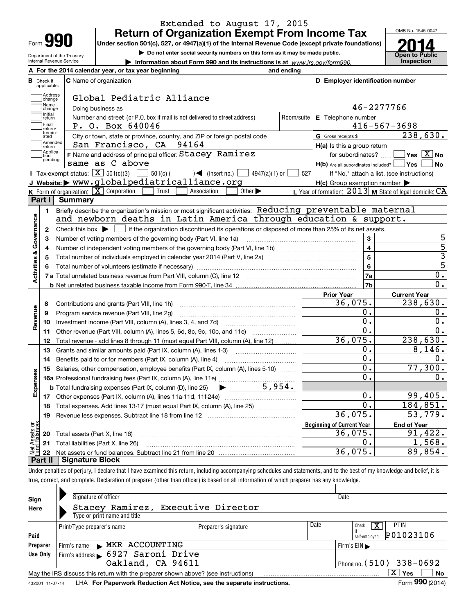| =orm |  |
|------|--|

**A**

## **Return of Organization Exempt From Income Tax** Extended to August 17, 2015

OMB No. 1545-0047

**Open to Public 2014**

Department of the Treasury Internal Revenue Service

**Under section 501(c), 527, or 4947(a)(1) of the Internal Revenue Code (except private foundations)**

**| Do not enter social security numbers on this form as it may be made public.**

**| Information about Form 990 and its instructions is at www.irs.gov/form990.** | Inspection

|                         |                         | A For the 2014 calendar year, or tax year beginning                                                                                                 | and ending |                                                     |                                                           |
|-------------------------|-------------------------|-----------------------------------------------------------------------------------------------------------------------------------------------------|------------|-----------------------------------------------------|-----------------------------------------------------------|
| В                       | Check if<br>applicable: | <b>C</b> Name of organization                                                                                                                       |            | D Employer identification number                    |                                                           |
|                         | Address<br>change       | Global Pediatric Alliance                                                                                                                           |            |                                                     |                                                           |
|                         | Name<br>change          | Doing business as                                                                                                                                   |            |                                                     | 46-2277766                                                |
|                         | Initial<br>return       | Number and street (or P.O. box if mail is not delivered to street address)                                                                          | Room/suite | E Telephone number                                  |                                                           |
|                         | Final<br>return/        | P. O. Box 640046                                                                                                                                    |            |                                                     | $416 - 567 - 3698$                                        |
|                         | termin-<br>ated         | City or town, state or province, country, and ZIP or foreign postal code                                                                            |            | G Gross receipts \$                                 | 238,630.                                                  |
|                         | Amended<br>return       | San Francisco, CA 94164                                                                                                                             |            | H(a) Is this a group return                         |                                                           |
|                         | Applica-<br>tion        | F Name and address of principal officer: Stacey Ramirez                                                                                             |            | for subordinates?                                   | $\boxed{\phantom{1}}$ Yes $\boxed{\mathrm{X}}$ No         |
|                         | pending                 | same as C above                                                                                                                                     |            | $H(b)$ Are all subordinates included? $\Box$ Yes    | ∣No                                                       |
|                         |                         | Tax-exempt status: $\boxed{\mathbf{X}}$ 501(c)(3) $\boxed{\phantom{0}}$ 501(c)( $\phantom{0}$ ) (insert no.)<br>$4947(a)(1)$ or                     | 527        |                                                     | If "No," attach a list. (see instructions)                |
|                         |                         | J Website: > www.globalpediatricalliance.org                                                                                                        |            | $H(c)$ Group exemption number $\blacktriangleright$ |                                                           |
|                         |                         | K Form of organization: $\boxed{\mathbf{X}}$ Corporation<br>Other $\blacktriangleright$<br>Trust<br>Association                                     |            |                                                     | L Year of formation: $2013$ M State of legal domicile: CA |
|                         | Part I                  | <b>Summary</b>                                                                                                                                      |            |                                                     |                                                           |
|                         | $\mathbf{1}$            | Briefly describe the organization's mission or most significant activities: Reducing preventable maternal                                           |            |                                                     |                                                           |
|                         |                         | and newborn deaths in Latin America through education & support.                                                                                    |            |                                                     |                                                           |
|                         | $\mathbf{2}$            | Check this box $\blacktriangleright$ $\blacksquare$ if the organization discontinued its operations or disposed of more than 25% of its net assets. |            |                                                     |                                                           |
|                         | 3                       | Number of voting members of the governing body (Part VI, line 1a)                                                                                   |            | 3                                                   | 5                                                         |
|                         | 4                       |                                                                                                                                                     |            | $\overline{\mathbf{4}}$                             | $\overline{5}$                                            |
|                         | 5                       |                                                                                                                                                     |            | $5\phantom{a}$                                      | $\overline{3}$                                            |
|                         | 6                       |                                                                                                                                                     |            | 6                                                   | $\overline{5}$                                            |
| Activities & Governance |                         |                                                                                                                                                     |            | 7a                                                  | $\mathbf 0$ .                                             |
|                         |                         |                                                                                                                                                     |            | 7b                                                  | 0.                                                        |
|                         |                         |                                                                                                                                                     |            | <b>Prior Year</b>                                   | <b>Current Year</b>                                       |
|                         | 8                       | Contributions and grants (Part VIII, line 1h)                                                                                                       |            | 36,075.                                             | 238,630.                                                  |
|                         | 9                       | Program service revenue (Part VIII, line 2g)                                                                                                        |            | 0.                                                  | 0.                                                        |
| Revenue                 | 10                      |                                                                                                                                                     |            | $\overline{0}$ .                                    | 0.                                                        |
|                         | 11                      | Other revenue (Part VIII, column (A), lines 5, 6d, 8c, 9c, 10c, and 11e)                                                                            |            | 0.                                                  | 0.                                                        |
|                         | 12                      | Total revenue - add lines 8 through 11 (must equal Part VIII, column (A), line 12)                                                                  |            | 36,075.                                             | 238,630.                                                  |
|                         | 13                      | Grants and similar amounts paid (Part IX, column (A), lines 1-3)                                                                                    |            | Ο.                                                  | 8,146.                                                    |
|                         | 14                      |                                                                                                                                                     |            | $\overline{0}$ .                                    | $0$ .                                                     |
|                         | 15                      | Salaries, other compensation, employee benefits (Part IX, column (A), lines 5-10)                                                                   |            | $\mathbf{0}$ .                                      | 77,300.                                                   |
|                         |                         |                                                                                                                                                     |            | $\mathbf 0$ .                                       | 0.                                                        |
| Expenses                |                         | 5,954.<br>$\blacktriangleright$ and $\blacktriangleright$<br><b>b</b> Total fundraising expenses (Part IX, column (D), line 25)                     |            |                                                     |                                                           |
|                         |                         |                                                                                                                                                     |            | 0.                                                  | 99,405.                                                   |
|                         | 18                      | Total expenses. Add lines 13-17 (must equal Part IX, column (A), line 25) <i></i>                                                                   |            | 0.                                                  | 184,851.                                                  |
|                         | 19                      |                                                                                                                                                     |            | 36,075.                                             | 53,779.                                                   |
|                         |                         |                                                                                                                                                     |            | <b>Beginning of Current Year</b>                    | <b>End of Year</b>                                        |
|                         |                         |                                                                                                                                                     |            |                                                     |                                                           |
|                         |                         | 20 Total assets (Part X, line 16)                                                                                                                   |            | 36,075.                                             |                                                           |
| Assets or<br>1 Balances |                         | 21 Total liabilities (Part X, line 26)                                                                                                              |            | О.<br>36,075.                                       | 91,422.<br>$\overline{1}$ , 568.<br>89,854.               |

Under penalties of perjury, I declare that I have examined this return, including accompanying schedules and statements, and to the best of my knowledge and belief, it is true, correct, and complete. Declaration of preparer (other than officer) is based on all information of which preparer has any knowledge.

| Sign     | Signature of officer                                                                                         |                            |      | Date                             |  |  |  |  |  |  |
|----------|--------------------------------------------------------------------------------------------------------------|----------------------------|------|----------------------------------|--|--|--|--|--|--|
| Here     | Stacey Ramirez, Executive Director                                                                           |                            |      |                                  |  |  |  |  |  |  |
|          | Type or print name and title                                                                                 |                            |      |                                  |  |  |  |  |  |  |
|          | Print/Type preparer's name                                                                                   | Preparer's signature       | Date | <b>PTIN</b><br>x<br>Check        |  |  |  |  |  |  |
| Paid     |                                                                                                              |                            |      | P01023106<br>self-emploved       |  |  |  |  |  |  |
| Preparer | Firm's name MKR ACCOUNTING                                                                                   |                            |      | Firm's $EIN \blacktriangleright$ |  |  |  |  |  |  |
| Use Only | Firm's address $\sim$ 6927 Saroni Drive                                                                      |                            |      |                                  |  |  |  |  |  |  |
|          | Oakland, CA 94611                                                                                            | Phone no. $(510)$ 338-0692 |      |                                  |  |  |  |  |  |  |
|          | X.<br>No<br>Yes<br>May the IRS discuss this return with the preparer shown above? (see instructions)         |                            |      |                                  |  |  |  |  |  |  |
|          | Form 990 (2014)<br>LHA For Paperwork Reduction Act Notice, see the separate instructions.<br>432001 11-07-14 |                            |      |                                  |  |  |  |  |  |  |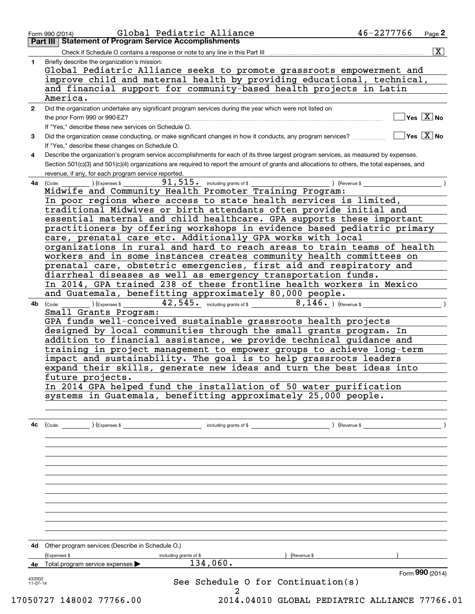|              | Check if Schedule O contains a response or note to any line in this Part III                                                                 |               | $\overline{\mathbf{x}}$             |
|--------------|----------------------------------------------------------------------------------------------------------------------------------------------|---------------|-------------------------------------|
|              | Briefly describe the organization's mission:                                                                                                 |               |                                     |
|              | Global Pediatric Alliance seeks to promote grassroots empowerment and                                                                        |               |                                     |
|              | improve child and maternal health by providing educational, technical,                                                                       |               |                                     |
|              | and financial support for community-based health projects in Latin                                                                           |               |                                     |
|              | America.                                                                                                                                     |               |                                     |
| $\mathbf{2}$ | Did the organization undertake any significant program services during the year which were not listed on                                     |               |                                     |
|              |                                                                                                                                              |               | $\exists$ Yes $\boxed{\text{X}}$ No |
|              | If "Yes." describe these new services on Schedule O.                                                                                         |               |                                     |
| 3            | Did the organization cease conducting, or make significant changes in how it conducts, any program services?                                 |               | $\Box$ Yes $\Box X$ No              |
|              | If "Yes," describe these changes on Schedule O.                                                                                              |               |                                     |
| 4            | Describe the organization's program service accomplishments for each of its three largest program services, as measured by expenses.         |               |                                     |
|              | Section 501(c)(3) and 501(c)(4) organizations are required to report the amount of grants and allocations to others, the total expenses, and |               |                                     |
|              | revenue, if any, for each program service reported.                                                                                          |               |                                     |
| 4a l         | $91,515$ $\cdot$ including grants of \$<br>(Code: ) (Expenses \$                                                                             | ) (Revenue \$ |                                     |
|              | Midwife and Community Health Promoter Training Program:                                                                                      |               |                                     |
|              | In poor regions where access to state health services is limited,                                                                            |               |                                     |
|              | traditional Midwives or birth attendants often provide initial and                                                                           |               |                                     |
|              | essential maternal and child healthcare. GPA supports these important                                                                        |               |                                     |
|              | practitioners by offering workshops in evidence based pediatric primary                                                                      |               |                                     |
|              | care, prenatal care etc. Additionally GPA works with local                                                                                   |               |                                     |
|              | organizations in rural and hard to reach areas to train teams of health                                                                      |               |                                     |
|              | workers and in some instances creates community health committees on<br>prenatal care, obstetric emergencies, first aid and respiratory and  |               |                                     |
|              | diarrheal diseases as well as emergency transportation funds.                                                                                |               |                                     |
|              | In 2014, GPA trained 238 of these frontline health workers in Mexico                                                                         |               |                                     |
|              | and Guatemala, benefitting approximately 80,000 people.                                                                                      |               |                                     |
|              | $42,545$ including grants of \$ 8, 146. ) (Revenue \$                                                                                        |               |                                     |
| 4b           | (Expenses \$<br>(Code:<br>Small Grants Program:                                                                                              |               |                                     |
|              | GPA funds well-conceived sustainable grassroots health projects                                                                              |               |                                     |
|              | designed by local communities through the small grants program. In                                                                           |               |                                     |
|              | addition to financial assistance, we provide technical guidance and                                                                          |               |                                     |
|              | training in project management to empower groups to achieve long-term                                                                        |               |                                     |
|              | impact and sustainability. The goal is to help grassroots leaders                                                                            |               |                                     |
|              | expand their skills, generate new ideas and turn the best ideas into                                                                         |               |                                     |
|              | future projects.                                                                                                                             |               |                                     |
|              | In 2014 GPA helped fund the installation of 50 water purification                                                                            |               |                                     |
|              | systems in Guatemala, benefitting approximately 25,000 people.                                                                               |               |                                     |
|              |                                                                                                                                              |               |                                     |
|              |                                                                                                                                              |               |                                     |
| 4c           |                                                                                                                                              |               |                                     |
|              |                                                                                                                                              |               |                                     |
|              |                                                                                                                                              |               |                                     |
|              |                                                                                                                                              |               |                                     |
|              |                                                                                                                                              |               |                                     |
|              |                                                                                                                                              |               |                                     |
|              |                                                                                                                                              |               |                                     |
|              |                                                                                                                                              |               |                                     |
|              |                                                                                                                                              |               |                                     |
|              |                                                                                                                                              |               |                                     |
|              |                                                                                                                                              |               |                                     |
|              |                                                                                                                                              |               |                                     |
|              |                                                                                                                                              |               |                                     |
|              | 4d Other program services (Describe in Schedule O.)                                                                                          |               |                                     |
|              | (Expenses \$<br>including grants of \$                                                                                                       | ) (Revenue \$ |                                     |
| 4е           | 134,060.<br>Total program service expenses                                                                                                   |               |                                     |
| 432002       | See Schedule O for Continuation(s)                                                                                                           |               | Form 990 (2014)                     |
|              | $11-07-14$                                                                                                                                   |               |                                     |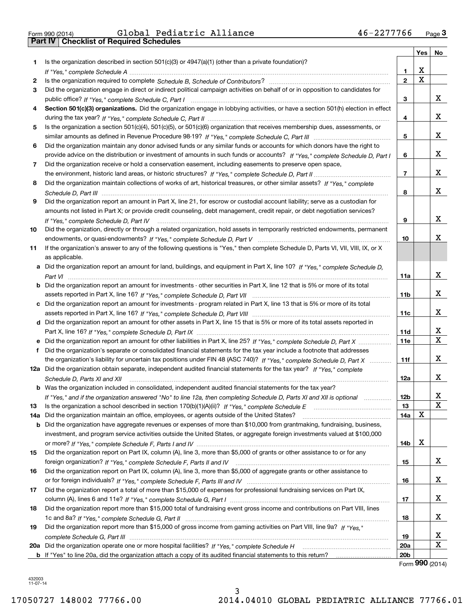| Form 990 (2014) |  |  |
|-----------------|--|--|

|     |                                                                                                                                      |                        | Yes         | No     |
|-----|--------------------------------------------------------------------------------------------------------------------------------------|------------------------|-------------|--------|
| 1   | Is the organization described in section $501(c)(3)$ or $4947(a)(1)$ (other than a private foundation)?                              |                        |             |        |
|     |                                                                                                                                      | 1.                     | X           |        |
| 2   |                                                                                                                                      | $\overline{2}$         | $\mathbf x$ |        |
| 3   | Did the organization engage in direct or indirect political campaign activities on behalf of or in opposition to candidates for      |                        |             |        |
|     |                                                                                                                                      | 3                      |             | x      |
| 4   | Section 501(c)(3) organizations. Did the organization engage in lobbying activities, or have a section 501(h) election in effect     |                        |             |        |
|     |                                                                                                                                      | 4                      |             | х      |
| 5   | Is the organization a section 501(c)(4), 501(c)(5), or 501(c)(6) organization that receives membership dues, assessments, or         |                        |             |        |
|     |                                                                                                                                      | 5                      |             | х      |
| 6   | Did the organization maintain any donor advised funds or any similar funds or accounts for which donors have the right to            |                        |             |        |
|     | provide advice on the distribution or investment of amounts in such funds or accounts? If "Yes," complete Schedule D, Part I         | 6                      |             | x      |
| 7   | Did the organization receive or hold a conservation easement, including easements to preserve open space,                            |                        |             |        |
|     |                                                                                                                                      | $\overline{7}$         |             | x      |
| 8   | Did the organization maintain collections of works of art, historical treasures, or other similar assets? If "Yes," complete         |                        |             |        |
|     |                                                                                                                                      | 8                      |             | х      |
| 9   | Did the organization report an amount in Part X, line 21, for escrow or custodial account liability; serve as a custodian for        |                        |             |        |
|     | amounts not listed in Part X; or provide credit counseling, debt management, credit repair, or debt negotiation services?            |                        |             |        |
|     | If "Yes," complete Schedule D, Part IV                                                                                               | 9                      |             | х      |
| 10  | Did the organization, directly or through a related organization, hold assets in temporarily restricted endowments, permanent        |                        |             |        |
|     |                                                                                                                                      | 10                     |             | Χ      |
| 11  | If the organization's answer to any of the following questions is "Yes," then complete Schedule D, Parts VI, VII, VIII, IX, or X     |                        |             |        |
|     | as applicable.                                                                                                                       |                        |             |        |
|     | a Did the organization report an amount for land, buildings, and equipment in Part X, line 10? If "Yes," complete Schedule D,        |                        |             |        |
|     |                                                                                                                                      | 11a                    |             | X      |
|     | <b>b</b> Did the organization report an amount for investments - other securities in Part X, line 12 that is 5% or more of its total |                        |             |        |
|     |                                                                                                                                      | 11 <sub>b</sub>        |             | x      |
|     | c Did the organization report an amount for investments - program related in Part X, line 13 that is 5% or more of its total         |                        |             |        |
|     |                                                                                                                                      | 11c                    |             | x      |
|     | d Did the organization report an amount for other assets in Part X, line 15 that is 5% or more of its total assets reported in       |                        |             |        |
|     |                                                                                                                                      | 11d                    |             | х      |
|     | e Did the organization report an amount for other liabilities in Part X, line 25? If "Yes," complete Schedule D, Part X              | <b>11e</b>             |             | X      |
| f   | Did the organization's separate or consolidated financial statements for the tax year include a footnote that addresses              |                        |             |        |
|     | the organization's liability for uncertain tax positions under FIN 48 (ASC 740)? If "Yes," complete Schedule D, Part X               | 11f                    |             | x      |
|     | 12a Did the organization obtain separate, independent audited financial statements for the tax year? If "Yes," complete              |                        |             |        |
|     | Schedule D, Parts XI and XII                                                                                                         | 12a                    |             | x      |
|     | <b>b</b> Was the organization included in consolidated, independent audited financial statements for the tax year?                   |                        |             |        |
|     | If "Yes," and if the organization answered "No" to line 12a, then completing Schedule D, Parts XI and XII is optional                | 12b                    |             | X<br>X |
| 13  | Is the organization a school described in section $170(b)(1)(A)(ii)?$ If "Yes," complete Schedule E                                  | 13                     |             |        |
| 14a | Did the organization maintain an office, employees, or agents outside of the United States?                                          | 14a                    | X           |        |
| b   | Did the organization have aggregate revenues or expenses of more than \$10,000 from grantmaking, fundraising, business,              |                        |             |        |
|     | investment, and program service activities outside the United States, or aggregate foreign investments valued at \$100,000           |                        | Х           |        |
|     |                                                                                                                                      | 14b                    |             |        |
| 15  | Did the organization report on Part IX, column (A), line 3, more than \$5,000 of grants or other assistance to or for any            |                        |             | x      |
|     |                                                                                                                                      | 15                     |             |        |
| 16  | Did the organization report on Part IX, column (A), line 3, more than \$5,000 of aggregate grants or other assistance to             |                        |             | х      |
|     |                                                                                                                                      | 16                     |             |        |
| 17  | Did the organization report a total of more than \$15,000 of expenses for professional fundraising services on Part IX,              |                        |             | х      |
|     |                                                                                                                                      | 17                     |             |        |
| 18  | Did the organization report more than \$15,000 total of fundraising event gross income and contributions on Part VIII, lines         |                        |             | х      |
|     | Did the organization report more than \$15,000 of gross income from gaming activities on Part VIII, line 9a? If "Yes."               | 18                     |             |        |
| 19  |                                                                                                                                      |                        |             | х      |
|     |                                                                                                                                      | 19                     |             | X      |
|     |                                                                                                                                      | 20a<br>20 <sub>b</sub> |             |        |
|     |                                                                                                                                      |                        |             |        |

Form (2014) **990**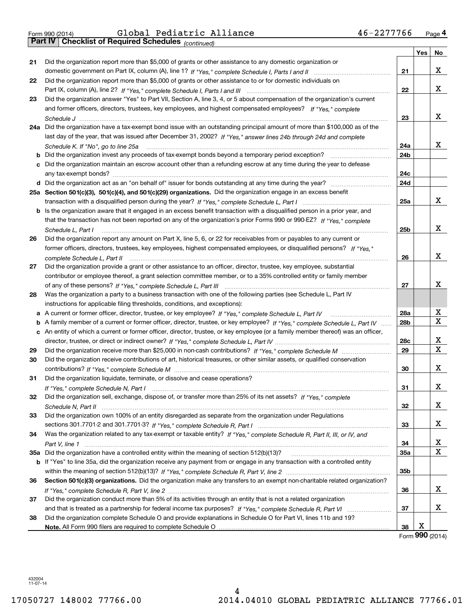*(continued)*

| Did the organization report more than \$5,000 of grants or other assistance to any domestic organization or<br>21<br>x<br>21<br>Did the organization report more than \$5,000 of grants or other assistance to or for domestic individuals on<br>22<br>x<br>22<br>Did the organization answer "Yes" to Part VII, Section A, line 3, 4, or 5 about compensation of the organization's current<br>23<br>and former officers, directors, trustees, key employees, and highest compensated employees? If "Yes," complete<br>x<br>23<br>Schedule J ………………………………………………………………………………<br>24a Did the organization have a tax-exempt bond issue with an outstanding principal amount of more than \$100,000 as of the<br>last day of the year, that was issued after December 31, 2002? If "Yes," answer lines 24b through 24d and complete<br>x<br>24a<br>Schedule K. If "No", go to line 25a<br>24b<br>Did the organization invest any proceeds of tax-exempt bonds beyond a temporary period exception?<br>b<br>Did the organization maintain an escrow account other than a refunding escrow at any time during the year to defease<br>24c<br>24d<br>25a Section 501(c)(3), 501(c)(4), and 501(c)(29) organizations. Did the organization engage in an excess benefit<br>x<br>25a<br>Is the organization aware that it engaged in an excess benefit transaction with a disqualified person in a prior year, and<br>b<br>that the transaction has not been reported on any of the organization's prior Forms 990 or 990-EZ? If "Yes," complete<br>x<br>25b<br>Schedule L, Part I<br>Did the organization report any amount on Part X, line 5, 6, or 22 for receivables from or payables to any current or<br>26<br>former officers, directors, trustees, key employees, highest compensated employees, or disqualified persons? If "Yes."<br>x<br>26<br>complete Schedule L. Part II<br>Did the organization provide a grant or other assistance to an officer, director, trustee, key employee, substantial<br>27<br>contributor or employee thereof, a grant selection committee member, or to a 35% controlled entity or family member<br>x<br>27<br>Was the organization a party to a business transaction with one of the following parties (see Schedule L, Part IV<br>28<br>instructions for applicable filing thresholds, conditions, and exceptions):<br>X<br>28a<br>а<br>X<br>28 <sub>b</sub><br>A family member of a current or former officer, director, trustee, or key employee? If "Yes," complete Schedule L, Part IV<br>b<br>An entity of which a current or former officer, director, trustee, or key employee (or a family member thereof) was an officer,<br>c<br>X<br>28c<br>X<br>29<br>29<br>Did the organization receive contributions of art, historical treasures, or other similar assets, or qualified conservation<br>30<br>x<br>30<br>Did the organization liquidate, terminate, or dissolve and cease operations?<br>31<br>x<br>31<br>Did the organization sell, exchange, dispose of, or transfer more than 25% of its net assets? If "Yes," complete<br>32<br>х<br>32<br>Did the organization own 100% of an entity disregarded as separate from the organization under Regulations<br>33<br>х<br>33<br>Was the organization related to any tax-exempt or taxable entity? If "Yes," complete Schedule R, Part II, III, or IV, and<br>34<br>x<br>34<br>X<br>35a Did the organization have a controlled entity within the meaning of section 512(b)(13)?<br>35a<br>b If "Yes" to line 35a, did the organization receive any payment from or engage in any transaction with a controlled entity<br>35b<br>Section 501(c)(3) organizations. Did the organization make any transfers to an exempt non-charitable related organization?<br>36<br>x<br>36<br>Did the organization conduct more than 5% of its activities through an entity that is not a related organization<br>37<br>x<br>37<br>Did the organization complete Schedule O and provide explanations in Schedule O for Part VI, lines 11b and 19?<br>38 |  |    | Yes | No |
|------------------------------------------------------------------------------------------------------------------------------------------------------------------------------------------------------------------------------------------------------------------------------------------------------------------------------------------------------------------------------------------------------------------------------------------------------------------------------------------------------------------------------------------------------------------------------------------------------------------------------------------------------------------------------------------------------------------------------------------------------------------------------------------------------------------------------------------------------------------------------------------------------------------------------------------------------------------------------------------------------------------------------------------------------------------------------------------------------------------------------------------------------------------------------------------------------------------------------------------------------------------------------------------------------------------------------------------------------------------------------------------------------------------------------------------------------------------------------------------------------------------------------------------------------------------------------------------------------------------------------------------------------------------------------------------------------------------------------------------------------------------------------------------------------------------------------------------------------------------------------------------------------------------------------------------------------------------------------------------------------------------------------------------------------------------------------------------------------------------------------------------------------------------------------------------------------------------------------------------------------------------------------------------------------------------------------------------------------------------------------------------------------------------------------------------------------------------------------------------------------------------------------------------------------------------------------------------------------------------------------------------------------------------------------------------------------------------------------------------------------------------------------------------------------------------------------------------------------------------------------------------------------------------------------------------------------------------------------------------------------------------------------------------------------------------------------------------------------------------------------------------------------------------------------------------------------------------------------------------------------------------------------------------------------------------------------------------------------------------------------------------------------------------------------------------------------------------------------------------------------------------------------------------------------------------------------------------------------------------------------------------------------------------------------------------------------------------------------------------------------------------------------------------------------------------------------------------------------------------------------------------------------------------------------------------------------------------------------------------------------------------------------------------|--|----|-----|----|
|                                                                                                                                                                                                                                                                                                                                                                                                                                                                                                                                                                                                                                                                                                                                                                                                                                                                                                                                                                                                                                                                                                                                                                                                                                                                                                                                                                                                                                                                                                                                                                                                                                                                                                                                                                                                                                                                                                                                                                                                                                                                                                                                                                                                                                                                                                                                                                                                                                                                                                                                                                                                                                                                                                                                                                                                                                                                                                                                                                                                                                                                                                                                                                                                                                                                                                                                                                                                                                                                                                                                                                                                                                                                                                                                                                                                                                                                                                                                                                                                                                          |  |    |     |    |
|                                                                                                                                                                                                                                                                                                                                                                                                                                                                                                                                                                                                                                                                                                                                                                                                                                                                                                                                                                                                                                                                                                                                                                                                                                                                                                                                                                                                                                                                                                                                                                                                                                                                                                                                                                                                                                                                                                                                                                                                                                                                                                                                                                                                                                                                                                                                                                                                                                                                                                                                                                                                                                                                                                                                                                                                                                                                                                                                                                                                                                                                                                                                                                                                                                                                                                                                                                                                                                                                                                                                                                                                                                                                                                                                                                                                                                                                                                                                                                                                                                          |  |    |     |    |
|                                                                                                                                                                                                                                                                                                                                                                                                                                                                                                                                                                                                                                                                                                                                                                                                                                                                                                                                                                                                                                                                                                                                                                                                                                                                                                                                                                                                                                                                                                                                                                                                                                                                                                                                                                                                                                                                                                                                                                                                                                                                                                                                                                                                                                                                                                                                                                                                                                                                                                                                                                                                                                                                                                                                                                                                                                                                                                                                                                                                                                                                                                                                                                                                                                                                                                                                                                                                                                                                                                                                                                                                                                                                                                                                                                                                                                                                                                                                                                                                                                          |  |    |     |    |
|                                                                                                                                                                                                                                                                                                                                                                                                                                                                                                                                                                                                                                                                                                                                                                                                                                                                                                                                                                                                                                                                                                                                                                                                                                                                                                                                                                                                                                                                                                                                                                                                                                                                                                                                                                                                                                                                                                                                                                                                                                                                                                                                                                                                                                                                                                                                                                                                                                                                                                                                                                                                                                                                                                                                                                                                                                                                                                                                                                                                                                                                                                                                                                                                                                                                                                                                                                                                                                                                                                                                                                                                                                                                                                                                                                                                                                                                                                                                                                                                                                          |  |    |     |    |
|                                                                                                                                                                                                                                                                                                                                                                                                                                                                                                                                                                                                                                                                                                                                                                                                                                                                                                                                                                                                                                                                                                                                                                                                                                                                                                                                                                                                                                                                                                                                                                                                                                                                                                                                                                                                                                                                                                                                                                                                                                                                                                                                                                                                                                                                                                                                                                                                                                                                                                                                                                                                                                                                                                                                                                                                                                                                                                                                                                                                                                                                                                                                                                                                                                                                                                                                                                                                                                                                                                                                                                                                                                                                                                                                                                                                                                                                                                                                                                                                                                          |  |    |     |    |
|                                                                                                                                                                                                                                                                                                                                                                                                                                                                                                                                                                                                                                                                                                                                                                                                                                                                                                                                                                                                                                                                                                                                                                                                                                                                                                                                                                                                                                                                                                                                                                                                                                                                                                                                                                                                                                                                                                                                                                                                                                                                                                                                                                                                                                                                                                                                                                                                                                                                                                                                                                                                                                                                                                                                                                                                                                                                                                                                                                                                                                                                                                                                                                                                                                                                                                                                                                                                                                                                                                                                                                                                                                                                                                                                                                                                                                                                                                                                                                                                                                          |  |    |     |    |
|                                                                                                                                                                                                                                                                                                                                                                                                                                                                                                                                                                                                                                                                                                                                                                                                                                                                                                                                                                                                                                                                                                                                                                                                                                                                                                                                                                                                                                                                                                                                                                                                                                                                                                                                                                                                                                                                                                                                                                                                                                                                                                                                                                                                                                                                                                                                                                                                                                                                                                                                                                                                                                                                                                                                                                                                                                                                                                                                                                                                                                                                                                                                                                                                                                                                                                                                                                                                                                                                                                                                                                                                                                                                                                                                                                                                                                                                                                                                                                                                                                          |  |    |     |    |
|                                                                                                                                                                                                                                                                                                                                                                                                                                                                                                                                                                                                                                                                                                                                                                                                                                                                                                                                                                                                                                                                                                                                                                                                                                                                                                                                                                                                                                                                                                                                                                                                                                                                                                                                                                                                                                                                                                                                                                                                                                                                                                                                                                                                                                                                                                                                                                                                                                                                                                                                                                                                                                                                                                                                                                                                                                                                                                                                                                                                                                                                                                                                                                                                                                                                                                                                                                                                                                                                                                                                                                                                                                                                                                                                                                                                                                                                                                                                                                                                                                          |  |    |     |    |
|                                                                                                                                                                                                                                                                                                                                                                                                                                                                                                                                                                                                                                                                                                                                                                                                                                                                                                                                                                                                                                                                                                                                                                                                                                                                                                                                                                                                                                                                                                                                                                                                                                                                                                                                                                                                                                                                                                                                                                                                                                                                                                                                                                                                                                                                                                                                                                                                                                                                                                                                                                                                                                                                                                                                                                                                                                                                                                                                                                                                                                                                                                                                                                                                                                                                                                                                                                                                                                                                                                                                                                                                                                                                                                                                                                                                                                                                                                                                                                                                                                          |  |    |     |    |
|                                                                                                                                                                                                                                                                                                                                                                                                                                                                                                                                                                                                                                                                                                                                                                                                                                                                                                                                                                                                                                                                                                                                                                                                                                                                                                                                                                                                                                                                                                                                                                                                                                                                                                                                                                                                                                                                                                                                                                                                                                                                                                                                                                                                                                                                                                                                                                                                                                                                                                                                                                                                                                                                                                                                                                                                                                                                                                                                                                                                                                                                                                                                                                                                                                                                                                                                                                                                                                                                                                                                                                                                                                                                                                                                                                                                                                                                                                                                                                                                                                          |  |    |     |    |
|                                                                                                                                                                                                                                                                                                                                                                                                                                                                                                                                                                                                                                                                                                                                                                                                                                                                                                                                                                                                                                                                                                                                                                                                                                                                                                                                                                                                                                                                                                                                                                                                                                                                                                                                                                                                                                                                                                                                                                                                                                                                                                                                                                                                                                                                                                                                                                                                                                                                                                                                                                                                                                                                                                                                                                                                                                                                                                                                                                                                                                                                                                                                                                                                                                                                                                                                                                                                                                                                                                                                                                                                                                                                                                                                                                                                                                                                                                                                                                                                                                          |  |    |     |    |
|                                                                                                                                                                                                                                                                                                                                                                                                                                                                                                                                                                                                                                                                                                                                                                                                                                                                                                                                                                                                                                                                                                                                                                                                                                                                                                                                                                                                                                                                                                                                                                                                                                                                                                                                                                                                                                                                                                                                                                                                                                                                                                                                                                                                                                                                                                                                                                                                                                                                                                                                                                                                                                                                                                                                                                                                                                                                                                                                                                                                                                                                                                                                                                                                                                                                                                                                                                                                                                                                                                                                                                                                                                                                                                                                                                                                                                                                                                                                                                                                                                          |  |    |     |    |
|                                                                                                                                                                                                                                                                                                                                                                                                                                                                                                                                                                                                                                                                                                                                                                                                                                                                                                                                                                                                                                                                                                                                                                                                                                                                                                                                                                                                                                                                                                                                                                                                                                                                                                                                                                                                                                                                                                                                                                                                                                                                                                                                                                                                                                                                                                                                                                                                                                                                                                                                                                                                                                                                                                                                                                                                                                                                                                                                                                                                                                                                                                                                                                                                                                                                                                                                                                                                                                                                                                                                                                                                                                                                                                                                                                                                                                                                                                                                                                                                                                          |  |    |     |    |
|                                                                                                                                                                                                                                                                                                                                                                                                                                                                                                                                                                                                                                                                                                                                                                                                                                                                                                                                                                                                                                                                                                                                                                                                                                                                                                                                                                                                                                                                                                                                                                                                                                                                                                                                                                                                                                                                                                                                                                                                                                                                                                                                                                                                                                                                                                                                                                                                                                                                                                                                                                                                                                                                                                                                                                                                                                                                                                                                                                                                                                                                                                                                                                                                                                                                                                                                                                                                                                                                                                                                                                                                                                                                                                                                                                                                                                                                                                                                                                                                                                          |  |    |     |    |
|                                                                                                                                                                                                                                                                                                                                                                                                                                                                                                                                                                                                                                                                                                                                                                                                                                                                                                                                                                                                                                                                                                                                                                                                                                                                                                                                                                                                                                                                                                                                                                                                                                                                                                                                                                                                                                                                                                                                                                                                                                                                                                                                                                                                                                                                                                                                                                                                                                                                                                                                                                                                                                                                                                                                                                                                                                                                                                                                                                                                                                                                                                                                                                                                                                                                                                                                                                                                                                                                                                                                                                                                                                                                                                                                                                                                                                                                                                                                                                                                                                          |  |    |     |    |
|                                                                                                                                                                                                                                                                                                                                                                                                                                                                                                                                                                                                                                                                                                                                                                                                                                                                                                                                                                                                                                                                                                                                                                                                                                                                                                                                                                                                                                                                                                                                                                                                                                                                                                                                                                                                                                                                                                                                                                                                                                                                                                                                                                                                                                                                                                                                                                                                                                                                                                                                                                                                                                                                                                                                                                                                                                                                                                                                                                                                                                                                                                                                                                                                                                                                                                                                                                                                                                                                                                                                                                                                                                                                                                                                                                                                                                                                                                                                                                                                                                          |  |    |     |    |
|                                                                                                                                                                                                                                                                                                                                                                                                                                                                                                                                                                                                                                                                                                                                                                                                                                                                                                                                                                                                                                                                                                                                                                                                                                                                                                                                                                                                                                                                                                                                                                                                                                                                                                                                                                                                                                                                                                                                                                                                                                                                                                                                                                                                                                                                                                                                                                                                                                                                                                                                                                                                                                                                                                                                                                                                                                                                                                                                                                                                                                                                                                                                                                                                                                                                                                                                                                                                                                                                                                                                                                                                                                                                                                                                                                                                                                                                                                                                                                                                                                          |  |    |     |    |
|                                                                                                                                                                                                                                                                                                                                                                                                                                                                                                                                                                                                                                                                                                                                                                                                                                                                                                                                                                                                                                                                                                                                                                                                                                                                                                                                                                                                                                                                                                                                                                                                                                                                                                                                                                                                                                                                                                                                                                                                                                                                                                                                                                                                                                                                                                                                                                                                                                                                                                                                                                                                                                                                                                                                                                                                                                                                                                                                                                                                                                                                                                                                                                                                                                                                                                                                                                                                                                                                                                                                                                                                                                                                                                                                                                                                                                                                                                                                                                                                                                          |  |    |     |    |
|                                                                                                                                                                                                                                                                                                                                                                                                                                                                                                                                                                                                                                                                                                                                                                                                                                                                                                                                                                                                                                                                                                                                                                                                                                                                                                                                                                                                                                                                                                                                                                                                                                                                                                                                                                                                                                                                                                                                                                                                                                                                                                                                                                                                                                                                                                                                                                                                                                                                                                                                                                                                                                                                                                                                                                                                                                                                                                                                                                                                                                                                                                                                                                                                                                                                                                                                                                                                                                                                                                                                                                                                                                                                                                                                                                                                                                                                                                                                                                                                                                          |  |    |     |    |
|                                                                                                                                                                                                                                                                                                                                                                                                                                                                                                                                                                                                                                                                                                                                                                                                                                                                                                                                                                                                                                                                                                                                                                                                                                                                                                                                                                                                                                                                                                                                                                                                                                                                                                                                                                                                                                                                                                                                                                                                                                                                                                                                                                                                                                                                                                                                                                                                                                                                                                                                                                                                                                                                                                                                                                                                                                                                                                                                                                                                                                                                                                                                                                                                                                                                                                                                                                                                                                                                                                                                                                                                                                                                                                                                                                                                                                                                                                                                                                                                                                          |  |    |     |    |
|                                                                                                                                                                                                                                                                                                                                                                                                                                                                                                                                                                                                                                                                                                                                                                                                                                                                                                                                                                                                                                                                                                                                                                                                                                                                                                                                                                                                                                                                                                                                                                                                                                                                                                                                                                                                                                                                                                                                                                                                                                                                                                                                                                                                                                                                                                                                                                                                                                                                                                                                                                                                                                                                                                                                                                                                                                                                                                                                                                                                                                                                                                                                                                                                                                                                                                                                                                                                                                                                                                                                                                                                                                                                                                                                                                                                                                                                                                                                                                                                                                          |  |    |     |    |
|                                                                                                                                                                                                                                                                                                                                                                                                                                                                                                                                                                                                                                                                                                                                                                                                                                                                                                                                                                                                                                                                                                                                                                                                                                                                                                                                                                                                                                                                                                                                                                                                                                                                                                                                                                                                                                                                                                                                                                                                                                                                                                                                                                                                                                                                                                                                                                                                                                                                                                                                                                                                                                                                                                                                                                                                                                                                                                                                                                                                                                                                                                                                                                                                                                                                                                                                                                                                                                                                                                                                                                                                                                                                                                                                                                                                                                                                                                                                                                                                                                          |  |    |     |    |
|                                                                                                                                                                                                                                                                                                                                                                                                                                                                                                                                                                                                                                                                                                                                                                                                                                                                                                                                                                                                                                                                                                                                                                                                                                                                                                                                                                                                                                                                                                                                                                                                                                                                                                                                                                                                                                                                                                                                                                                                                                                                                                                                                                                                                                                                                                                                                                                                                                                                                                                                                                                                                                                                                                                                                                                                                                                                                                                                                                                                                                                                                                                                                                                                                                                                                                                                                                                                                                                                                                                                                                                                                                                                                                                                                                                                                                                                                                                                                                                                                                          |  |    |     |    |
|                                                                                                                                                                                                                                                                                                                                                                                                                                                                                                                                                                                                                                                                                                                                                                                                                                                                                                                                                                                                                                                                                                                                                                                                                                                                                                                                                                                                                                                                                                                                                                                                                                                                                                                                                                                                                                                                                                                                                                                                                                                                                                                                                                                                                                                                                                                                                                                                                                                                                                                                                                                                                                                                                                                                                                                                                                                                                                                                                                                                                                                                                                                                                                                                                                                                                                                                                                                                                                                                                                                                                                                                                                                                                                                                                                                                                                                                                                                                                                                                                                          |  |    |     |    |
|                                                                                                                                                                                                                                                                                                                                                                                                                                                                                                                                                                                                                                                                                                                                                                                                                                                                                                                                                                                                                                                                                                                                                                                                                                                                                                                                                                                                                                                                                                                                                                                                                                                                                                                                                                                                                                                                                                                                                                                                                                                                                                                                                                                                                                                                                                                                                                                                                                                                                                                                                                                                                                                                                                                                                                                                                                                                                                                                                                                                                                                                                                                                                                                                                                                                                                                                                                                                                                                                                                                                                                                                                                                                                                                                                                                                                                                                                                                                                                                                                                          |  |    |     |    |
|                                                                                                                                                                                                                                                                                                                                                                                                                                                                                                                                                                                                                                                                                                                                                                                                                                                                                                                                                                                                                                                                                                                                                                                                                                                                                                                                                                                                                                                                                                                                                                                                                                                                                                                                                                                                                                                                                                                                                                                                                                                                                                                                                                                                                                                                                                                                                                                                                                                                                                                                                                                                                                                                                                                                                                                                                                                                                                                                                                                                                                                                                                                                                                                                                                                                                                                                                                                                                                                                                                                                                                                                                                                                                                                                                                                                                                                                                                                                                                                                                                          |  |    |     |    |
|                                                                                                                                                                                                                                                                                                                                                                                                                                                                                                                                                                                                                                                                                                                                                                                                                                                                                                                                                                                                                                                                                                                                                                                                                                                                                                                                                                                                                                                                                                                                                                                                                                                                                                                                                                                                                                                                                                                                                                                                                                                                                                                                                                                                                                                                                                                                                                                                                                                                                                                                                                                                                                                                                                                                                                                                                                                                                                                                                                                                                                                                                                                                                                                                                                                                                                                                                                                                                                                                                                                                                                                                                                                                                                                                                                                                                                                                                                                                                                                                                                          |  |    |     |    |
|                                                                                                                                                                                                                                                                                                                                                                                                                                                                                                                                                                                                                                                                                                                                                                                                                                                                                                                                                                                                                                                                                                                                                                                                                                                                                                                                                                                                                                                                                                                                                                                                                                                                                                                                                                                                                                                                                                                                                                                                                                                                                                                                                                                                                                                                                                                                                                                                                                                                                                                                                                                                                                                                                                                                                                                                                                                                                                                                                                                                                                                                                                                                                                                                                                                                                                                                                                                                                                                                                                                                                                                                                                                                                                                                                                                                                                                                                                                                                                                                                                          |  |    |     |    |
|                                                                                                                                                                                                                                                                                                                                                                                                                                                                                                                                                                                                                                                                                                                                                                                                                                                                                                                                                                                                                                                                                                                                                                                                                                                                                                                                                                                                                                                                                                                                                                                                                                                                                                                                                                                                                                                                                                                                                                                                                                                                                                                                                                                                                                                                                                                                                                                                                                                                                                                                                                                                                                                                                                                                                                                                                                                                                                                                                                                                                                                                                                                                                                                                                                                                                                                                                                                                                                                                                                                                                                                                                                                                                                                                                                                                                                                                                                                                                                                                                                          |  |    |     |    |
|                                                                                                                                                                                                                                                                                                                                                                                                                                                                                                                                                                                                                                                                                                                                                                                                                                                                                                                                                                                                                                                                                                                                                                                                                                                                                                                                                                                                                                                                                                                                                                                                                                                                                                                                                                                                                                                                                                                                                                                                                                                                                                                                                                                                                                                                                                                                                                                                                                                                                                                                                                                                                                                                                                                                                                                                                                                                                                                                                                                                                                                                                                                                                                                                                                                                                                                                                                                                                                                                                                                                                                                                                                                                                                                                                                                                                                                                                                                                                                                                                                          |  |    |     |    |
|                                                                                                                                                                                                                                                                                                                                                                                                                                                                                                                                                                                                                                                                                                                                                                                                                                                                                                                                                                                                                                                                                                                                                                                                                                                                                                                                                                                                                                                                                                                                                                                                                                                                                                                                                                                                                                                                                                                                                                                                                                                                                                                                                                                                                                                                                                                                                                                                                                                                                                                                                                                                                                                                                                                                                                                                                                                                                                                                                                                                                                                                                                                                                                                                                                                                                                                                                                                                                                                                                                                                                                                                                                                                                                                                                                                                                                                                                                                                                                                                                                          |  |    |     |    |
|                                                                                                                                                                                                                                                                                                                                                                                                                                                                                                                                                                                                                                                                                                                                                                                                                                                                                                                                                                                                                                                                                                                                                                                                                                                                                                                                                                                                                                                                                                                                                                                                                                                                                                                                                                                                                                                                                                                                                                                                                                                                                                                                                                                                                                                                                                                                                                                                                                                                                                                                                                                                                                                                                                                                                                                                                                                                                                                                                                                                                                                                                                                                                                                                                                                                                                                                                                                                                                                                                                                                                                                                                                                                                                                                                                                                                                                                                                                                                                                                                                          |  |    |     |    |
|                                                                                                                                                                                                                                                                                                                                                                                                                                                                                                                                                                                                                                                                                                                                                                                                                                                                                                                                                                                                                                                                                                                                                                                                                                                                                                                                                                                                                                                                                                                                                                                                                                                                                                                                                                                                                                                                                                                                                                                                                                                                                                                                                                                                                                                                                                                                                                                                                                                                                                                                                                                                                                                                                                                                                                                                                                                                                                                                                                                                                                                                                                                                                                                                                                                                                                                                                                                                                                                                                                                                                                                                                                                                                                                                                                                                                                                                                                                                                                                                                                          |  |    |     |    |
|                                                                                                                                                                                                                                                                                                                                                                                                                                                                                                                                                                                                                                                                                                                                                                                                                                                                                                                                                                                                                                                                                                                                                                                                                                                                                                                                                                                                                                                                                                                                                                                                                                                                                                                                                                                                                                                                                                                                                                                                                                                                                                                                                                                                                                                                                                                                                                                                                                                                                                                                                                                                                                                                                                                                                                                                                                                                                                                                                                                                                                                                                                                                                                                                                                                                                                                                                                                                                                                                                                                                                                                                                                                                                                                                                                                                                                                                                                                                                                                                                                          |  |    |     |    |
|                                                                                                                                                                                                                                                                                                                                                                                                                                                                                                                                                                                                                                                                                                                                                                                                                                                                                                                                                                                                                                                                                                                                                                                                                                                                                                                                                                                                                                                                                                                                                                                                                                                                                                                                                                                                                                                                                                                                                                                                                                                                                                                                                                                                                                                                                                                                                                                                                                                                                                                                                                                                                                                                                                                                                                                                                                                                                                                                                                                                                                                                                                                                                                                                                                                                                                                                                                                                                                                                                                                                                                                                                                                                                                                                                                                                                                                                                                                                                                                                                                          |  |    |     |    |
|                                                                                                                                                                                                                                                                                                                                                                                                                                                                                                                                                                                                                                                                                                                                                                                                                                                                                                                                                                                                                                                                                                                                                                                                                                                                                                                                                                                                                                                                                                                                                                                                                                                                                                                                                                                                                                                                                                                                                                                                                                                                                                                                                                                                                                                                                                                                                                                                                                                                                                                                                                                                                                                                                                                                                                                                                                                                                                                                                                                                                                                                                                                                                                                                                                                                                                                                                                                                                                                                                                                                                                                                                                                                                                                                                                                                                                                                                                                                                                                                                                          |  |    |     |    |
|                                                                                                                                                                                                                                                                                                                                                                                                                                                                                                                                                                                                                                                                                                                                                                                                                                                                                                                                                                                                                                                                                                                                                                                                                                                                                                                                                                                                                                                                                                                                                                                                                                                                                                                                                                                                                                                                                                                                                                                                                                                                                                                                                                                                                                                                                                                                                                                                                                                                                                                                                                                                                                                                                                                                                                                                                                                                                                                                                                                                                                                                                                                                                                                                                                                                                                                                                                                                                                                                                                                                                                                                                                                                                                                                                                                                                                                                                                                                                                                                                                          |  |    |     |    |
|                                                                                                                                                                                                                                                                                                                                                                                                                                                                                                                                                                                                                                                                                                                                                                                                                                                                                                                                                                                                                                                                                                                                                                                                                                                                                                                                                                                                                                                                                                                                                                                                                                                                                                                                                                                                                                                                                                                                                                                                                                                                                                                                                                                                                                                                                                                                                                                                                                                                                                                                                                                                                                                                                                                                                                                                                                                                                                                                                                                                                                                                                                                                                                                                                                                                                                                                                                                                                                                                                                                                                                                                                                                                                                                                                                                                                                                                                                                                                                                                                                          |  |    |     |    |
|                                                                                                                                                                                                                                                                                                                                                                                                                                                                                                                                                                                                                                                                                                                                                                                                                                                                                                                                                                                                                                                                                                                                                                                                                                                                                                                                                                                                                                                                                                                                                                                                                                                                                                                                                                                                                                                                                                                                                                                                                                                                                                                                                                                                                                                                                                                                                                                                                                                                                                                                                                                                                                                                                                                                                                                                                                                                                                                                                                                                                                                                                                                                                                                                                                                                                                                                                                                                                                                                                                                                                                                                                                                                                                                                                                                                                                                                                                                                                                                                                                          |  |    |     |    |
|                                                                                                                                                                                                                                                                                                                                                                                                                                                                                                                                                                                                                                                                                                                                                                                                                                                                                                                                                                                                                                                                                                                                                                                                                                                                                                                                                                                                                                                                                                                                                                                                                                                                                                                                                                                                                                                                                                                                                                                                                                                                                                                                                                                                                                                                                                                                                                                                                                                                                                                                                                                                                                                                                                                                                                                                                                                                                                                                                                                                                                                                                                                                                                                                                                                                                                                                                                                                                                                                                                                                                                                                                                                                                                                                                                                                                                                                                                                                                                                                                                          |  |    |     |    |
|                                                                                                                                                                                                                                                                                                                                                                                                                                                                                                                                                                                                                                                                                                                                                                                                                                                                                                                                                                                                                                                                                                                                                                                                                                                                                                                                                                                                                                                                                                                                                                                                                                                                                                                                                                                                                                                                                                                                                                                                                                                                                                                                                                                                                                                                                                                                                                                                                                                                                                                                                                                                                                                                                                                                                                                                                                                                                                                                                                                                                                                                                                                                                                                                                                                                                                                                                                                                                                                                                                                                                                                                                                                                                                                                                                                                                                                                                                                                                                                                                                          |  |    |     |    |
|                                                                                                                                                                                                                                                                                                                                                                                                                                                                                                                                                                                                                                                                                                                                                                                                                                                                                                                                                                                                                                                                                                                                                                                                                                                                                                                                                                                                                                                                                                                                                                                                                                                                                                                                                                                                                                                                                                                                                                                                                                                                                                                                                                                                                                                                                                                                                                                                                                                                                                                                                                                                                                                                                                                                                                                                                                                                                                                                                                                                                                                                                                                                                                                                                                                                                                                                                                                                                                                                                                                                                                                                                                                                                                                                                                                                                                                                                                                                                                                                                                          |  |    |     |    |
|                                                                                                                                                                                                                                                                                                                                                                                                                                                                                                                                                                                                                                                                                                                                                                                                                                                                                                                                                                                                                                                                                                                                                                                                                                                                                                                                                                                                                                                                                                                                                                                                                                                                                                                                                                                                                                                                                                                                                                                                                                                                                                                                                                                                                                                                                                                                                                                                                                                                                                                                                                                                                                                                                                                                                                                                                                                                                                                                                                                                                                                                                                                                                                                                                                                                                                                                                                                                                                                                                                                                                                                                                                                                                                                                                                                                                                                                                                                                                                                                                                          |  |    |     |    |
|                                                                                                                                                                                                                                                                                                                                                                                                                                                                                                                                                                                                                                                                                                                                                                                                                                                                                                                                                                                                                                                                                                                                                                                                                                                                                                                                                                                                                                                                                                                                                                                                                                                                                                                                                                                                                                                                                                                                                                                                                                                                                                                                                                                                                                                                                                                                                                                                                                                                                                                                                                                                                                                                                                                                                                                                                                                                                                                                                                                                                                                                                                                                                                                                                                                                                                                                                                                                                                                                                                                                                                                                                                                                                                                                                                                                                                                                                                                                                                                                                                          |  |    |     |    |
|                                                                                                                                                                                                                                                                                                                                                                                                                                                                                                                                                                                                                                                                                                                                                                                                                                                                                                                                                                                                                                                                                                                                                                                                                                                                                                                                                                                                                                                                                                                                                                                                                                                                                                                                                                                                                                                                                                                                                                                                                                                                                                                                                                                                                                                                                                                                                                                                                                                                                                                                                                                                                                                                                                                                                                                                                                                                                                                                                                                                                                                                                                                                                                                                                                                                                                                                                                                                                                                                                                                                                                                                                                                                                                                                                                                                                                                                                                                                                                                                                                          |  |    |     |    |
|                                                                                                                                                                                                                                                                                                                                                                                                                                                                                                                                                                                                                                                                                                                                                                                                                                                                                                                                                                                                                                                                                                                                                                                                                                                                                                                                                                                                                                                                                                                                                                                                                                                                                                                                                                                                                                                                                                                                                                                                                                                                                                                                                                                                                                                                                                                                                                                                                                                                                                                                                                                                                                                                                                                                                                                                                                                                                                                                                                                                                                                                                                                                                                                                                                                                                                                                                                                                                                                                                                                                                                                                                                                                                                                                                                                                                                                                                                                                                                                                                                          |  |    |     |    |
|                                                                                                                                                                                                                                                                                                                                                                                                                                                                                                                                                                                                                                                                                                                                                                                                                                                                                                                                                                                                                                                                                                                                                                                                                                                                                                                                                                                                                                                                                                                                                                                                                                                                                                                                                                                                                                                                                                                                                                                                                                                                                                                                                                                                                                                                                                                                                                                                                                                                                                                                                                                                                                                                                                                                                                                                                                                                                                                                                                                                                                                                                                                                                                                                                                                                                                                                                                                                                                                                                                                                                                                                                                                                                                                                                                                                                                                                                                                                                                                                                                          |  |    |     |    |
|                                                                                                                                                                                                                                                                                                                                                                                                                                                                                                                                                                                                                                                                                                                                                                                                                                                                                                                                                                                                                                                                                                                                                                                                                                                                                                                                                                                                                                                                                                                                                                                                                                                                                                                                                                                                                                                                                                                                                                                                                                                                                                                                                                                                                                                                                                                                                                                                                                                                                                                                                                                                                                                                                                                                                                                                                                                                                                                                                                                                                                                                                                                                                                                                                                                                                                                                                                                                                                                                                                                                                                                                                                                                                                                                                                                                                                                                                                                                                                                                                                          |  |    |     |    |
|                                                                                                                                                                                                                                                                                                                                                                                                                                                                                                                                                                                                                                                                                                                                                                                                                                                                                                                                                                                                                                                                                                                                                                                                                                                                                                                                                                                                                                                                                                                                                                                                                                                                                                                                                                                                                                                                                                                                                                                                                                                                                                                                                                                                                                                                                                                                                                                                                                                                                                                                                                                                                                                                                                                                                                                                                                                                                                                                                                                                                                                                                                                                                                                                                                                                                                                                                                                                                                                                                                                                                                                                                                                                                                                                                                                                                                                                                                                                                                                                                                          |  |    |     |    |
|                                                                                                                                                                                                                                                                                                                                                                                                                                                                                                                                                                                                                                                                                                                                                                                                                                                                                                                                                                                                                                                                                                                                                                                                                                                                                                                                                                                                                                                                                                                                                                                                                                                                                                                                                                                                                                                                                                                                                                                                                                                                                                                                                                                                                                                                                                                                                                                                                                                                                                                                                                                                                                                                                                                                                                                                                                                                                                                                                                                                                                                                                                                                                                                                                                                                                                                                                                                                                                                                                                                                                                                                                                                                                                                                                                                                                                                                                                                                                                                                                                          |  | 38 | X   |    |

Form (2014) **990**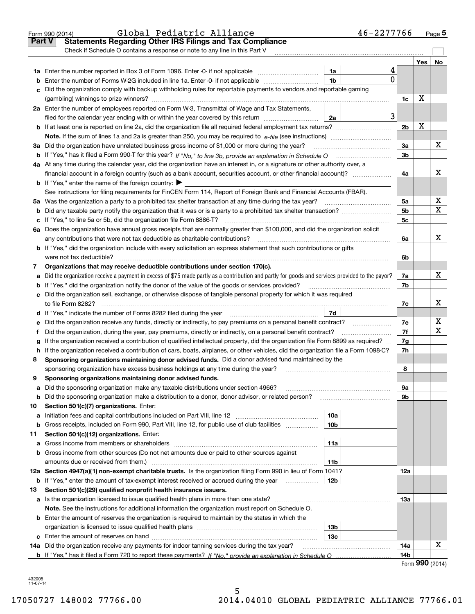|        | Global Pediatric Alliance<br>Form 990 (2014)                                                                                                                                             | 46-2277766 |                 |     | $Page$ <sup>5</sup> |
|--------|------------------------------------------------------------------------------------------------------------------------------------------------------------------------------------------|------------|-----------------|-----|---------------------|
| Part V | <b>Statements Regarding Other IRS Filings and Tax Compliance</b>                                                                                                                         |            |                 |     |                     |
|        | Check if Schedule O contains a response or note to any line in this Part V                                                                                                               |            |                 |     |                     |
|        |                                                                                                                                                                                          |            |                 | Yes | No                  |
|        | 1a<br>1a Enter the number reported in Box 3 of Form 1096. Enter -0- if not applicable                                                                                                    | 4          |                 |     |                     |
| b      | 1b<br>Enter the number of Forms W-2G included in line 1a. Enter -0- if not applicable                                                                                                    | $\Omega$   |                 |     |                     |
|        | Did the organization comply with backup withholding rules for reportable payments to vendors and reportable gaming                                                                       |            |                 |     |                     |
|        |                                                                                                                                                                                          |            | 1c              | х   |                     |
|        | 2a Enter the number of employees reported on Form W-3, Transmittal of Wage and Tax Statements,                                                                                           |            |                 |     |                     |
|        | filed for the calendar year ending with or within the year covered by this return<br>2a                                                                                                  | 3          |                 |     |                     |
|        |                                                                                                                                                                                          |            | 2 <sub>b</sub>  | X   |                     |
|        |                                                                                                                                                                                          |            |                 |     |                     |
|        | 3a Did the organization have unrelated business gross income of \$1,000 or more during the year?                                                                                         |            | За              |     | х                   |
|        |                                                                                                                                                                                          |            | 3 <sub>b</sub>  |     |                     |
|        | 4a At any time during the calendar year, did the organization have an interest in, or a signature or other authority over, a                                                             |            |                 |     |                     |
|        | financial account in a foreign country (such as a bank account, securities account, or other financial account)?                                                                         |            | 4a              |     | х                   |
|        | <b>b</b> If "Yes," enter the name of the foreign country: $\blacktriangleright$                                                                                                          |            |                 |     |                     |
|        | See instructions for filing requirements for FinCEN Form 114, Report of Foreign Bank and Financial Accounts (FBAR).                                                                      |            |                 |     |                     |
|        | 5a Was the organization a party to a prohibited tax shelter transaction at any time during the tax year?                                                                                 |            | 5a              |     | х                   |
|        |                                                                                                                                                                                          |            | 5 <sub>b</sub>  |     | X                   |
|        |                                                                                                                                                                                          |            | 5c              |     |                     |
|        | 6a Does the organization have annual gross receipts that are normally greater than \$100,000, and did the organization solicit                                                           |            |                 |     |                     |
|        | any contributions that were not tax deductible as charitable contributions?                                                                                                              |            | 6a              |     | х                   |
|        | b If "Yes," did the organization include with every solicitation an express statement that such contributions or gifts                                                                   |            |                 |     |                     |
|        | were not tax deductible?                                                                                                                                                                 |            | 6b              |     |                     |
| 7      | Organizations that may receive deductible contributions under section 170(c).                                                                                                            |            |                 |     |                     |
|        | Did the organization receive a payment in excess of \$75 made partly as a contribution and partly for goods and services provided to the payor?                                          |            | 7a              |     | х                   |
| а      | <b>b</b> If "Yes," did the organization notify the donor of the value of the goods or services provided?                                                                                 |            | 7b              |     |                     |
|        | c Did the organization sell, exchange, or otherwise dispose of tangible personal property for which it was required                                                                      |            |                 |     |                     |
|        |                                                                                                                                                                                          |            | 7c              |     | х                   |
|        | 7d<br>d If "Yes," indicate the number of Forms 8282 filed during the year manufactured in the second of the number of Forms 8282 filed during the year manufactured in the substitution. |            |                 |     |                     |
|        | e Did the organization receive any funds, directly or indirectly, to pay premiums on a personal benefit contract?                                                                        |            | 7e              |     | х                   |
| f      | Did the organization, during the year, pay premiums, directly or indirectly, on a personal benefit contract?                                                                             |            | 7f              |     | X                   |
|        | If the organization received a contribution of qualified intellectual property, did the organization file Form 8899 as required?                                                         |            | 7g              |     |                     |
| g      | h If the organization received a contribution of cars, boats, airplanes, or other vehicles, did the organization file a Form 1098-C?                                                     |            | 7h              |     |                     |
| 8      | Sponsoring organizations maintaining donor advised funds. Did a donor advised fund maintained by the                                                                                     |            |                 |     |                     |
|        | sponsoring organization have excess business holdings at any time during the year?                                                                                                       |            | 8               |     |                     |
| 9      | Sponsoring organizations maintaining donor advised funds.                                                                                                                                |            |                 |     |                     |
|        | Did the sponsoring organization make any taxable distributions under section 4966?                                                                                                       |            | 9а              |     |                     |
| а<br>b | Did the sponsoring organization make a distribution to a donor, donor advisor, or related person?                                                                                        |            | 9b              |     |                     |
| 10     | Section 501(c)(7) organizations. Enter:                                                                                                                                                  |            |                 |     |                     |
| а      | 10a<br>Initiation fees and capital contributions included on Part VIII, line 12 <i>manuarous controllers</i>                                                                             |            |                 |     |                     |
| b      | Gross receipts, included on Form 990, Part VIII, line 12, for public use of club facilities<br>10 <sub>b</sub>                                                                           |            |                 |     |                     |
| 11     | Section 501(c)(12) organizations. Enter:                                                                                                                                                 |            |                 |     |                     |
| а      | 11a<br>Gross income from members or shareholders                                                                                                                                         |            |                 |     |                     |
|        | <b>b</b> Gross income from other sources (Do not net amounts due or paid to other sources against                                                                                        |            |                 |     |                     |
|        | amounts due or received from them.)<br>11b                                                                                                                                               |            |                 |     |                     |
|        | 12a Section 4947(a)(1) non-exempt charitable trusts. Is the organization filing Form 990 in lieu of Form 1041?                                                                           |            | 12a             |     |                     |
|        |                                                                                                                                                                                          |            |                 |     |                     |
| b      | If "Yes," enter the amount of tax-exempt interest received or accrued during the year manu-<br>12b                                                                                       |            |                 |     |                     |
| 13     | Section 501(c)(29) qualified nonprofit health insurance issuers.                                                                                                                         |            |                 |     |                     |
|        | a Is the organization licensed to issue qualified health plans in more than one state?                                                                                                   |            | 13а             |     |                     |
|        | Note. See the instructions for additional information the organization must report on Schedule O.                                                                                        |            |                 |     |                     |
|        | <b>b</b> Enter the amount of reserves the organization is required to maintain by the states in which the                                                                                |            |                 |     |                     |
|        | 13 <sub>b</sub>                                                                                                                                                                          |            |                 |     |                     |
|        | 13с                                                                                                                                                                                      |            |                 |     | х                   |
|        | 14a Did the organization receive any payments for indoor tanning services during the tax year?                                                                                           |            | 14a             |     |                     |
|        |                                                                                                                                                                                          |            | 14 <sub>b</sub> | 000 |                     |

Form (2014) **990**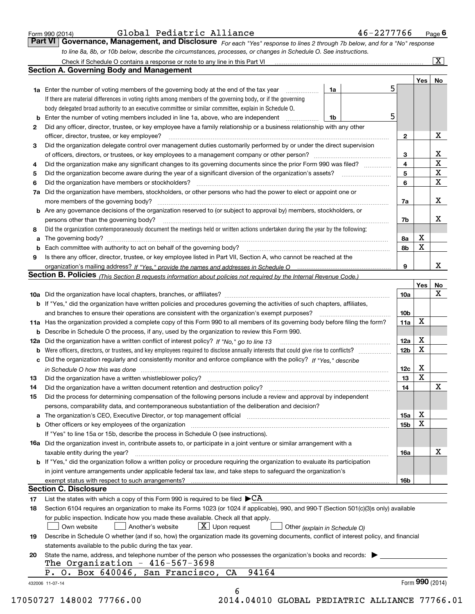|  | Form 990 (2014) |
|--|-----------------|
|  |                 |

| Form 990 (2014) | Global Pediatric Alliance | 46-2277766                                                                                                                  | $P$ <sub>age</sub> $6$ |
|-----------------|---------------------------|-----------------------------------------------------------------------------------------------------------------------------|------------------------|
|                 |                           | Part VI Governance, Management, and Disclosure For each "Yes" response to lines 2 through 7b below, and for a "No" response |                        |
|                 |                           | to line 8a, 8b, or 10b below, describe the circumstances, processes, or changes in Schedule O. See instructions.            |                        |

|                                                                                                                            |                                                                                                                                                                                                                                |    |  | 5 |                 | <b>Yes</b>      | No               |
|----------------------------------------------------------------------------------------------------------------------------|--------------------------------------------------------------------------------------------------------------------------------------------------------------------------------------------------------------------------------|----|--|---|-----------------|-----------------|------------------|
|                                                                                                                            | <b>1a</b> Enter the number of voting members of the governing body at the end of the tax year <i>manumum</i><br>If there are material differences in voting rights among members of the governing body, or if the governing    | 1a |  |   |                 |                 |                  |
|                                                                                                                            | body delegated broad authority to an executive committee or similar committee, explain in Schedule O.                                                                                                                          |    |  |   |                 |                 |                  |
| b                                                                                                                          | Enter the number of voting members included in line 1a, above, who are independent                                                                                                                                             | 1b |  | 5 |                 |                 |                  |
| 2                                                                                                                          | Did any officer, director, trustee, or key employee have a family relationship or a business relationship with any other                                                                                                       |    |  |   |                 |                 |                  |
|                                                                                                                            | officer, director, trustee, or key employee?                                                                                                                                                                                   |    |  |   | $\mathbf{2}$    |                 | X                |
|                                                                                                                            |                                                                                                                                                                                                                                |    |  |   |                 |                 |                  |
| Did the organization delegate control over management duties customarily performed by or under the direct supervision<br>3 |                                                                                                                                                                                                                                |    |  |   |                 |                 |                  |
|                                                                                                                            |                                                                                                                                                                                                                                |    |  |   | 3<br>4          |                 | X<br>$\mathbf X$ |
| 4                                                                                                                          | Did the organization make any significant changes to its governing documents since the prior Form 990 was filed?                                                                                                               |    |  |   | 5               |                 | X                |
| 5                                                                                                                          |                                                                                                                                                                                                                                |    |  |   | 6               |                 | $\mathbf X$      |
| 6                                                                                                                          | Did the organization have members, stockholders, or other persons who had the power to elect or appoint one or                                                                                                                 |    |  |   |                 |                 |                  |
| 7a                                                                                                                         |                                                                                                                                                                                                                                |    |  |   |                 |                 | X                |
|                                                                                                                            |                                                                                                                                                                                                                                |    |  |   | 7a              |                 |                  |
|                                                                                                                            | <b>b</b> Are any governance decisions of the organization reserved to (or subject to approval by) members, stockholders, or                                                                                                    |    |  |   |                 |                 | X                |
|                                                                                                                            | persons other than the governing body?                                                                                                                                                                                         |    |  |   | 7b              |                 |                  |
| 8                                                                                                                          | Did the organization contemporaneously document the meetings held or written actions undertaken during the year by the following:                                                                                              |    |  |   |                 |                 |                  |
| a                                                                                                                          |                                                                                                                                                                                                                                |    |  |   | 8a              | X               |                  |
| b                                                                                                                          |                                                                                                                                                                                                                                |    |  |   | 8b              | X               |                  |
| 9                                                                                                                          | Is there any officer, director, trustee, or key employee listed in Part VII, Section A, who cannot be reached at the                                                                                                           |    |  |   |                 |                 |                  |
|                                                                                                                            |                                                                                                                                                                                                                                |    |  |   | 9               |                 | X                |
|                                                                                                                            | Section B. Policies (This Section B requests information about policies not required by the Internal Revenue Code.)                                                                                                            |    |  |   |                 |                 |                  |
|                                                                                                                            |                                                                                                                                                                                                                                |    |  |   |                 | Yes             | No               |
|                                                                                                                            |                                                                                                                                                                                                                                |    |  |   | 10a             |                 | X                |
|                                                                                                                            | <b>b</b> If "Yes," did the organization have written policies and procedures governing the activities of such chapters, affiliates,                                                                                            |    |  |   |                 |                 |                  |
|                                                                                                                            |                                                                                                                                                                                                                                |    |  |   | 10 <sub>b</sub> |                 |                  |
|                                                                                                                            | 11a Has the organization provided a complete copy of this Form 990 to all members of its governing body before filing the form?                                                                                                |    |  |   | 11a             | X               |                  |
|                                                                                                                            | <b>b</b> Describe in Schedule O the process, if any, used by the organization to review this Form 990.                                                                                                                         |    |  |   |                 |                 |                  |
|                                                                                                                            |                                                                                                                                                                                                                                |    |  |   | 12a             | X               |                  |
| b                                                                                                                          |                                                                                                                                                                                                                                |    |  |   | 12b             | X               |                  |
| c                                                                                                                          | Did the organization regularly and consistently monitor and enforce compliance with the policy? If "Yes," describe                                                                                                             |    |  |   |                 |                 |                  |
|                                                                                                                            | in Schedule O how this was done material contracts and the set of the state of the state of the state of the state of the state of the state of the state of the state of the state of the state of the state of the state of  |    |  |   | 12c             | X               |                  |
| 13                                                                                                                         |                                                                                                                                                                                                                                |    |  |   | 13              | X               |                  |
| 14                                                                                                                         | Did the organization have a written document retention and destruction policy? manufactured and the organization have a written document retention and destruction policy?                                                     |    |  |   | 14              |                 | $\mathbf X$      |
| 15                                                                                                                         | Did the process for determining compensation of the following persons include a review and approval by independent                                                                                                             |    |  |   |                 |                 |                  |
|                                                                                                                            | persons, comparability data, and contemporaneous substantiation of the deliberation and decision?                                                                                                                              |    |  |   |                 |                 |                  |
| a                                                                                                                          | The organization's CEO, Executive Director, or top management official manufactured content content of the organization's CEO, Executive Director, or top management official manufactured content of the original manufacture |    |  |   | 15a             | X               |                  |
|                                                                                                                            | <b>b</b> Other officers or key employees of the organization                                                                                                                                                                   |    |  |   | 15b             | X               |                  |
|                                                                                                                            | If "Yes" to line 15a or 15b, describe the process in Schedule O (see instructions).                                                                                                                                            |    |  |   |                 |                 |                  |
|                                                                                                                            | 16a Did the organization invest in, contribute assets to, or participate in a joint venture or similar arrangement with a                                                                                                      |    |  |   |                 |                 |                  |
|                                                                                                                            | taxable entity during the year?                                                                                                                                                                                                |    |  |   | 16a             |                 | X                |
|                                                                                                                            | b If "Yes," did the organization follow a written policy or procedure requiring the organization to evaluate its participation                                                                                                 |    |  |   |                 |                 |                  |
|                                                                                                                            | in joint venture arrangements under applicable federal tax law, and take steps to safequard the organization's                                                                                                                 |    |  |   |                 |                 |                  |
|                                                                                                                            | exempt status with respect to such arrangements?                                                                                                                                                                               |    |  |   | 16b             |                 |                  |
|                                                                                                                            | <b>Section C. Disclosure</b>                                                                                                                                                                                                   |    |  |   |                 |                 |                  |
| 17                                                                                                                         | List the states with which a copy of this Form 990 is required to be filed $\blacktriangleright$ CA                                                                                                                            |    |  |   |                 |                 |                  |
| 18                                                                                                                         | Section 6104 requires an organization to make its Forms 1023 (or 1024 if applicable), 990, and 990-T (Section 501(c)(3)s only) available                                                                                       |    |  |   |                 |                 |                  |
|                                                                                                                            | for public inspection. Indicate how you made these available. Check all that apply.                                                                                                                                            |    |  |   |                 |                 |                  |
|                                                                                                                            | $\boxed{\text{X}}$ Upon request<br>Another's website<br>Own website<br>Other (explain in Schedule O)                                                                                                                           |    |  |   |                 |                 |                  |
| 19                                                                                                                         | Describe in Schedule O whether (and if so, how) the organization made its governing documents, conflict of interest policy, and financial                                                                                      |    |  |   |                 |                 |                  |
|                                                                                                                            | statements available to the public during the tax year.                                                                                                                                                                        |    |  |   |                 |                 |                  |
| 20                                                                                                                         | State the name, address, and telephone number of the person who possesses the organization's books and records:                                                                                                                |    |  |   |                 |                 |                  |
|                                                                                                                            | The Organization - $416-567-3698$                                                                                                                                                                                              |    |  |   |                 |                 |                  |
|                                                                                                                            | 94164<br>P. O. Box 640046, San Francisco, CA                                                                                                                                                                                   |    |  |   |                 |                 |                  |
|                                                                                                                            |                                                                                                                                                                                                                                |    |  |   |                 | Form 990 (2014) |                  |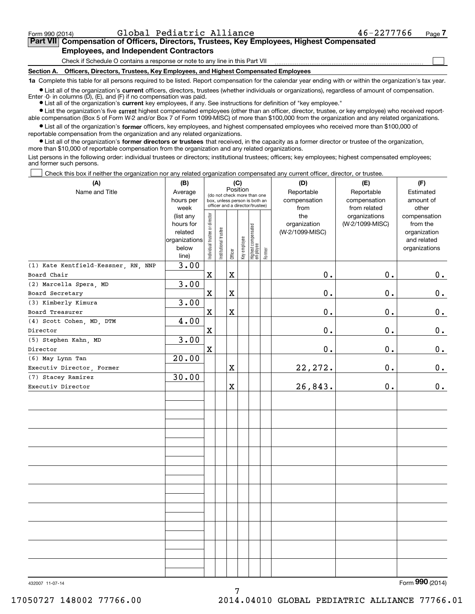$\mathcal{L}^{\text{max}}$ 

# **7Part VII Compensation of Officers, Directors, Trustees, Key Employees, Highest Compensated Employees, and Independent Contractors**

Check if Schedule O contains a response or note to any line in this Part VII

**Section A. Officers, Directors, Trustees, Key Employees, and Highest Compensated Employees**

**1a**  Complete this table for all persons required to be listed. Report compensation for the calendar year ending with or within the organization's tax year.

**•** List all of the organization's current officers, directors, trustees (whether individuals or organizations), regardless of amount of compensation. Enter -0- in columns  $(D)$ ,  $(E)$ , and  $(F)$  if no compensation was paid.

● List all of the organization's **current** key employees, if any. See instructions for definition of "key employee."

**•** List the organization's five current highest compensated employees (other than an officer, director, trustee, or key employee) who received reportable compensation (Box 5 of Form W-2 and/or Box 7 of Form 1099-MISC) of more than \$100,000 from the organization and any related organizations.

 $\bullet$  List all of the organization's **former** officers, key employees, and highest compensated employees who received more than \$100,000 of reportable compensation from the organization and any related organizations.

**•** List all of the organization's former directors or trustees that received, in the capacity as a former director or trustee of the organization, more than \$10,000 of reportable compensation from the organization and any related organizations.

List persons in the following order: individual trustees or directors; institutional trustees; officers; key employees; highest compensated employees; and former such persons.

Check this box if neither the organization nor any related organization compensated any current officer, director, or trustee.  $\mathcal{L}^{\text{max}}$ 

| Position<br>Reportable<br>Average<br>Reportable<br>Estimated<br>(do not check more than one<br>hours per<br>compensation<br>compensation<br>amount of<br>box, unless person is both an<br>officer and a director/trustee)<br>week<br>from related<br>from<br>other<br>Individual trustee or director<br>(list any<br>the<br>organizations<br>compensation<br>(W-2/1099-MISC)<br>hours for<br>organization<br>from the<br>Highest compensated<br>employee<br>Institutional trustee<br>related<br>(W-2/1099-MISC)<br>organization<br>Key employee<br>organizations<br>and related<br>below<br>organizations<br>Former<br>Officer<br>line)<br>3.00<br>(1) Kate Kentfield-Kessner, RN, NNP<br>$0$ .<br>$\mathbf X$<br>$\mathbf X$<br>$0$ .<br>0.<br>Board Chair<br>3.00<br>(2) Marcella Spera, MD<br>$\mathbf 0$ .<br>0.<br>$\mathbf x$<br>$\mathbf X$<br>$0$ .<br>Board Secretary<br>3.00<br>(3) Kimberly Kimura<br>$0$ .<br>$0$ .<br>0.<br>$\mathbf X$<br>$\mathbf X$<br>Board Treasurer<br>4.00<br>(4) Scott Cohen, MD, DTM<br>$0$ .<br>$0$ .<br>0.<br>X<br>Director<br>3.00<br>(5) Stephen Kahn, MD<br>$0$ .<br>$\mathbf 0$ .<br>$\mathbf X$<br>0.<br>Director<br>20.00<br>(6) May Lynn Tan<br>22, 272.<br>0.<br>Χ<br>$\mathbf 0$ .<br>Executiv Director, Former<br>30.00<br>(7) Stacey Ramirez<br>26,843.<br>$\mathbf 0$ .<br>0.<br>Χ<br>Executiv Director | (A)            | (B) | (C) |  |  |  |  | (D) | (E) | (F) |
|-------------------------------------------------------------------------------------------------------------------------------------------------------------------------------------------------------------------------------------------------------------------------------------------------------------------------------------------------------------------------------------------------------------------------------------------------------------------------------------------------------------------------------------------------------------------------------------------------------------------------------------------------------------------------------------------------------------------------------------------------------------------------------------------------------------------------------------------------------------------------------------------------------------------------------------------------------------------------------------------------------------------------------------------------------------------------------------------------------------------------------------------------------------------------------------------------------------------------------------------------------------------------------------------------------------------------------------------------------------|----------------|-----|-----|--|--|--|--|-----|-----|-----|
|                                                                                                                                                                                                                                                                                                                                                                                                                                                                                                                                                                                                                                                                                                                                                                                                                                                                                                                                                                                                                                                                                                                                                                                                                                                                                                                                                             | Name and Title |     |     |  |  |  |  |     |     |     |
|                                                                                                                                                                                                                                                                                                                                                                                                                                                                                                                                                                                                                                                                                                                                                                                                                                                                                                                                                                                                                                                                                                                                                                                                                                                                                                                                                             |                |     |     |  |  |  |  |     |     |     |
|                                                                                                                                                                                                                                                                                                                                                                                                                                                                                                                                                                                                                                                                                                                                                                                                                                                                                                                                                                                                                                                                                                                                                                                                                                                                                                                                                             |                |     |     |  |  |  |  |     |     |     |
|                                                                                                                                                                                                                                                                                                                                                                                                                                                                                                                                                                                                                                                                                                                                                                                                                                                                                                                                                                                                                                                                                                                                                                                                                                                                                                                                                             |                |     |     |  |  |  |  |     |     |     |
|                                                                                                                                                                                                                                                                                                                                                                                                                                                                                                                                                                                                                                                                                                                                                                                                                                                                                                                                                                                                                                                                                                                                                                                                                                                                                                                                                             |                |     |     |  |  |  |  |     |     |     |
|                                                                                                                                                                                                                                                                                                                                                                                                                                                                                                                                                                                                                                                                                                                                                                                                                                                                                                                                                                                                                                                                                                                                                                                                                                                                                                                                                             |                |     |     |  |  |  |  |     |     |     |
|                                                                                                                                                                                                                                                                                                                                                                                                                                                                                                                                                                                                                                                                                                                                                                                                                                                                                                                                                                                                                                                                                                                                                                                                                                                                                                                                                             |                |     |     |  |  |  |  |     |     |     |
|                                                                                                                                                                                                                                                                                                                                                                                                                                                                                                                                                                                                                                                                                                                                                                                                                                                                                                                                                                                                                                                                                                                                                                                                                                                                                                                                                             |                |     |     |  |  |  |  |     |     |     |
|                                                                                                                                                                                                                                                                                                                                                                                                                                                                                                                                                                                                                                                                                                                                                                                                                                                                                                                                                                                                                                                                                                                                                                                                                                                                                                                                                             |                |     |     |  |  |  |  |     |     |     |
|                                                                                                                                                                                                                                                                                                                                                                                                                                                                                                                                                                                                                                                                                                                                                                                                                                                                                                                                                                                                                                                                                                                                                                                                                                                                                                                                                             |                |     |     |  |  |  |  |     |     |     |
|                                                                                                                                                                                                                                                                                                                                                                                                                                                                                                                                                                                                                                                                                                                                                                                                                                                                                                                                                                                                                                                                                                                                                                                                                                                                                                                                                             |                |     |     |  |  |  |  |     |     |     |
|                                                                                                                                                                                                                                                                                                                                                                                                                                                                                                                                                                                                                                                                                                                                                                                                                                                                                                                                                                                                                                                                                                                                                                                                                                                                                                                                                             |                |     |     |  |  |  |  |     |     |     |
|                                                                                                                                                                                                                                                                                                                                                                                                                                                                                                                                                                                                                                                                                                                                                                                                                                                                                                                                                                                                                                                                                                                                                                                                                                                                                                                                                             |                |     |     |  |  |  |  |     |     |     |
|                                                                                                                                                                                                                                                                                                                                                                                                                                                                                                                                                                                                                                                                                                                                                                                                                                                                                                                                                                                                                                                                                                                                                                                                                                                                                                                                                             |                |     |     |  |  |  |  |     |     |     |
|                                                                                                                                                                                                                                                                                                                                                                                                                                                                                                                                                                                                                                                                                                                                                                                                                                                                                                                                                                                                                                                                                                                                                                                                                                                                                                                                                             |                |     |     |  |  |  |  |     |     |     |
|                                                                                                                                                                                                                                                                                                                                                                                                                                                                                                                                                                                                                                                                                                                                                                                                                                                                                                                                                                                                                                                                                                                                                                                                                                                                                                                                                             |                |     |     |  |  |  |  |     |     |     |
|                                                                                                                                                                                                                                                                                                                                                                                                                                                                                                                                                                                                                                                                                                                                                                                                                                                                                                                                                                                                                                                                                                                                                                                                                                                                                                                                                             |                |     |     |  |  |  |  |     |     |     |
|                                                                                                                                                                                                                                                                                                                                                                                                                                                                                                                                                                                                                                                                                                                                                                                                                                                                                                                                                                                                                                                                                                                                                                                                                                                                                                                                                             |                |     |     |  |  |  |  |     |     |     |
|                                                                                                                                                                                                                                                                                                                                                                                                                                                                                                                                                                                                                                                                                                                                                                                                                                                                                                                                                                                                                                                                                                                                                                                                                                                                                                                                                             |                |     |     |  |  |  |  |     |     |     |
|                                                                                                                                                                                                                                                                                                                                                                                                                                                                                                                                                                                                                                                                                                                                                                                                                                                                                                                                                                                                                                                                                                                                                                                                                                                                                                                                                             |                |     |     |  |  |  |  |     |     |     |
|                                                                                                                                                                                                                                                                                                                                                                                                                                                                                                                                                                                                                                                                                                                                                                                                                                                                                                                                                                                                                                                                                                                                                                                                                                                                                                                                                             |                |     |     |  |  |  |  |     |     |     |
|                                                                                                                                                                                                                                                                                                                                                                                                                                                                                                                                                                                                                                                                                                                                                                                                                                                                                                                                                                                                                                                                                                                                                                                                                                                                                                                                                             |                |     |     |  |  |  |  |     |     |     |
|                                                                                                                                                                                                                                                                                                                                                                                                                                                                                                                                                                                                                                                                                                                                                                                                                                                                                                                                                                                                                                                                                                                                                                                                                                                                                                                                                             |                |     |     |  |  |  |  |     |     |     |
|                                                                                                                                                                                                                                                                                                                                                                                                                                                                                                                                                                                                                                                                                                                                                                                                                                                                                                                                                                                                                                                                                                                                                                                                                                                                                                                                                             |                |     |     |  |  |  |  |     |     |     |
|                                                                                                                                                                                                                                                                                                                                                                                                                                                                                                                                                                                                                                                                                                                                                                                                                                                                                                                                                                                                                                                                                                                                                                                                                                                                                                                                                             |                |     |     |  |  |  |  |     |     |     |
|                                                                                                                                                                                                                                                                                                                                                                                                                                                                                                                                                                                                                                                                                                                                                                                                                                                                                                                                                                                                                                                                                                                                                                                                                                                                                                                                                             |                |     |     |  |  |  |  |     |     |     |
|                                                                                                                                                                                                                                                                                                                                                                                                                                                                                                                                                                                                                                                                                                                                                                                                                                                                                                                                                                                                                                                                                                                                                                                                                                                                                                                                                             |                |     |     |  |  |  |  |     |     |     |
|                                                                                                                                                                                                                                                                                                                                                                                                                                                                                                                                                                                                                                                                                                                                                                                                                                                                                                                                                                                                                                                                                                                                                                                                                                                                                                                                                             |                |     |     |  |  |  |  |     |     |     |
|                                                                                                                                                                                                                                                                                                                                                                                                                                                                                                                                                                                                                                                                                                                                                                                                                                                                                                                                                                                                                                                                                                                                                                                                                                                                                                                                                             |                |     |     |  |  |  |  |     |     |     |
|                                                                                                                                                                                                                                                                                                                                                                                                                                                                                                                                                                                                                                                                                                                                                                                                                                                                                                                                                                                                                                                                                                                                                                                                                                                                                                                                                             |                |     |     |  |  |  |  |     |     |     |
|                                                                                                                                                                                                                                                                                                                                                                                                                                                                                                                                                                                                                                                                                                                                                                                                                                                                                                                                                                                                                                                                                                                                                                                                                                                                                                                                                             |                |     |     |  |  |  |  |     |     |     |
|                                                                                                                                                                                                                                                                                                                                                                                                                                                                                                                                                                                                                                                                                                                                                                                                                                                                                                                                                                                                                                                                                                                                                                                                                                                                                                                                                             |                |     |     |  |  |  |  |     |     |     |
|                                                                                                                                                                                                                                                                                                                                                                                                                                                                                                                                                                                                                                                                                                                                                                                                                                                                                                                                                                                                                                                                                                                                                                                                                                                                                                                                                             |                |     |     |  |  |  |  |     |     |     |
|                                                                                                                                                                                                                                                                                                                                                                                                                                                                                                                                                                                                                                                                                                                                                                                                                                                                                                                                                                                                                                                                                                                                                                                                                                                                                                                                                             |                |     |     |  |  |  |  |     |     |     |
|                                                                                                                                                                                                                                                                                                                                                                                                                                                                                                                                                                                                                                                                                                                                                                                                                                                                                                                                                                                                                                                                                                                                                                                                                                                                                                                                                             |                |     |     |  |  |  |  |     |     |     |
|                                                                                                                                                                                                                                                                                                                                                                                                                                                                                                                                                                                                                                                                                                                                                                                                                                                                                                                                                                                                                                                                                                                                                                                                                                                                                                                                                             |                |     |     |  |  |  |  |     |     |     |

7

Form (2014) **990**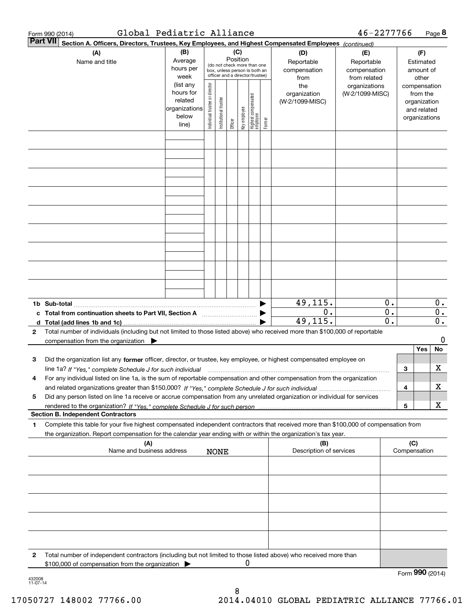|              | Global Pediatric Alliance<br>Form 990 (2014)                                                                                                                                                                                                           |                                                               |                                |                       |                 |              |                                                                                                 |        |                                                                  | 46-2277766                                                                            |                        |     |                                                                    | Page 8                    |
|--------------|--------------------------------------------------------------------------------------------------------------------------------------------------------------------------------------------------------------------------------------------------------|---------------------------------------------------------------|--------------------------------|-----------------------|-----------------|--------------|-------------------------------------------------------------------------------------------------|--------|------------------------------------------------------------------|---------------------------------------------------------------------------------------|------------------------|-----|--------------------------------------------------------------------|---------------------------|
|              | <b>Part VII</b><br>Section A. Officers, Directors, Trustees, Key Employees, and Highest Compensated Employees (continued)                                                                                                                              |                                                               |                                |                       |                 |              |                                                                                                 |        |                                                                  |                                                                                       |                        |     |                                                                    |                           |
|              | (A)<br>Name and title                                                                                                                                                                                                                                  | (B)<br>Average<br>hours per<br>week<br>(list any<br>hours for |                                |                       | (C)<br>Position |              | (do not check more than one<br>box, unless person is both an<br>officer and a director/trustee) |        | (D)<br>Reportable<br>compensation<br>from<br>the<br>organization | (E)<br>Reportable<br>compensation<br>from related<br>organizations<br>(W-2/1099-MISC) |                        |     | (F)<br>Estimated<br>amount of<br>other<br>compensation<br>from the |                           |
|              |                                                                                                                                                                                                                                                        | related<br>organizations<br>below<br>line)                    | Individual trustee or director | Institutional trustee | Officer         | Key employee | Highest compensated<br>employee                                                                 | Former | (W-2/1099-MISC)                                                  |                                                                                       |                        |     | organization<br>and related<br>organizations                       |                           |
|              |                                                                                                                                                                                                                                                        |                                                               |                                |                       |                 |              |                                                                                                 |        |                                                                  |                                                                                       |                        |     |                                                                    |                           |
|              |                                                                                                                                                                                                                                                        |                                                               |                                |                       |                 |              |                                                                                                 |        |                                                                  |                                                                                       |                        |     |                                                                    |                           |
|              |                                                                                                                                                                                                                                                        |                                                               |                                |                       |                 |              |                                                                                                 |        |                                                                  |                                                                                       |                        |     |                                                                    |                           |
|              | 1b Sub-total                                                                                                                                                                                                                                           |                                                               |                                |                       |                 |              |                                                                                                 |        | 49,115.                                                          |                                                                                       | 0.                     |     |                                                                    | 0.                        |
| 2            | c Total from continuation sheets to Part VII, Section A [11, 11, 11, 11, 11]<br>Total number of individuals (including but not limited to those listed above) who received more than \$100,000 of reportable                                           |                                                               |                                |                       |                 |              |                                                                                                 |        | 0.<br>49,115.                                                    |                                                                                       | $\overline{0}$ .<br>0. |     |                                                                    | $0$ .<br>$\overline{0}$ . |
|              | compensation from the organization $\blacktriangleright$                                                                                                                                                                                               |                                                               |                                |                       |                 |              |                                                                                                 |        |                                                                  |                                                                                       |                        |     |                                                                    | 0                         |
| з            | Did the organization list any former officer, director, or trustee, key employee, or highest compensated employee on                                                                                                                                   |                                                               |                                |                       |                 |              |                                                                                                 |        |                                                                  |                                                                                       |                        | з   | Yes                                                                | No<br>х                   |
| 4            | line 1a? If "Yes," complete Schedule J for such individual material content content to the complete Schedule J<br>For any individual listed on line 1a, is the sum of reportable compensation and other compensation from the organization             |                                                               |                                |                       |                 |              |                                                                                                 |        |                                                                  |                                                                                       |                        | 4   |                                                                    | х                         |
| 5            | Did any person listed on line 1a receive or accrue compensation from any unrelated organization or individual for services                                                                                                                             |                                                               |                                |                       |                 |              |                                                                                                 |        |                                                                  |                                                                                       |                        | 5   |                                                                    | х                         |
|              | <b>Section B. Independent Contractors</b>                                                                                                                                                                                                              |                                                               |                                |                       |                 |              |                                                                                                 |        |                                                                  |                                                                                       |                        |     |                                                                    |                           |
| 1            | Complete this table for your five highest compensated independent contractors that received more than \$100,000 of compensation from<br>the organization. Report compensation for the calendar year ending with or within the organization's tax year. |                                                               |                                |                       |                 |              |                                                                                                 |        |                                                                  |                                                                                       |                        |     |                                                                    |                           |
|              | (A)<br>Name and business address                                                                                                                                                                                                                       |                                                               |                                | <b>NONE</b>           |                 |              |                                                                                                 |        | (B)<br>Description of services                                   |                                                                                       |                        | (C) | Compensation                                                       |                           |
|              |                                                                                                                                                                                                                                                        |                                                               |                                |                       |                 |              |                                                                                                 |        |                                                                  |                                                                                       |                        |     |                                                                    |                           |
|              |                                                                                                                                                                                                                                                        |                                                               |                                |                       |                 |              |                                                                                                 |        |                                                                  |                                                                                       |                        |     |                                                                    |                           |
| $\mathbf{2}$ | Total number of independent contractors (including but not limited to those listed above) who received more than<br>\$100,000 of compensation from the organization                                                                                    |                                                               |                                |                       |                 | 0            |                                                                                                 |        |                                                                  |                                                                                       |                        |     |                                                                    |                           |
|              |                                                                                                                                                                                                                                                        |                                                               |                                |                       |                 |              |                                                                                                 |        |                                                                  |                                                                                       |                        |     | Form 990 (2014)                                                    |                           |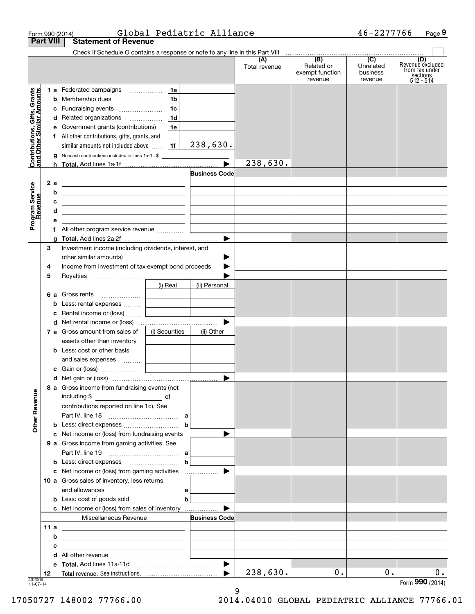| Form 990 (2014)                                           |                                                                                                                                                                                                                                      |                                            | Global Pediatric Alliance           |                      |                                                 | 46-2277766                              | Page 9                                                             |
|-----------------------------------------------------------|--------------------------------------------------------------------------------------------------------------------------------------------------------------------------------------------------------------------------------------|--------------------------------------------|-------------------------------------|----------------------|-------------------------------------------------|-----------------------------------------|--------------------------------------------------------------------|
| <b>Part VIII</b>                                          | <b>Statement of Revenue</b>                                                                                                                                                                                                          |                                            |                                     |                      |                                                 |                                         |                                                                    |
|                                                           | Check if Schedule O contains a response or note to any line in this Part VIII                                                                                                                                                        |                                            |                                     | (A)<br>Total revenue | (B)<br>Related or<br>exempt function<br>revenue | (C)<br>Unrelated<br>business<br>revenue | (D)<br>Revenue excluded<br>from tax under<br>sections<br>512 - 514 |
|                                                           | 1 a Federated campaigns                                                                                                                                                                                                              | 1a                                         |                                     |                      |                                                 |                                         |                                                                    |
|                                                           | <b>b</b> Membership dues                                                                                                                                                                                                             | 1b                                         |                                     |                      |                                                 |                                         |                                                                    |
|                                                           | c Fundraising events                                                                                                                                                                                                                 | 1 <sub>c</sub>                             |                                     |                      |                                                 |                                         |                                                                    |
|                                                           | d Related organizations                                                                                                                                                                                                              | 1d                                         |                                     |                      |                                                 |                                         |                                                                    |
|                                                           | e Government grants (contributions)                                                                                                                                                                                                  | 1e                                         |                                     |                      |                                                 |                                         |                                                                    |
|                                                           | f All other contributions, gifts, grants, and                                                                                                                                                                                        |                                            |                                     |                      |                                                 |                                         |                                                                    |
|                                                           | similar amounts not included above                                                                                                                                                                                                   | 1f                                         | 238,630.                            |                      |                                                 |                                         |                                                                    |
| Contributions, Gifts, Grants<br>and Other Similar Amounts | <b>g</b> Noncash contributions included in lines 1a-1f: \$                                                                                                                                                                           |                                            |                                     |                      |                                                 |                                         |                                                                    |
|                                                           |                                                                                                                                                                                                                                      |                                            |                                     | 238,630.             |                                                 |                                         |                                                                    |
|                                                           |                                                                                                                                                                                                                                      |                                            | <b>Business Code</b>                |                      |                                                 |                                         |                                                                    |
| 2a                                                        | <u> 1989 - Johann Barn, mars et al. (b. 1989)</u>                                                                                                                                                                                    |                                            |                                     |                      |                                                 |                                         |                                                                    |
| b                                                         | <u> 1989 - Andrea Stadt, fransk politik (d. 1989)</u>                                                                                                                                                                                |                                            |                                     |                      |                                                 |                                         |                                                                    |
| Program Service<br>Revenue<br>c                           | <u> 1989 - Johann Harry Harry Harry Harry Harry Harry Harry Harry Harry Harry Harry Harry Harry Harry Harry Harry Harry Harry Harry Harry Harry Harry Harry Harry Harry Harry Harry Harry Harry Harry Harry Harry Harry Harry Ha</u> |                                            |                                     |                      |                                                 |                                         |                                                                    |
| d                                                         | <u> 1989 - Johann Barn, mars ann an t-Amhain Aonaich an t-Aonaich an t-Aonaich ann an t-Aonaich ann an t-Aonaich</u>                                                                                                                 |                                            |                                     |                      |                                                 |                                         |                                                                    |
| е                                                         |                                                                                                                                                                                                                                      |                                            |                                     |                      |                                                 |                                         |                                                                    |
|                                                           |                                                                                                                                                                                                                                      |                                            |                                     |                      |                                                 |                                         |                                                                    |
|                                                           |                                                                                                                                                                                                                                      |                                            |                                     |                      |                                                 |                                         |                                                                    |
| 3                                                         | Investment income (including dividends, interest, and                                                                                                                                                                                |                                            |                                     |                      |                                                 |                                         |                                                                    |
|                                                           |                                                                                                                                                                                                                                      |                                            | ▶                                   |                      |                                                 |                                         |                                                                    |
| 4                                                         | Income from investment of tax-exempt bond proceeds                                                                                                                                                                                   |                                            |                                     |                      |                                                 |                                         |                                                                    |
| 5                                                         |                                                                                                                                                                                                                                      |                                            |                                     |                      |                                                 |                                         |                                                                    |
|                                                           |                                                                                                                                                                                                                                      | (i) Real                                   | (ii) Personal                       |                      |                                                 |                                         |                                                                    |
|                                                           | 6 a Gross rents                                                                                                                                                                                                                      | <b>Contract Contract Contract Contract</b> |                                     |                      |                                                 |                                         |                                                                    |
|                                                           | <b>b</b> Less: rental expenses                                                                                                                                                                                                       | the control of the control of the          | <u> 1990 - Jan Barat, politik e</u> |                      |                                                 |                                         |                                                                    |
|                                                           | c Rental income or (loss)                                                                                                                                                                                                            | the control of the control of the          |                                     |                      |                                                 |                                         |                                                                    |
|                                                           |                                                                                                                                                                                                                                      |                                            | ▶                                   |                      |                                                 |                                         |                                                                    |
|                                                           | 7 a Gross amount from sales of                                                                                                                                                                                                       | (i) Securities                             | (ii) Other                          |                      |                                                 |                                         |                                                                    |
|                                                           | assets other than inventory                                                                                                                                                                                                          |                                            |                                     |                      |                                                 |                                         |                                                                    |
|                                                           | <b>b</b> Less: cost or other basis                                                                                                                                                                                                   |                                            |                                     |                      |                                                 |                                         |                                                                    |
|                                                           | and sales expenses                                                                                                                                                                                                                   |                                            |                                     |                      |                                                 |                                         |                                                                    |
|                                                           |                                                                                                                                                                                                                                      |                                            |                                     |                      |                                                 |                                         |                                                                    |
|                                                           |                                                                                                                                                                                                                                      |                                            |                                     |                      |                                                 |                                         |                                                                    |
|                                                           | 8 a Gross income from fundraising events (not<br>including \$                                                                                                                                                                        |                                            |                                     |                      |                                                 |                                         |                                                                    |
|                                                           | contributions reported on line 1c). See                                                                                                                                                                                              |                                            |                                     |                      |                                                 |                                         |                                                                    |
|                                                           |                                                                                                                                                                                                                                      |                                            |                                     |                      |                                                 |                                         |                                                                    |
|                                                           |                                                                                                                                                                                                                                      |                                            | b                                   |                      |                                                 |                                         |                                                                    |
|                                                           | c Net income or (loss) from fundraising events                                                                                                                                                                                       |                                            | ▶                                   |                      |                                                 |                                         |                                                                    |
|                                                           | <b>9 a</b> Gross income from gaming activities. See                                                                                                                                                                                  |                                            | .                                   |                      |                                                 |                                         |                                                                    |
|                                                           |                                                                                                                                                                                                                                      |                                            |                                     |                      |                                                 |                                         |                                                                    |
|                                                           |                                                                                                                                                                                                                                      |                                            |                                     |                      |                                                 |                                         |                                                                    |
|                                                           |                                                                                                                                                                                                                                      |                                            | b                                   |                      |                                                 |                                         |                                                                    |
|                                                           |                                                                                                                                                                                                                                      |                                            |                                     |                      |                                                 |                                         |                                                                    |
|                                                           | 10 a Gross sales of inventory, less returns                                                                                                                                                                                          |                                            |                                     |                      |                                                 |                                         |                                                                    |
|                                                           |                                                                                                                                                                                                                                      |                                            |                                     |                      |                                                 |                                         |                                                                    |
|                                                           | <b>b</b> Less: cost of goods sold $\begin{bmatrix} b \end{bmatrix}$                                                                                                                                                                  |                                            |                                     |                      |                                                 |                                         |                                                                    |
|                                                           | <b>c</b> Net income or (loss) from sales of inventory                                                                                                                                                                                |                                            | ▶                                   |                      |                                                 |                                         |                                                                    |
|                                                           | Miscellaneous Revenue                                                                                                                                                                                                                |                                            | <b>Business Code</b>                |                      |                                                 |                                         |                                                                    |
| 11 a                                                      | <u> 1989 - Johann Harry Harry Harry Harry Harry Harry Harry Harry Harry Harry Harry Harry Harry Harry Harry Harry</u>                                                                                                                |                                            |                                     |                      |                                                 |                                         |                                                                    |
| b                                                         | the contract of the contract of the contract of the contract of the contract of                                                                                                                                                      |                                            |                                     |                      |                                                 |                                         |                                                                    |
| c                                                         | the control of the control of the control of the control of the control of                                                                                                                                                           |                                            |                                     |                      |                                                 |                                         |                                                                    |
|                                                           |                                                                                                                                                                                                                                      |                                            |                                     |                      |                                                 |                                         |                                                                    |
|                                                           |                                                                                                                                                                                                                                      |                                            |                                     |                      |                                                 |                                         |                                                                    |
|                                                           |                                                                                                                                                                                                                                      |                                            | ▶                                   | 238,630.             | $0$ .                                           | $0$ .                                   |                                                                    |

9

17050727 148002 77766.00 2014.04010 GLOBAL PEDIATRIC ALLIANCE 77766.01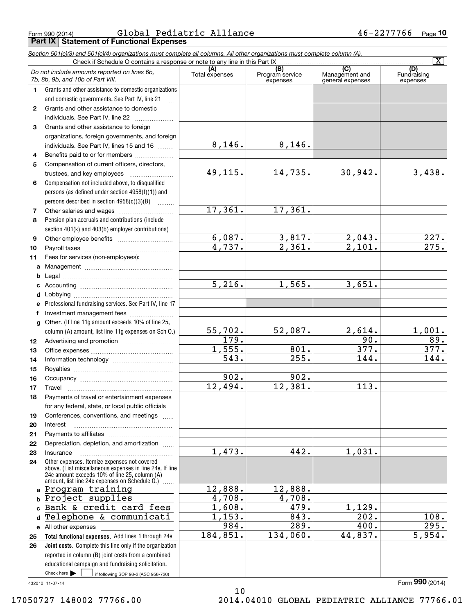Form 990 (2014) GlODal Pedlatric Alliance 4 b-22777/6 Page **Part IX Statement of Functional Expenses** Global Pediatric Alliance 46-2277766

|                  | Section 501(c)(3) and 501(c)(4) organizations must complete all columns. All other organizations must complete column (A).<br>Check if Schedule O contains a response or note to any line in this Part IX     |                |                             |                                    | $\overline{\mathbf{x}}$ |
|------------------|---------------------------------------------------------------------------------------------------------------------------------------------------------------------------------------------------------------|----------------|-----------------------------|------------------------------------|-------------------------|
|                  |                                                                                                                                                                                                               | (A)            | (B)                         | (C)                                | (D)                     |
|                  | Do not include amounts reported on lines 6b,<br>7b, 8b, 9b, and 10b of Part VIII.                                                                                                                             | Total expenses | Program service<br>expenses | Management and<br>general expenses | Fundraising<br>expenses |
| 1.               | Grants and other assistance to domestic organizations                                                                                                                                                         |                |                             |                                    |                         |
|                  | and domestic governments. See Part IV, line 21                                                                                                                                                                |                |                             |                                    |                         |
| $\mathbf{2}$     | Grants and other assistance to domestic                                                                                                                                                                       |                |                             |                                    |                         |
|                  | individuals. See Part IV, line 22                                                                                                                                                                             |                |                             |                                    |                         |
| 3                | Grants and other assistance to foreign                                                                                                                                                                        |                |                             |                                    |                         |
|                  | organizations, foreign governments, and foreign                                                                                                                                                               |                |                             |                                    |                         |
|                  | individuals. See Part IV, lines 15 and 16                                                                                                                                                                     | 8,146.         | 8,146.                      |                                    |                         |
| 4                | Benefits paid to or for members                                                                                                                                                                               |                |                             |                                    |                         |
| 5                | Compensation of current officers, directors,                                                                                                                                                                  |                |                             |                                    |                         |
|                  |                                                                                                                                                                                                               | 49,115.        | 14,735.                     | 30,942.                            | 3,438.                  |
| 6                | Compensation not included above, to disqualified                                                                                                                                                              |                |                             |                                    |                         |
|                  | persons (as defined under section 4958(f)(1)) and                                                                                                                                                             |                |                             |                                    |                         |
|                  | persons described in section 4958(c)(3)(B)                                                                                                                                                                    |                |                             |                                    |                         |
| 7                |                                                                                                                                                                                                               | 17,361.        | 17,361.                     |                                    |                         |
| 8                | Pension plan accruals and contributions (include                                                                                                                                                              |                |                             |                                    |                         |
|                  | section 401(k) and 403(b) employer contributions)                                                                                                                                                             |                |                             |                                    |                         |
| 9                |                                                                                                                                                                                                               | 6,087.         | 3,817.                      | 2,043.                             | 227.                    |
| 10               |                                                                                                                                                                                                               | 4,737.         | 2,361.                      | $\overline{2}$ , 101.              | 275.                    |
| 11               | Fees for services (non-employees):                                                                                                                                                                            |                |                             |                                    |                         |
| a                |                                                                                                                                                                                                               |                |                             |                                    |                         |
| b                |                                                                                                                                                                                                               |                |                             |                                    |                         |
| с                |                                                                                                                                                                                                               | 5,216.         | 1,565.                      | 3,651.                             |                         |
| d                |                                                                                                                                                                                                               |                |                             |                                    |                         |
| е                | Professional fundraising services. See Part IV, line 17                                                                                                                                                       |                |                             |                                    |                         |
| f                | Investment management fees                                                                                                                                                                                    |                |                             |                                    |                         |
| g                | Other. (If line 11g amount exceeds 10% of line 25,                                                                                                                                                            |                |                             |                                    |                         |
|                  | column (A) amount, list line 11g expenses on Sch O.)                                                                                                                                                          | 55,702.        | 52,087.                     | 2,614.                             | 1,001.                  |
| 12 <sup>12</sup> |                                                                                                                                                                                                               | 179.           |                             | 90.                                | 89.                     |
| 13               |                                                                                                                                                                                                               | 1,555.         | 801.                        | 377.                               | 377.                    |
| 14               |                                                                                                                                                                                                               | 543.           | 255.                        | 144.                               | 144.                    |
| 15               |                                                                                                                                                                                                               |                |                             |                                    |                         |
| 16               |                                                                                                                                                                                                               | 902.           | 902.                        |                                    |                         |
| 17               |                                                                                                                                                                                                               | 12,494.        | 12,381.                     | 113.                               |                         |
| 18               | Payments of travel or entertainment expenses                                                                                                                                                                  |                |                             |                                    |                         |
|                  | for any federal, state, or local public officials                                                                                                                                                             |                |                             |                                    |                         |
| 19               | Conferences, conventions, and meetings                                                                                                                                                                        |                |                             |                                    |                         |
| 20               | Interest                                                                                                                                                                                                      |                |                             |                                    |                         |
| 21               |                                                                                                                                                                                                               |                |                             |                                    |                         |
| 22               | Depreciation, depletion, and amortization                                                                                                                                                                     |                |                             |                                    |                         |
| 23               | Insurance                                                                                                                                                                                                     | 1,473.         | 442.                        | 1,031.                             |                         |
| 24               | Other expenses. Itemize expenses not covered<br>above. (List miscellaneous expenses in line 24e. If line<br>24e amount exceeds 10% of line 25, column (A)<br>amount, list line 24e expenses on Schedule O.) [ |                |                             |                                    |                         |
|                  | a Program training                                                                                                                                                                                            | 12,888.        | 12,888.                     |                                    |                         |
| b                | Project supplies                                                                                                                                                                                              | 4,708.         | 4,708.                      |                                    |                         |
| c.               | Bank & credit card fees                                                                                                                                                                                       | 1,608.         | 479.                        | 1,129.                             |                         |
| d                | Telephone & communicati                                                                                                                                                                                       | 1,153.         | 843.                        | 202.                               | 108.                    |
|                  | e All other expenses                                                                                                                                                                                          | 984.           | 289.                        | 400.                               | 295.                    |
| 25               | Total functional expenses. Add lines 1 through 24e                                                                                                                                                            | 184,851.       | 134,060.                    | 44,837.                            | 5,954.                  |
| 26               | Joint costs. Complete this line only if the organization                                                                                                                                                      |                |                             |                                    |                         |
|                  | reported in column (B) joint costs from a combined                                                                                                                                                            |                |                             |                                    |                         |
|                  | educational campaign and fundraising solicitation.                                                                                                                                                            |                |                             |                                    |                         |
|                  | Check here $\blacktriangleright$<br>if following SOP 98-2 (ASC 958-720)                                                                                                                                       |                |                             |                                    |                         |
|                  | 432010 11-07-14                                                                                                                                                                                               |                |                             |                                    | Form 990 (2014)         |

10 17050727 148002 77766.00 2014.04010 GLOBAL PEDIATRIC ALLIANCE 77766.01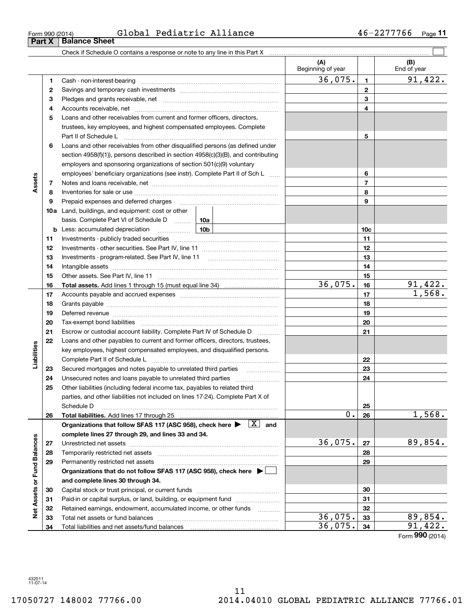| Form 990 (2014) |                               | Global Pediatric Alliance | $46 - 2277766$ Page |  |
|-----------------|-------------------------------|---------------------------|---------------------|--|
|                 | <b>Part X</b>   Balance Sheet |                           |                     |  |

**11** Global Pediatric Alliance 46-2277766

|                             |    |                                                                                                                                                                                                                                | (A)<br>Beginning of year |                 | (B)<br>End of year |
|-----------------------------|----|--------------------------------------------------------------------------------------------------------------------------------------------------------------------------------------------------------------------------------|--------------------------|-----------------|--------------------|
|                             | 1  |                                                                                                                                                                                                                                | 36,075.                  | $\mathbf{1}$    | 91,422.            |
|                             | 2  |                                                                                                                                                                                                                                |                          | $\mathbf{2}$    |                    |
|                             | 3  |                                                                                                                                                                                                                                |                          | 3               |                    |
|                             | 4  |                                                                                                                                                                                                                                |                          | 4               |                    |
|                             | 5  | Loans and other receivables from current and former officers, directors,                                                                                                                                                       |                          |                 |                    |
|                             |    | trustees, key employees, and highest compensated employees. Complete                                                                                                                                                           |                          |                 |                    |
|                             |    | Part II of Schedule Land Communication and Taracan Art II of Schedule Land Communication and Taracan Art II of                                                                                                                 |                          | 5               |                    |
|                             | 6  | Loans and other receivables from other disqualified persons (as defined under                                                                                                                                                  |                          |                 |                    |
|                             |    | section 4958(f)(1)), persons described in section 4958(c)(3)(B), and contributing                                                                                                                                              |                          |                 |                    |
|                             |    | employers and sponsoring organizations of section 501(c)(9) voluntary                                                                                                                                                          |                          |                 |                    |
|                             |    | employees' beneficiary organizations (see instr). Complete Part II of Sch L                                                                                                                                                    |                          | 6               |                    |
| Assets                      | 7  |                                                                                                                                                                                                                                |                          | $\overline{7}$  |                    |
|                             | 8  |                                                                                                                                                                                                                                |                          | 8               |                    |
|                             | 9  | Prepaid expenses and deferred charges [11] matter contracts and the ferred charges [11] matter contracts and the Prepaid expenses and deferred charges [11] matter contracts and the Prepaid experiment of Prepaid experiment  |                          | 9               |                    |
|                             |    | <b>10a</b> Land, buildings, and equipment: cost or other                                                                                                                                                                       |                          |                 |                    |
|                             |    | basis. Complete Part VI of Schedule D<br>10a                                                                                                                                                                                   |                          |                 |                    |
|                             |    | 10b<br><b>b</b> Less: accumulated depreciation                                                                                                                                                                                 |                          | 10 <sub>c</sub> |                    |
|                             | 11 |                                                                                                                                                                                                                                |                          | 11              |                    |
|                             | 12 |                                                                                                                                                                                                                                |                          | 12              |                    |
|                             | 13 |                                                                                                                                                                                                                                |                          | 13              |                    |
|                             | 14 |                                                                                                                                                                                                                                |                          | 14              |                    |
|                             | 15 |                                                                                                                                                                                                                                |                          | 15              |                    |
|                             | 16 |                                                                                                                                                                                                                                | 36,075.                  | 16              | 91,422.            |
|                             | 17 |                                                                                                                                                                                                                                |                          | 17              | 1,568.             |
|                             | 18 |                                                                                                                                                                                                                                |                          | 18              |                    |
|                             | 19 | Deferred revenue manual contracts and contracts are all the manual contracts and contracts are contracted and contracts are contracted and contract are contracted and contract are contracted and contract are contracted and |                          | 19              |                    |
|                             | 20 |                                                                                                                                                                                                                                |                          | 20              |                    |
|                             | 21 | Escrow or custodial account liability. Complete Part IV of Schedule D<br>.                                                                                                                                                     |                          | 21              |                    |
|                             | 22 | Loans and other payables to current and former officers, directors, trustees,                                                                                                                                                  |                          |                 |                    |
| Liabilities                 |    | key employees, highest compensated employees, and disqualified persons.                                                                                                                                                        |                          |                 |                    |
|                             |    |                                                                                                                                                                                                                                |                          | 22              |                    |
|                             | 23 | Secured mortgages and notes payable to unrelated third parties                                                                                                                                                                 |                          | 23              |                    |
|                             | 24 |                                                                                                                                                                                                                                |                          | 24              |                    |
|                             | 25 | Other liabilities (including federal income tax, payables to related third                                                                                                                                                     |                          |                 |                    |
|                             |    | parties, and other liabilities not included on lines 17-24). Complete Part X of                                                                                                                                                |                          |                 |                    |
|                             |    | Schedule D                                                                                                                                                                                                                     |                          | 25              |                    |
|                             | 26 |                                                                                                                                                                                                                                | 0.                       | 26              | 1,568.             |
|                             |    | Organizations that follow SFAS 117 (ASC 958), check here $\blacktriangleright \begin{array}{c} \boxed{X} \end{array}$ and                                                                                                      |                          |                 |                    |
|                             |    | complete lines 27 through 29, and lines 33 and 34.                                                                                                                                                                             |                          |                 |                    |
|                             | 27 |                                                                                                                                                                                                                                | 36,075.                  | 27              | 89,854.            |
|                             | 28 |                                                                                                                                                                                                                                |                          | 28              |                    |
|                             | 29 | Permanently restricted net assets                                                                                                                                                                                              |                          | 29              |                    |
| Net Assets or Fund Balances |    | Organizations that do not follow SFAS 117 (ASC 958), check here $\blacktriangleright$                                                                                                                                          |                          |                 |                    |
|                             |    | and complete lines 30 through 34.                                                                                                                                                                                              |                          |                 |                    |
|                             | 30 |                                                                                                                                                                                                                                |                          | 30              |                    |
|                             | 31 | Paid-in or capital surplus, or land, building, or equipment fund                                                                                                                                                               |                          | 31              |                    |
|                             | 32 | Retained earnings, endowment, accumulated income, or other funds                                                                                                                                                               |                          | 32              |                    |
|                             | 33 |                                                                                                                                                                                                                                | 36,075.                  | 33              | 89,854.            |
|                             | 34 |                                                                                                                                                                                                                                | 36,075.                  | 34              | 91,422.            |
|                             |    |                                                                                                                                                                                                                                |                          |                 | Form 990 (2014)    |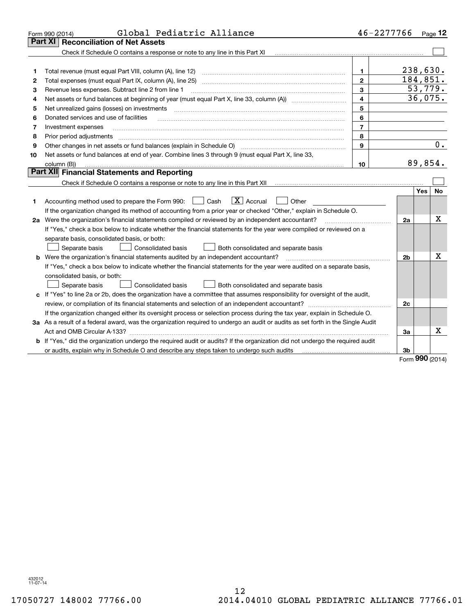|    | Global Pediatric Alliance<br>Form 990 (2014)                                                                                                                      | 46-2277766              |          |           | Page 12   |
|----|-------------------------------------------------------------------------------------------------------------------------------------------------------------------|-------------------------|----------|-----------|-----------|
|    | <b>Reconciliation of Net Assets</b><br>Part XI                                                                                                                    |                         |          |           |           |
|    | Check if Schedule O contains a response or note to any line in this Part XI [11] [12] Check if Schedule O contains a response or note to any line in this Part XI |                         |          |           |           |
|    |                                                                                                                                                                   |                         |          |           |           |
| 1  | Total revenue (must equal Part VIII, column (A), line 12)                                                                                                         | $\mathbf{1}$            | 238,630. |           |           |
| 2  |                                                                                                                                                                   | $\mathbf{2}$            | 184,851. |           |           |
| з  | Revenue less expenses. Subtract line 2 from line 1                                                                                                                | 3                       |          |           | 53,779.   |
| 4  |                                                                                                                                                                   | $\overline{\mathbf{4}}$ |          |           | 36,075.   |
| 5  | Net unrealized gains (losses) on investments                                                                                                                      | 5                       |          |           |           |
| 6  | Donated services and use of facilities                                                                                                                            | 6                       |          |           |           |
| 7  | Investment expenses                                                                                                                                               | $\overline{7}$          |          |           |           |
| 8  | Prior period adjustments                                                                                                                                          | 8                       |          |           |           |
| 9  |                                                                                                                                                                   | 9                       |          |           | 0.        |
| 10 | Net assets or fund balances at end of year. Combine lines 3 through 9 (must equal Part X, line 33,                                                                |                         |          |           |           |
|    | column (B))                                                                                                                                                       | 10                      |          |           | 89,854.   |
|    | Part XII Financial Statements and Reporting                                                                                                                       |                         |          |           |           |
|    |                                                                                                                                                                   |                         |          |           |           |
|    |                                                                                                                                                                   |                         |          | Yes       | <b>No</b> |
| 1  | $\boxed{\mathbf{X}}$ Accrual<br>Accounting method used to prepare the Form 990: <u>[</u> Cash<br>Other                                                            |                         |          |           |           |
|    | If the organization changed its method of accounting from a prior year or checked "Other," explain in Schedule O.                                                 |                         |          |           |           |
|    | 2a Were the organization's financial statements compiled or reviewed by an independent accountant?                                                                |                         | 2a       |           | X         |
|    | If "Yes," check a box below to indicate whether the financial statements for the year were compiled or reviewed on a                                              |                         |          |           |           |
|    | separate basis, consolidated basis, or both:                                                                                                                      |                         |          |           |           |
|    | Both consolidated and separate basis<br>Separate basis<br>Consolidated basis                                                                                      |                         |          |           | х         |
|    | <b>b</b> Were the organization's financial statements audited by an independent accountant?                                                                       |                         | 2b       |           |           |
|    | If "Yes," check a box below to indicate whether the financial statements for the year were audited on a separate basis,                                           |                         |          |           |           |
|    | consolidated basis, or both:                                                                                                                                      |                         |          |           |           |
|    | Separate basis<br>Consolidated basis<br>Both consolidated and separate basis                                                                                      |                         |          |           |           |
|    | c If "Yes" to line 2a or 2b, does the organization have a committee that assumes responsibility for oversight of the audit,                                       |                         |          |           |           |
|    | review, or compilation of its financial statements and selection of an independent accountant?                                                                    |                         | 2c       |           |           |
|    | If the organization changed either its oversight process or selection process during the tax year, explain in Schedule O.                                         |                         |          |           |           |
|    | 3a As a result of a federal award, was the organization required to undergo an audit or audits as set forth in the Single Audit                                   |                         |          |           | Х         |
|    | Act and OMB Circular A-133?                                                                                                                                       |                         | 3a       |           |           |
|    | <b>b</b> If "Yes," did the organization undergo the required audit or audits? If the organization did not undergo the required audit                              |                         |          |           |           |
|    | or audits, explain why in Schedule O and describe any steps taken to undergo such audits matured and the matur                                                    |                         | 3b       | $000 - 1$ |           |

Form (2014) **990**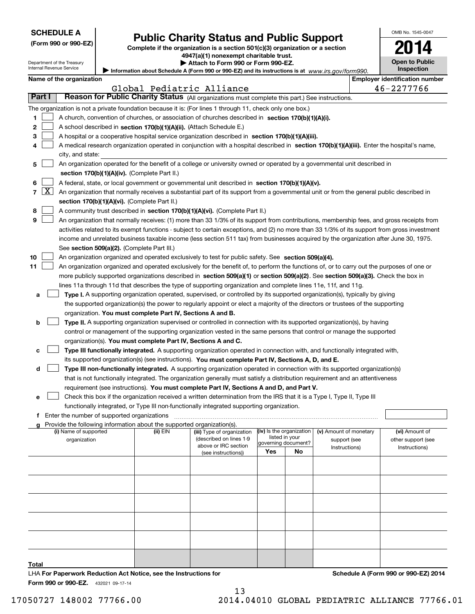| <b>SCHEDULE A</b> |  |
|-------------------|--|
|-------------------|--|

Department of the Treasury Internal Revenue Service

|  |  |  | (Form 990 or 990-EZ) |
|--|--|--|----------------------|
|--|--|--|----------------------|

# **Public Charity Status and Public Support**

**Complete if the organization is a section 501(c)(3) organization or a section 4947(a)(1) nonexempt charitable trust.**

**| Attach to Form 990 or Form 990-EZ.** 

|  |  |  |  | Name of the organization |  |
|--|--|--|--|--------------------------|--|
|--|--|--|--|--------------------------|--|

|        |                                                                                                                                                                                       | Name of the organization                                                                                                                                                                                                                                                               |          |                                             |                          |                     |                        |  | <b>Employer identification number</b> |  |  |  |
|--------|---------------------------------------------------------------------------------------------------------------------------------------------------------------------------------------|----------------------------------------------------------------------------------------------------------------------------------------------------------------------------------------------------------------------------------------------------------------------------------------|----------|---------------------------------------------|--------------------------|---------------------|------------------------|--|---------------------------------------|--|--|--|
|        |                                                                                                                                                                                       |                                                                                                                                                                                                                                                                                        |          | Global Pediatric Alliance                   |                          |                     |                        |  | 46-2277766                            |  |  |  |
| Part I |                                                                                                                                                                                       | Reason for Public Charity Status (All organizations must complete this part.) See instructions.                                                                                                                                                                                        |          |                                             |                          |                     |                        |  |                                       |  |  |  |
|        |                                                                                                                                                                                       | The organization is not a private foundation because it is: (For lines 1 through 11, check only one box.)                                                                                                                                                                              |          |                                             |                          |                     |                        |  |                                       |  |  |  |
| 1      |                                                                                                                                                                                       | A church, convention of churches, or association of churches described in section 170(b)(1)(A)(i).                                                                                                                                                                                     |          |                                             |                          |                     |                        |  |                                       |  |  |  |
| 2      |                                                                                                                                                                                       | A school described in section 170(b)(1)(A)(ii). (Attach Schedule E.)                                                                                                                                                                                                                   |          |                                             |                          |                     |                        |  |                                       |  |  |  |
| з      |                                                                                                                                                                                       | A hospital or a cooperative hospital service organization described in section 170(b)(1)(A)(iii).                                                                                                                                                                                      |          |                                             |                          |                     |                        |  |                                       |  |  |  |
|        |                                                                                                                                                                                       | A medical research organization operated in conjunction with a hospital described in section 170(b)(1)(A)(iii). Enter the hospital's name,                                                                                                                                             |          |                                             |                          |                     |                        |  |                                       |  |  |  |
|        |                                                                                                                                                                                       | city, and state:                                                                                                                                                                                                                                                                       |          |                                             |                          |                     |                        |  |                                       |  |  |  |
| 5.     |                                                                                                                                                                                       | An organization operated for the benefit of a college or university owned or operated by a governmental unit described in                                                                                                                                                              |          |                                             |                          |                     |                        |  |                                       |  |  |  |
|        |                                                                                                                                                                                       | section 170(b)(1)(A)(iv). (Complete Part II.)                                                                                                                                                                                                                                          |          |                                             |                          |                     |                        |  |                                       |  |  |  |
| 6      |                                                                                                                                                                                       | A federal, state, or local government or governmental unit described in section 170(b)(1)(A)(v).                                                                                                                                                                                       |          |                                             |                          |                     |                        |  |                                       |  |  |  |
| 7      | $\lfloor x \rfloor$                                                                                                                                                                   | An organization that normally receives a substantial part of its support from a governmental unit or from the general public described in                                                                                                                                              |          |                                             |                          |                     |                        |  |                                       |  |  |  |
|        |                                                                                                                                                                                       | section 170(b)(1)(A)(vi). (Complete Part II.)                                                                                                                                                                                                                                          |          |                                             |                          |                     |                        |  |                                       |  |  |  |
| 8      |                                                                                                                                                                                       | A community trust described in section 170(b)(1)(A)(vi). (Complete Part II.)                                                                                                                                                                                                           |          |                                             |                          |                     |                        |  |                                       |  |  |  |
| 9      |                                                                                                                                                                                       | An organization that normally receives: (1) more than 33 1/3% of its support from contributions, membership fees, and gross receipts from                                                                                                                                              |          |                                             |                          |                     |                        |  |                                       |  |  |  |
|        |                                                                                                                                                                                       |                                                                                                                                                                                                                                                                                        |          |                                             |                          |                     |                        |  |                                       |  |  |  |
|        |                                                                                                                                                                                       | activities related to its exempt functions - subject to certain exceptions, and (2) no more than 33 1/3% of its support from gross investment<br>income and unrelated business taxable income (less section 511 tax) from businesses acquired by the organization after June 30, 1975. |          |                                             |                          |                     |                        |  |                                       |  |  |  |
|        |                                                                                                                                                                                       | See section 509(a)(2). (Complete Part III.)                                                                                                                                                                                                                                            |          |                                             |                          |                     |                        |  |                                       |  |  |  |
| 10     |                                                                                                                                                                                       | An organization organized and operated exclusively to test for public safety. See section 509(a)(4).                                                                                                                                                                                   |          |                                             |                          |                     |                        |  |                                       |  |  |  |
| 11     |                                                                                                                                                                                       | An organization organized and operated exclusively for the benefit of, to perform the functions of, or to carry out the purposes of one or                                                                                                                                             |          |                                             |                          |                     |                        |  |                                       |  |  |  |
|        |                                                                                                                                                                                       | more publicly supported organizations described in section 509(a)(1) or section 509(a)(2). See section 509(a)(3). Check the box in                                                                                                                                                     |          |                                             |                          |                     |                        |  |                                       |  |  |  |
|        |                                                                                                                                                                                       | lines 11a through 11d that describes the type of supporting organization and complete lines 11e, 11f, and 11g.                                                                                                                                                                         |          |                                             |                          |                     |                        |  |                                       |  |  |  |
| а      |                                                                                                                                                                                       | Type I. A supporting organization operated, supervised, or controlled by its supported organization(s), typically by giving                                                                                                                                                            |          |                                             |                          |                     |                        |  |                                       |  |  |  |
|        |                                                                                                                                                                                       |                                                                                                                                                                                                                                                                                        |          |                                             |                          |                     |                        |  |                                       |  |  |  |
|        | the supported organization(s) the power to regularly appoint or elect a majority of the directors or trustees of the supporting                                                       |                                                                                                                                                                                                                                                                                        |          |                                             |                          |                     |                        |  |                                       |  |  |  |
|        | organization. You must complete Part IV, Sections A and B.<br>Type II. A supporting organization supervised or controlled in connection with its supported organization(s), by having |                                                                                                                                                                                                                                                                                        |          |                                             |                          |                     |                        |  |                                       |  |  |  |
| b      |                                                                                                                                                                                       |                                                                                                                                                                                                                                                                                        |          |                                             |                          |                     |                        |  |                                       |  |  |  |
|        |                                                                                                                                                                                       | control or management of the supporting organization vested in the same persons that control or manage the supported                                                                                                                                                                   |          |                                             |                          |                     |                        |  |                                       |  |  |  |
|        |                                                                                                                                                                                       | organization(s). You must complete Part IV, Sections A and C.                                                                                                                                                                                                                          |          |                                             |                          |                     |                        |  |                                       |  |  |  |
| с      |                                                                                                                                                                                       | Type III functionally integrated. A supporting organization operated in connection with, and functionally integrated with,                                                                                                                                                             |          |                                             |                          |                     |                        |  |                                       |  |  |  |
|        |                                                                                                                                                                                       | its supported organization(s) (see instructions). You must complete Part IV, Sections A, D, and E.                                                                                                                                                                                     |          |                                             |                          |                     |                        |  |                                       |  |  |  |
| d      |                                                                                                                                                                                       | Type III non-functionally integrated. A supporting organization operated in connection with its supported organization(s)                                                                                                                                                              |          |                                             |                          |                     |                        |  |                                       |  |  |  |
|        |                                                                                                                                                                                       | that is not functionally integrated. The organization generally must satisfy a distribution requirement and an attentiveness                                                                                                                                                           |          |                                             |                          |                     |                        |  |                                       |  |  |  |
|        |                                                                                                                                                                                       | requirement (see instructions). You must complete Part IV, Sections A and D, and Part V.                                                                                                                                                                                               |          |                                             |                          |                     |                        |  |                                       |  |  |  |
| е      |                                                                                                                                                                                       | Check this box if the organization received a written determination from the IRS that it is a Type I, Type II, Type III<br>functionally integrated, or Type III non-functionally integrated supporting organization.                                                                   |          |                                             |                          |                     |                        |  |                                       |  |  |  |
|        |                                                                                                                                                                                       |                                                                                                                                                                                                                                                                                        |          |                                             |                          |                     |                        |  |                                       |  |  |  |
|        |                                                                                                                                                                                       | <b>f</b> Enter the number of supported organizations<br>g Provide the following information about the supported organization(s).                                                                                                                                                       |          |                                             |                          |                     |                        |  |                                       |  |  |  |
|        |                                                                                                                                                                                       | (i) Name of supported                                                                                                                                                                                                                                                                  | (ii) EIN | (iii) Type of organization                  | (iv) Is the organization |                     | (v) Amount of monetary |  | (vi) Amount of                        |  |  |  |
|        |                                                                                                                                                                                       | organization                                                                                                                                                                                                                                                                           |          | (described on lines 1-9                     | listed in your           | governing document? | support (see           |  | other support (see                    |  |  |  |
|        |                                                                                                                                                                                       |                                                                                                                                                                                                                                                                                        |          | above or IRC section<br>(see instructions)) | Yes                      | No                  | Instructions)          |  | Instructions)                         |  |  |  |
|        |                                                                                                                                                                                       |                                                                                                                                                                                                                                                                                        |          |                                             |                          |                     |                        |  |                                       |  |  |  |
|        |                                                                                                                                                                                       |                                                                                                                                                                                                                                                                                        |          |                                             |                          |                     |                        |  |                                       |  |  |  |
|        |                                                                                                                                                                                       |                                                                                                                                                                                                                                                                                        |          |                                             |                          |                     |                        |  |                                       |  |  |  |
|        |                                                                                                                                                                                       |                                                                                                                                                                                                                                                                                        |          |                                             |                          |                     |                        |  |                                       |  |  |  |
|        |                                                                                                                                                                                       |                                                                                                                                                                                                                                                                                        |          |                                             |                          |                     |                        |  |                                       |  |  |  |
|        |                                                                                                                                                                                       |                                                                                                                                                                                                                                                                                        |          |                                             |                          |                     |                        |  |                                       |  |  |  |
|        |                                                                                                                                                                                       |                                                                                                                                                                                                                                                                                        |          |                                             |                          |                     |                        |  |                                       |  |  |  |
|        |                                                                                                                                                                                       |                                                                                                                                                                                                                                                                                        |          |                                             |                          |                     |                        |  |                                       |  |  |  |
|        |                                                                                                                                                                                       |                                                                                                                                                                                                                                                                                        |          |                                             |                          |                     |                        |  |                                       |  |  |  |

13

**Total**LHA For Paperwork Reduction Act Notice, see the Instructions for

**Schedule A (Form 990 or 990-EZ) 2014**

OMB No. 1545-0047

**Open to Public Inspection**

**2014**

**Form 990 or 990-EZ.** 432021 09-17-14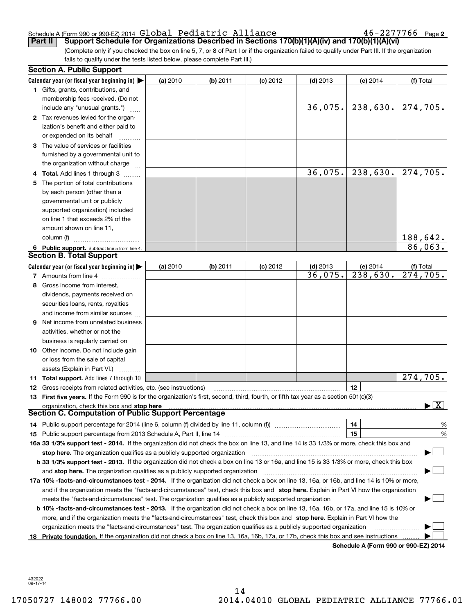#### Schedule A (Form 990 or 990-EZ) 2014  ${\bf Gla}$   ${\bf Dola1}$   ${\bf Pediatric}$   ${\bf Alliance}$   ${\bf 46-2277766}$   ${\bf Page}$

 $46 - 2277766$  Page 2

(Complete only if you checked the box on line 5, 7, or 8 of Part I or if the organization failed to qualify under Part III. If the organization fails to qualify under the tests listed below, please complete Part III.) **Part II** Support Schedule for Organizations Described in Sections 170(b)(1)(A)(iv) and 170(b)(1)(A)(vi)

| Calendar year (or fiscal year beginning in) $\blacktriangleright$<br>(a) 2010<br>(b) 2011<br>$(d)$ 2013<br>(f) Total<br>$(c)$ 2012<br>(e) $2014$<br><b>1</b> Gifts, grants, contributions, and<br>membership fees received. (Do not<br>238,630.<br>36,075.<br>274,705.<br>include any "unusual grants.")<br>2 Tax revenues levied for the organ-<br>ization's benefit and either paid to<br>or expended on its behalf<br>3 The value of services or facilities<br>furnished by a governmental unit to<br>the organization without charge<br>36,075.<br>238,630.<br>$\overline{274,705}$ .<br><b>4 Total.</b> Add lines 1 through 3<br>The portion of total contributions<br>5.<br>by each person (other than a<br>governmental unit or publicly<br>supported organization) included<br>on line 1 that exceeds 2% of the<br>amount shown on line 11,<br>188,642.<br>column (f)<br>86,063.<br>6 Public support. Subtract line 5 from line 4.<br><b>Section B. Total Support</b><br>$(d)$ 2013<br>Calendar year (or fiscal year beginning in) $\blacktriangleright$<br>(b) 2011<br>$(c)$ 2012<br>(e) 2014<br>(f) Total<br>(a) 2010<br>274,705.<br>238,630.<br>36,075.<br>7 Amounts from line 4<br>8 Gross income from interest,<br>dividends, payments received on<br>securities loans, rents, royalties<br>and income from similar sources<br>9 Net income from unrelated business<br>activities, whether or not the |      |
|--------------------------------------------------------------------------------------------------------------------------------------------------------------------------------------------------------------------------------------------------------------------------------------------------------------------------------------------------------------------------------------------------------------------------------------------------------------------------------------------------------------------------------------------------------------------------------------------------------------------------------------------------------------------------------------------------------------------------------------------------------------------------------------------------------------------------------------------------------------------------------------------------------------------------------------------------------------------------------------------------------------------------------------------------------------------------------------------------------------------------------------------------------------------------------------------------------------------------------------------------------------------------------------------------------------------------------------------------------------------------------------------------------------------|------|
|                                                                                                                                                                                                                                                                                                                                                                                                                                                                                                                                                                                                                                                                                                                                                                                                                                                                                                                                                                                                                                                                                                                                                                                                                                                                                                                                                                                                                    |      |
|                                                                                                                                                                                                                                                                                                                                                                                                                                                                                                                                                                                                                                                                                                                                                                                                                                                                                                                                                                                                                                                                                                                                                                                                                                                                                                                                                                                                                    |      |
|                                                                                                                                                                                                                                                                                                                                                                                                                                                                                                                                                                                                                                                                                                                                                                                                                                                                                                                                                                                                                                                                                                                                                                                                                                                                                                                                                                                                                    |      |
|                                                                                                                                                                                                                                                                                                                                                                                                                                                                                                                                                                                                                                                                                                                                                                                                                                                                                                                                                                                                                                                                                                                                                                                                                                                                                                                                                                                                                    |      |
|                                                                                                                                                                                                                                                                                                                                                                                                                                                                                                                                                                                                                                                                                                                                                                                                                                                                                                                                                                                                                                                                                                                                                                                                                                                                                                                                                                                                                    |      |
|                                                                                                                                                                                                                                                                                                                                                                                                                                                                                                                                                                                                                                                                                                                                                                                                                                                                                                                                                                                                                                                                                                                                                                                                                                                                                                                                                                                                                    |      |
|                                                                                                                                                                                                                                                                                                                                                                                                                                                                                                                                                                                                                                                                                                                                                                                                                                                                                                                                                                                                                                                                                                                                                                                                                                                                                                                                                                                                                    |      |
|                                                                                                                                                                                                                                                                                                                                                                                                                                                                                                                                                                                                                                                                                                                                                                                                                                                                                                                                                                                                                                                                                                                                                                                                                                                                                                                                                                                                                    |      |
|                                                                                                                                                                                                                                                                                                                                                                                                                                                                                                                                                                                                                                                                                                                                                                                                                                                                                                                                                                                                                                                                                                                                                                                                                                                                                                                                                                                                                    |      |
|                                                                                                                                                                                                                                                                                                                                                                                                                                                                                                                                                                                                                                                                                                                                                                                                                                                                                                                                                                                                                                                                                                                                                                                                                                                                                                                                                                                                                    |      |
|                                                                                                                                                                                                                                                                                                                                                                                                                                                                                                                                                                                                                                                                                                                                                                                                                                                                                                                                                                                                                                                                                                                                                                                                                                                                                                                                                                                                                    |      |
|                                                                                                                                                                                                                                                                                                                                                                                                                                                                                                                                                                                                                                                                                                                                                                                                                                                                                                                                                                                                                                                                                                                                                                                                                                                                                                                                                                                                                    |      |
|                                                                                                                                                                                                                                                                                                                                                                                                                                                                                                                                                                                                                                                                                                                                                                                                                                                                                                                                                                                                                                                                                                                                                                                                                                                                                                                                                                                                                    |      |
|                                                                                                                                                                                                                                                                                                                                                                                                                                                                                                                                                                                                                                                                                                                                                                                                                                                                                                                                                                                                                                                                                                                                                                                                                                                                                                                                                                                                                    |      |
|                                                                                                                                                                                                                                                                                                                                                                                                                                                                                                                                                                                                                                                                                                                                                                                                                                                                                                                                                                                                                                                                                                                                                                                                                                                                                                                                                                                                                    |      |
|                                                                                                                                                                                                                                                                                                                                                                                                                                                                                                                                                                                                                                                                                                                                                                                                                                                                                                                                                                                                                                                                                                                                                                                                                                                                                                                                                                                                                    |      |
|                                                                                                                                                                                                                                                                                                                                                                                                                                                                                                                                                                                                                                                                                                                                                                                                                                                                                                                                                                                                                                                                                                                                                                                                                                                                                                                                                                                                                    |      |
|                                                                                                                                                                                                                                                                                                                                                                                                                                                                                                                                                                                                                                                                                                                                                                                                                                                                                                                                                                                                                                                                                                                                                                                                                                                                                                                                                                                                                    |      |
|                                                                                                                                                                                                                                                                                                                                                                                                                                                                                                                                                                                                                                                                                                                                                                                                                                                                                                                                                                                                                                                                                                                                                                                                                                                                                                                                                                                                                    |      |
|                                                                                                                                                                                                                                                                                                                                                                                                                                                                                                                                                                                                                                                                                                                                                                                                                                                                                                                                                                                                                                                                                                                                                                                                                                                                                                                                                                                                                    |      |
|                                                                                                                                                                                                                                                                                                                                                                                                                                                                                                                                                                                                                                                                                                                                                                                                                                                                                                                                                                                                                                                                                                                                                                                                                                                                                                                                                                                                                    |      |
|                                                                                                                                                                                                                                                                                                                                                                                                                                                                                                                                                                                                                                                                                                                                                                                                                                                                                                                                                                                                                                                                                                                                                                                                                                                                                                                                                                                                                    |      |
|                                                                                                                                                                                                                                                                                                                                                                                                                                                                                                                                                                                                                                                                                                                                                                                                                                                                                                                                                                                                                                                                                                                                                                                                                                                                                                                                                                                                                    |      |
|                                                                                                                                                                                                                                                                                                                                                                                                                                                                                                                                                                                                                                                                                                                                                                                                                                                                                                                                                                                                                                                                                                                                                                                                                                                                                                                                                                                                                    |      |
|                                                                                                                                                                                                                                                                                                                                                                                                                                                                                                                                                                                                                                                                                                                                                                                                                                                                                                                                                                                                                                                                                                                                                                                                                                                                                                                                                                                                                    |      |
|                                                                                                                                                                                                                                                                                                                                                                                                                                                                                                                                                                                                                                                                                                                                                                                                                                                                                                                                                                                                                                                                                                                                                                                                                                                                                                                                                                                                                    |      |
|                                                                                                                                                                                                                                                                                                                                                                                                                                                                                                                                                                                                                                                                                                                                                                                                                                                                                                                                                                                                                                                                                                                                                                                                                                                                                                                                                                                                                    |      |
|                                                                                                                                                                                                                                                                                                                                                                                                                                                                                                                                                                                                                                                                                                                                                                                                                                                                                                                                                                                                                                                                                                                                                                                                                                                                                                                                                                                                                    |      |
| business is regularly carried on                                                                                                                                                                                                                                                                                                                                                                                                                                                                                                                                                                                                                                                                                                                                                                                                                                                                                                                                                                                                                                                                                                                                                                                                                                                                                                                                                                                   |      |
| <b>10</b> Other income. Do not include gain                                                                                                                                                                                                                                                                                                                                                                                                                                                                                                                                                                                                                                                                                                                                                                                                                                                                                                                                                                                                                                                                                                                                                                                                                                                                                                                                                                        |      |
| or loss from the sale of capital                                                                                                                                                                                                                                                                                                                                                                                                                                                                                                                                                                                                                                                                                                                                                                                                                                                                                                                                                                                                                                                                                                                                                                                                                                                                                                                                                                                   |      |
| assets (Explain in Part VI.)                                                                                                                                                                                                                                                                                                                                                                                                                                                                                                                                                                                                                                                                                                                                                                                                                                                                                                                                                                                                                                                                                                                                                                                                                                                                                                                                                                                       |      |
| 274,705.<br>11 Total support. Add lines 7 through 10                                                                                                                                                                                                                                                                                                                                                                                                                                                                                                                                                                                                                                                                                                                                                                                                                                                                                                                                                                                                                                                                                                                                                                                                                                                                                                                                                               |      |
| 12<br><b>12</b> Gross receipts from related activities, etc. (see instructions)                                                                                                                                                                                                                                                                                                                                                                                                                                                                                                                                                                                                                                                                                                                                                                                                                                                                                                                                                                                                                                                                                                                                                                                                                                                                                                                                    |      |
| 13 First five years. If the Form 990 is for the organization's first, second, third, fourth, or fifth tax year as a section 501(c)(3)                                                                                                                                                                                                                                                                                                                                                                                                                                                                                                                                                                                                                                                                                                                                                                                                                                                                                                                                                                                                                                                                                                                                                                                                                                                                              |      |
| $\blacktriangleright$ $\boxed{\text{X}}$<br>organization, check this box and stop here                                                                                                                                                                                                                                                                                                                                                                                                                                                                                                                                                                                                                                                                                                                                                                                                                                                                                                                                                                                                                                                                                                                                                                                                                                                                                                                             |      |
| <b>Section C. Computation of Public Support Percentage</b>                                                                                                                                                                                                                                                                                                                                                                                                                                                                                                                                                                                                                                                                                                                                                                                                                                                                                                                                                                                                                                                                                                                                                                                                                                                                                                                                                         |      |
| 14<br>14 Public support percentage for 2014 (line 6, column (f) divided by line 11, column (f) <i>manumeronominimi</i> ng                                                                                                                                                                                                                                                                                                                                                                                                                                                                                                                                                                                                                                                                                                                                                                                                                                                                                                                                                                                                                                                                                                                                                                                                                                                                                          | %    |
| 15                                                                                                                                                                                                                                                                                                                                                                                                                                                                                                                                                                                                                                                                                                                                                                                                                                                                                                                                                                                                                                                                                                                                                                                                                                                                                                                                                                                                                 | $\%$ |
| 16a 33 1/3% support test - 2014. If the organization did not check the box on line 13, and line 14 is 33 1/3% or more, check this box and                                                                                                                                                                                                                                                                                                                                                                                                                                                                                                                                                                                                                                                                                                                                                                                                                                                                                                                                                                                                                                                                                                                                                                                                                                                                          |      |
| stop here. The organization qualifies as a publicly supported organization                                                                                                                                                                                                                                                                                                                                                                                                                                                                                                                                                                                                                                                                                                                                                                                                                                                                                                                                                                                                                                                                                                                                                                                                                                                                                                                                         |      |
| b 33 1/3% support test - 2013. If the organization did not check a box on line 13 or 16a, and line 15 is 33 1/3% or more, check this box                                                                                                                                                                                                                                                                                                                                                                                                                                                                                                                                                                                                                                                                                                                                                                                                                                                                                                                                                                                                                                                                                                                                                                                                                                                                           |      |
| and stop here. The organization qualifies as a publicly supported organization                                                                                                                                                                                                                                                                                                                                                                                                                                                                                                                                                                                                                                                                                                                                                                                                                                                                                                                                                                                                                                                                                                                                                                                                                                                                                                                                     |      |
| 17a 10% -facts-and-circumstances test - 2014. If the organization did not check a box on line 13, 16a, or 16b, and line 14 is 10% or more,                                                                                                                                                                                                                                                                                                                                                                                                                                                                                                                                                                                                                                                                                                                                                                                                                                                                                                                                                                                                                                                                                                                                                                                                                                                                         |      |
| and if the organization meets the "facts-and-circumstances" test, check this box and stop here. Explain in Part VI how the organization                                                                                                                                                                                                                                                                                                                                                                                                                                                                                                                                                                                                                                                                                                                                                                                                                                                                                                                                                                                                                                                                                                                                                                                                                                                                            |      |
| meets the "facts-and-circumstances" test. The organization qualifies as a publicly supported organization                                                                                                                                                                                                                                                                                                                                                                                                                                                                                                                                                                                                                                                                                                                                                                                                                                                                                                                                                                                                                                                                                                                                                                                                                                                                                                          |      |
| <b>b 10% -facts-and-circumstances test - 2013.</b> If the organization did not check a box on line 13, 16a, 16b, or 17a, and line 15 is 10% or                                                                                                                                                                                                                                                                                                                                                                                                                                                                                                                                                                                                                                                                                                                                                                                                                                                                                                                                                                                                                                                                                                                                                                                                                                                                     |      |
| more, and if the organization meets the "facts-and-circumstances" test, check this box and stop here. Explain in Part VI how the                                                                                                                                                                                                                                                                                                                                                                                                                                                                                                                                                                                                                                                                                                                                                                                                                                                                                                                                                                                                                                                                                                                                                                                                                                                                                   |      |
| organization meets the "facts-and-circumstances" test. The organization qualifies as a publicly supported organization                                                                                                                                                                                                                                                                                                                                                                                                                                                                                                                                                                                                                                                                                                                                                                                                                                                                                                                                                                                                                                                                                                                                                                                                                                                                                             |      |
| Private foundation. If the organization did not check a box on line 13, 16a, 16b, 17a, or 17b, check this box and see instructions<br>18<br>Schedule A (Form 990 or 990-F7) 2014                                                                                                                                                                                                                                                                                                                                                                                                                                                                                                                                                                                                                                                                                                                                                                                                                                                                                                                                                                                                                                                                                                                                                                                                                                   |      |

**Schedule A (Form 990 or 990-EZ) 2014**

432022 09-17-14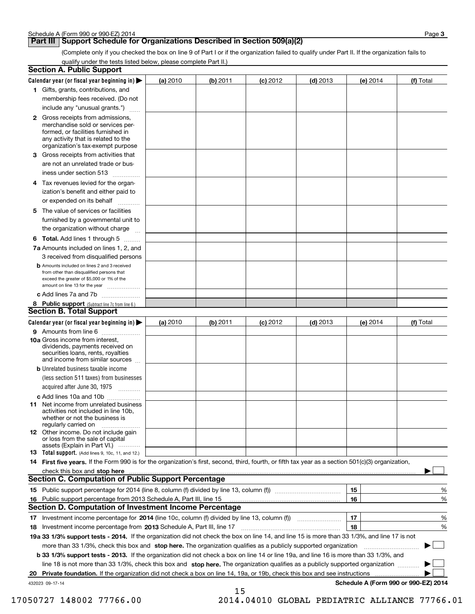## **Part III Support Schedule for Organizations Described in Section 509(a)(2)**

(Complete only if you checked the box on line 9 of Part I or if the organization failed to qualify under Part II. If the organization fails to qualify under the tests listed below, please complete Part II.)

| <b>Section A. Public Support</b>                                                                                                                                                                                               |          |          |            |            |                                      |           |
|--------------------------------------------------------------------------------------------------------------------------------------------------------------------------------------------------------------------------------|----------|----------|------------|------------|--------------------------------------|-----------|
| Calendar year (or fiscal year beginning in) $\blacktriangleright$                                                                                                                                                              | (a) 2010 | (b) 2011 | $(c)$ 2012 | $(d)$ 2013 | (e) 2014                             | (f) Total |
| 1 Gifts, grants, contributions, and                                                                                                                                                                                            |          |          |            |            |                                      |           |
| membership fees received. (Do not                                                                                                                                                                                              |          |          |            |            |                                      |           |
| include any "unusual grants.")                                                                                                                                                                                                 |          |          |            |            |                                      |           |
| 2 Gross receipts from admissions,<br>merchandise sold or services per-<br>formed, or facilities furnished in<br>any activity that is related to the<br>organization's tax-exempt purpose                                       |          |          |            |            |                                      |           |
| 3 Gross receipts from activities that<br>are not an unrelated trade or bus-                                                                                                                                                    |          |          |            |            |                                      |           |
| iness under section 513                                                                                                                                                                                                        |          |          |            |            |                                      |           |
| 4 Tax revenues levied for the organ-<br>ization's benefit and either paid to<br>or expended on its behalf                                                                                                                      |          |          |            |            |                                      |           |
| 5 The value of services or facilities<br>furnished by a governmental unit to                                                                                                                                                   |          |          |            |            |                                      |           |
| the organization without charge                                                                                                                                                                                                |          |          |            |            |                                      |           |
| <b>6 Total.</b> Add lines 1 through 5                                                                                                                                                                                          |          |          |            |            |                                      |           |
| 7a Amounts included on lines 1, 2, and<br>3 received from disqualified persons                                                                                                                                                 |          |          |            |            |                                      |           |
| <b>b</b> Amounts included on lines 2 and 3 received<br>from other than disqualified persons that<br>exceed the greater of \$5,000 or 1% of the<br>amount on line 13 for the year                                               |          |          |            |            |                                      |           |
| c Add lines 7a and 7b                                                                                                                                                                                                          |          |          |            |            |                                      |           |
| 8 Public support (Subtract line 7c from line 6.)<br><b>Section B. Total Support</b>                                                                                                                                            |          |          |            |            |                                      |           |
| Calendar year (or fiscal year beginning in)                                                                                                                                                                                    | (a) 2010 | (b) 2011 | $(c)$ 2012 | $(d)$ 2013 | (e) 2014                             | (f) Total |
| 9 Amounts from line 6                                                                                                                                                                                                          |          |          |            |            |                                      |           |
| 10a Gross income from interest,<br>dividends, payments received on<br>securities loans, rents, royalties<br>and income from similar sources                                                                                    |          |          |            |            |                                      |           |
| <b>b</b> Unrelated business taxable income<br>(less section 511 taxes) from businesses                                                                                                                                         |          |          |            |            |                                      |           |
| acquired after June 30, 1975                                                                                                                                                                                                   |          |          |            |            |                                      |           |
| c Add lines 10a and 10b                                                                                                                                                                                                        |          |          |            |            |                                      |           |
| 11 Net income from unrelated business<br>activities not included in line 10b,<br>whether or not the business is<br>regularly carried on                                                                                        |          |          |            |            |                                      |           |
| 12 Other income. Do not include gain<br>or loss from the sale of capital<br>assets (Explain in Part VI.)                                                                                                                       |          |          |            |            |                                      |           |
| 13 Total support. (Add lines 9, 10c, 11, and 12.)                                                                                                                                                                              |          |          |            |            |                                      |           |
| 14 First five years. If the Form 990 is for the organization's first, second, third, fourth, or fifth tax year as a section 501(c)(3) organization,                                                                            |          |          |            |            |                                      |           |
| check this box and stop here manufactured and content to the state of the state of the state of the state of the state of the state of the state of the state of the state of the state of the state of the state of the state |          |          |            |            |                                      |           |
| <b>Section C. Computation of Public Support Percentage</b>                                                                                                                                                                     |          |          |            |            |                                      |           |
|                                                                                                                                                                                                                                |          |          |            |            | 15                                   | %         |
| 16 Public support percentage from 2013 Schedule A, Part III, line 15<br>Section D. Computation of Investment Income Percentage                                                                                                 |          |          |            |            | 16                                   | %         |
|                                                                                                                                                                                                                                |          |          |            |            |                                      |           |
| 17 Investment income percentage for 2014 (line 10c, column (f) divided by line 13, column (f))                                                                                                                                 |          |          |            |            | 17<br>18                             | %<br>%    |
| 19a 33 1/3% support tests - 2014. If the organization did not check the box on line 14, and line 15 is more than 33 1/3%, and line 17 is not                                                                                   |          |          |            |            |                                      |           |
| more than 33 1/3%, check this box and stop here. The organization qualifies as a publicly supported organization                                                                                                               |          |          |            |            |                                      | ▶         |
| <b>b 33 1/3% support tests - 2013.</b> If the organization did not check a box on line 14 or line 19a, and line 16 is more than 33 1/3%, and                                                                                   |          |          |            |            |                                      |           |
| line 18 is not more than 33 1/3%, check this box and stop here. The organization qualifies as a publicly supported organization                                                                                                |          |          |            |            |                                      |           |
| 20 Private foundation. If the organization did not check a box on line 14, 19a, or 19b, check this box and see instructions                                                                                                    |          |          |            |            |                                      |           |
| 432023 09-17-14                                                                                                                                                                                                                |          |          |            |            | Schedule A (Form 990 or 990-EZ) 2014 |           |
|                                                                                                                                                                                                                                |          | 15       |            |            |                                      |           |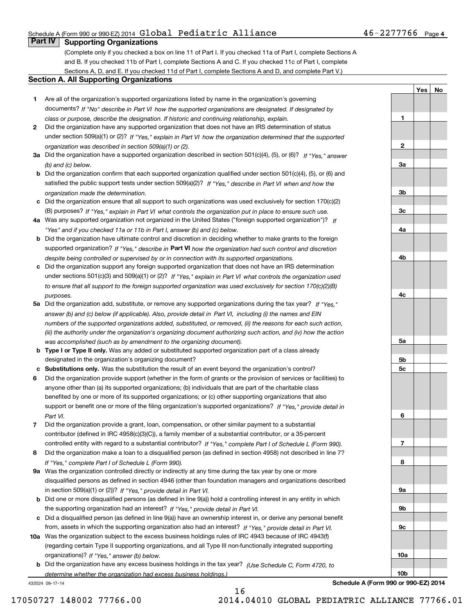### Schedule A (Form 990 or 990-EZ) 2014  ${\bf Gla}$   ${\bf Dola1}$   ${\bf Pediatric}$   ${\bf Alliance}$   ${\bf 46-2277766}$   ${\bf Page}$

## **Part IV Supporting Organizations**

(Complete only if you checked a box on line 11 of Part I. If you checked 11a of Part I, complete Sections A and B. If you checked 11b of Part I, complete Sections A and C. If you checked 11c of Part I, complete Sections A, D, and E. If you checked 11d of Part I, complete Sections A and D, and complete Part V.)

#### **Section A. All Supporting Organizations**

- **1** Are all of the organization's supported organizations listed by name in the organization's governing *If "No" describe in how the supported organizations are designated. If designated by* documents? *Part VI class or purpose, describe the designation. If historic and continuing relationship, explain.*
- **2** Did the organization have any supported organization that does not have an IRS determination of status under section 509(a)(1) or (2)? If "Yes," explain in Part VI how the organization determined that the supported *organization was described in section 509(a)(1) or (2).*
- **3a** Did the organization have a supported organization described in section 501(c)(4), (5), or (6)? If "Yes," answer *(b) and (c) below.*
- **b** Did the organization confirm that each supported organization qualified under section 501(c)(4), (5), or (6) and satisfied the public support tests under section 509(a)(2)? If "Yes," describe in Part VI when and how the *organization made the determination.*
- **c**Did the organization ensure that all support to such organizations was used exclusively for section 170(c)(2) (B) purposes? If "Yes," explain in Part VI what controls the organization put in place to ensure such use.
- **4a***If* Was any supported organization not organized in the United States ("foreign supported organization")? *"Yes" and if you checked 11a or 11b in Part I, answer (b) and (c) below.*
- **b** Did the organization have ultimate control and discretion in deciding whether to make grants to the foreign supported organization? If "Yes," describe in **Part VI** how the organization had such control and discretion *despite being controlled or supervised by or in connection with its supported organizations.*
- **c** Did the organization support any foreign supported organization that does not have an IRS determination under sections 501(c)(3) and 509(a)(1) or (2)? If "Yes," explain in Part VI what controls the organization used *to ensure that all support to the foreign supported organization was used exclusively for section 170(c)(2)(B) purposes.*
- **5a** Did the organization add, substitute, or remove any supported organizations during the tax year? If "Yes," answer (b) and (c) below (if applicable). Also, provide detail in Part VI, including (i) the names and EIN *numbers of the supported organizations added, substituted, or removed, (ii) the reasons for each such action, (iii) the authority under the organization's organizing document authorizing such action, and (iv) how the action was accomplished (such as by amendment to the organizing document).*
- **b** Type I or Type II only. Was any added or substituted supported organization part of a class already designated in the organization's organizing document?
- **cSubstitutions only.**  Was the substitution the result of an event beyond the organization's control?
- **6** Did the organization provide support (whether in the form of grants or the provision of services or facilities) to *If "Yes," provide detail in* support or benefit one or more of the filing organization's supported organizations? anyone other than (a) its supported organizations; (b) individuals that are part of the charitable class benefited by one or more of its supported organizations; or (c) other supporting organizations that also *Part VI.*
- **7**Did the organization provide a grant, loan, compensation, or other similar payment to a substantial *If "Yes," complete Part I of Schedule L (Form 990).* controlled entity with regard to a substantial contributor? contributor (defined in IRC 4958(c)(3)(C)), a family member of a substantial contributor, or a 35-percent
- **8** Did the organization make a loan to a disqualified person (as defined in section 4958) not described in line 7? *If "Yes," complete Part I of Schedule L (Form 990).*
- **9a** Was the organization controlled directly or indirectly at any time during the tax year by one or more in section 509(a)(1) or (2))? If "Yes," *provide detail in Part VI.* disqualified persons as defined in section 4946 (other than foundation managers and organizations described
- **b** Did one or more disqualified persons (as defined in line 9(a)) hold a controlling interest in any entity in which the supporting organization had an interest? If "Yes," provide detail in Part VI.
- **c** Did a disqualified person (as defined in line 9(a)) have an ownership interest in, or derive any personal benefit from, assets in which the supporting organization also had an interest? If "Yes," provide detail in Part VI.
- **10a**Was the organization subject to the excess business holdings rules of IRC 4943 because of IRC 4943(f)  *If "Yes," answer (b) below.* organizations)? (regarding certain Type II supporting organizations, and all Type III non-functionally integrated supporting
- **b** Did the organization have any excess business holdings in the tax year? (Use Schedule C, Form 4720, to *determine whether the organization had excess business holdings.)*

432024 09-17-14

**Schedule A (Form 990 or 990-EZ) 2014**

**1**

**2**

**3a**

**3b**

**3c**

**4a**

**4b**

**4c**

**5a**

**5b5c**

**6**

**7**

**8**

**9a**

**9b**

**9c**

**10a**

**10b**

**YesNo**

16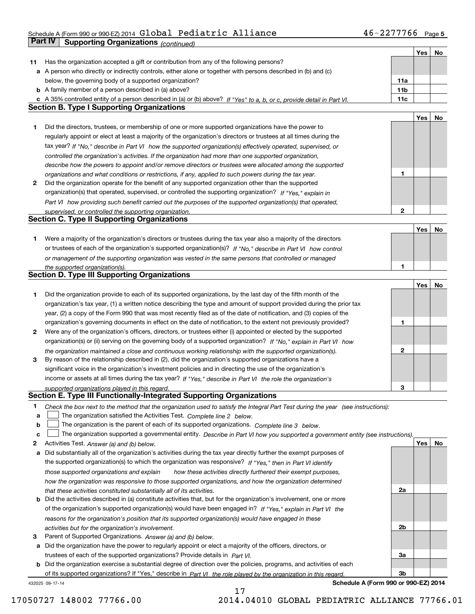## Schedule A (Form 990 or 990-EZ) 2014  ${\bf Gla}$   ${\bf Dola1}$   ${\bf Pediatric}$   ${\bf Alliance}$   ${\bf 46-2277766}$   ${\bf Page}$ **Part IV Supporting Organizations** *(continued)*

|    |                                                                                                                                   |                 | Yes | No |
|----|-----------------------------------------------------------------------------------------------------------------------------------|-----------------|-----|----|
| 11 | Has the organization accepted a gift or contribution from any of the following persons?                                           |                 |     |    |
|    | a A person who directly or indirectly controls, either alone or together with persons described in (b) and (c)                    |                 |     |    |
|    | below, the governing body of a supported organization?                                                                            | 11a             |     |    |
|    | <b>b</b> A family member of a person described in (a) above?                                                                      | 11 <sub>b</sub> |     |    |
|    | c A 35% controlled entity of a person described in (a) or (b) above? If "Yes" to a, b, or c, provide detail in Part VI.           | 11c             |     |    |
|    | <b>Section B. Type I Supporting Organizations</b>                                                                                 |                 |     |    |
|    |                                                                                                                                   |                 | Yes | No |
| 1  | Did the directors, trustees, or membership of one or more supported organizations have the power to                               |                 |     |    |
|    | regularly appoint or elect at least a majority of the organization's directors or trustees at all times during the                |                 |     |    |
|    | tax year? If "No," describe in Part VI how the supported organization(s) effectively operated, supervised, or                     |                 |     |    |
|    |                                                                                                                                   |                 |     |    |
|    | controlled the organization's activities. If the organization had more than one supported organization,                           |                 |     |    |
|    | describe how the powers to appoint and/or remove directors or trustees were allocated among the supported                         | 1               |     |    |
|    | organizations and what conditions or restrictions, if any, applied to such powers during the tax year.                            |                 |     |    |
| 2  | Did the organization operate for the benefit of any supported organization other than the supported                               |                 |     |    |
|    | organization(s) that operated, supervised, or controlled the supporting organization? If "Yes," explain in                        |                 |     |    |
|    | Part VI how providing such benefit carried out the purposes of the supported organization(s) that operated,                       |                 |     |    |
|    | supervised, or controlled the supporting organization.                                                                            | 2               |     |    |
|    | <b>Section C. Type II Supporting Organizations</b>                                                                                |                 |     |    |
|    |                                                                                                                                   |                 | Yes | No |
| 1  | Were a majority of the organization's directors or trustees during the tax year also a majority of the directors                  |                 |     |    |
|    | or trustees of each of the organization's supported organization(s)? If "No," describe in Part VI how control                     |                 |     |    |
|    | or management of the supporting organization was vested in the same persons that controlled or managed                            |                 |     |    |
|    | the supported organization(s).                                                                                                    | 1               |     |    |
|    | <b>Section D. Type III Supporting Organizations</b>                                                                               |                 |     |    |
|    |                                                                                                                                   |                 | Yes | No |
| 1  | Did the organization provide to each of its supported organizations, by the last day of the fifth month of the                    |                 |     |    |
|    | organization's tax year, (1) a written notice describing the type and amount of support provided during the prior tax             |                 |     |    |
|    | year, (2) a copy of the Form 990 that was most recently filed as of the date of notification, and (3) copies of the               |                 |     |    |
|    | organization's governing documents in effect on the date of notification, to the extent not previously provided?                  | 1               |     |    |
| 2  | Were any of the organization's officers, directors, or trustees either (i) appointed or elected by the supported                  |                 |     |    |
|    | organization(s) or (ii) serving on the governing body of a supported organization? If "No," explain in Part VI how                |                 |     |    |
|    | the organization maintained a close and continuous working relationship with the supported organization(s).                       | 2               |     |    |
| з  | By reason of the relationship described in (2), did the organization's supported organizations have a                             |                 |     |    |
|    | significant voice in the organization's investment policies and in directing the use of the organization's                        |                 |     |    |
|    | income or assets at all times during the tax year? If "Yes," describe in Part VI the role the organization's                      |                 |     |    |
|    |                                                                                                                                   | 3               |     |    |
|    | supported organizations played in this regard.<br>Section E. Type III Functionally-Integrated Supporting Organizations            |                 |     |    |
|    |                                                                                                                                   |                 |     |    |
| 1  | Check the box next to the method that the organization used to satisfy the Integral Part Test during the year (see instructions): |                 |     |    |
| a  | The organization satisfied the Activities Test. Complete line 2 below.                                                            |                 |     |    |
| b  | The organization is the parent of each of its supported organizations. Complete line 3 below.                                     |                 |     |    |
| c  | The organization supported a governmental entity. Describe in Part VI how you supported a government entity (see instructions).   |                 |     |    |
| 2  | Activities Test. Answer (a) and (b) below.                                                                                        |                 | Yes | No |
| а  | Did substantially all of the organization's activities during the tax year directly further the exempt purposes of                |                 |     |    |
|    | the supported organization(s) to which the organization was responsive? If "Yes," then in Part VI identify                        |                 |     |    |
|    | those supported organizations and explain<br>how these activities directly furthered their exempt purposes.                       |                 |     |    |
|    | how the organization was responsive to those supported organizations, and how the organization determined                         |                 |     |    |
|    | that these activities constituted substantially all of its activities.                                                            | 2a              |     |    |
| b  | Did the activities described in (a) constitute activities that, but for the organization's involvement, one or more               |                 |     |    |
|    | of the organization's supported organization(s) would have been engaged in? If "Yes," explain in Part VI the                      |                 |     |    |
|    | reasons for the organization's position that its supported organization(s) would have engaged in these                            |                 |     |    |
|    | activities but for the organization's involvement.                                                                                | 2 <sub>b</sub>  |     |    |
| з  | Parent of Supported Organizations. Answer (a) and (b) below.                                                                      |                 |     |    |
| а  | Did the organization have the power to regularly appoint or elect a majority of the officers, directors, or                       |                 |     |    |
|    | trustees of each of the supported organizations? Provide details in Part VI.                                                      | 3a              |     |    |
| b  | Did the organization exercise a substantial degree of direction over the policies, programs, and activities of each               |                 |     |    |
|    | of its supported organizations? If "Yes," describe in Part VI the role played by the organization in this regard.                 | 3b              |     |    |
|    |                                                                                                                                   |                 |     |    |

17

432025 09-17-14

**Schedule A (Form 990 or 990-EZ) 2014**

17050727 148002 77766.00 2014.04010 GLOBAL PEDIATRIC ALLIANCE 77766.01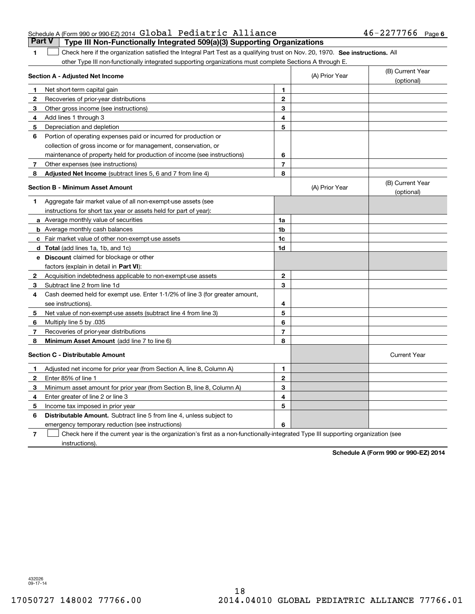| Schedule A (Form 990 or 990-EZ) 2014 Global Pediatric Alliance                          | $46 - 2277766$ Page 6 |  |
|-----------------------------------------------------------------------------------------|-----------------------|--|
| <b>Part V</b>   Type III Non-Functionally Integrated 509(a)(3) Supporting Organizations |                       |  |

1 Check here if the organization satisfied the Integral Part Test as a qualifying trust on Nov. 20, 1970. See instructions. All other Type III non-functionally integrated supporting organizations must complete Sections A through E.

|   | Section A - Adjusted Net Income                                                                                                   |                | (A) Prior Year | (B) Current Year<br>(optional) |
|---|-----------------------------------------------------------------------------------------------------------------------------------|----------------|----------------|--------------------------------|
| 1 | Net short-term capital gain                                                                                                       | 1              |                |                                |
| 2 | Recoveries of prior-year distributions                                                                                            | $\mathbf{2}$   |                |                                |
| з | Other gross income (see instructions)                                                                                             | 3              |                |                                |
| 4 | Add lines 1 through 3                                                                                                             | 4              |                |                                |
| 5 | Depreciation and depletion                                                                                                        | 5              |                |                                |
| 6 | Portion of operating expenses paid or incurred for production or                                                                  |                |                |                                |
|   | collection of gross income or for management, conservation, or                                                                    |                |                |                                |
|   | maintenance of property held for production of income (see instructions)                                                          | 6              |                |                                |
| 7 | Other expenses (see instructions)                                                                                                 | $\overline{7}$ |                |                                |
| 8 | Adjusted Net Income (subtract lines 5, 6 and 7 from line 4)                                                                       | 8              |                |                                |
|   | Section B - Minimum Asset Amount                                                                                                  |                | (A) Prior Year | (B) Current Year<br>(optional) |
| 1 | Aggregate fair market value of all non-exempt-use assets (see                                                                     |                |                |                                |
|   | instructions for short tax year or assets held for part of year):                                                                 |                |                |                                |
|   | <b>a</b> Average monthly value of securities                                                                                      | 1a             |                |                                |
|   | <b>b</b> Average monthly cash balances                                                                                            | 1b             |                |                                |
|   | c Fair market value of other non-exempt-use assets                                                                                | 1c             |                |                                |
|   | <b>d</b> Total (add lines 1a, 1b, and 1c)                                                                                         | 1d             |                |                                |
|   | <b>e</b> Discount claimed for blockage or other                                                                                   |                |                |                                |
|   | factors (explain in detail in Part VI):                                                                                           |                |                |                                |
| 2 | Acquisition indebtedness applicable to non-exempt-use assets                                                                      | $\mathbf{2}$   |                |                                |
| 3 | Subtract line 2 from line 1d                                                                                                      | 3              |                |                                |
| 4 | Cash deemed held for exempt use. Enter 1-1/2% of line 3 (for greater amount,                                                      |                |                |                                |
|   | see instructions).                                                                                                                | 4              |                |                                |
| 5 | Net value of non-exempt-use assets (subtract line 4 from line 3)                                                                  | 5              |                |                                |
| 6 | Multiply line 5 by .035                                                                                                           | 6              |                |                                |
| 7 | Recoveries of prior-year distributions                                                                                            | $\overline{7}$ |                |                                |
| 8 | Minimum Asset Amount (add line 7 to line 6)                                                                                       | 8              |                |                                |
|   | <b>Section C - Distributable Amount</b>                                                                                           |                |                | <b>Current Year</b>            |
| 1 | Adjusted net income for prior year (from Section A, line 8, Column A)                                                             | 1              |                |                                |
| 2 | Enter 85% of line 1                                                                                                               | $\overline{2}$ |                |                                |
| З | Minimum asset amount for prior year (from Section B, line 8, Column A)                                                            | 3              |                |                                |
| 4 | Enter greater of line 2 or line 3                                                                                                 | 4              |                |                                |
| 5 | Income tax imposed in prior year                                                                                                  | 5              |                |                                |
| 6 | <b>Distributable Amount.</b> Subtract line 5 from line 4, unless subject to                                                       |                |                |                                |
|   | emergency temporary reduction (see instructions)                                                                                  | 6              |                |                                |
| 7 | Check here if the current year is the organization's first as a non-functionally-integrated Type III supporting organization (see |                |                |                                |

instructions).

**Schedule A (Form 990 or 990-EZ) 2014**

432026 09-17-14

**1**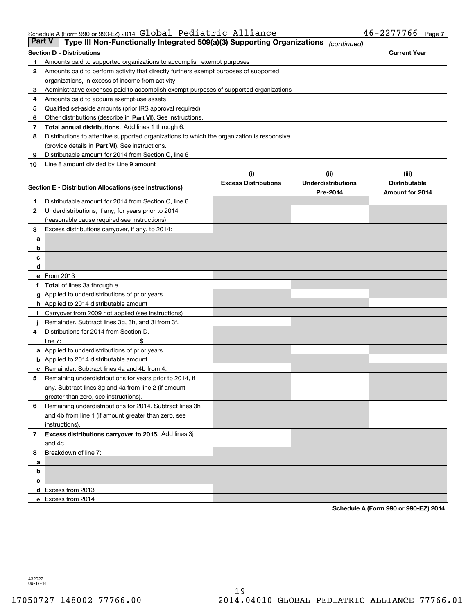#### Schedule A (Form 990 or 990-EZ) 2014  ${\bf Gla}$   ${\bf Dola1}$   ${\bf Pediatric}$   ${\bf Alliance}$   ${\bf 46-2277766}$   ${\bf Page}$

| <b>Part V</b> | Type III Non-Functionally Integrated 509(a)(3) Supporting Organizations                    |                                    | (continued)                       |                               |
|---------------|--------------------------------------------------------------------------------------------|------------------------------------|-----------------------------------|-------------------------------|
|               | <b>Section D - Distributions</b>                                                           |                                    |                                   | <b>Current Year</b>           |
| 1             | Amounts paid to supported organizations to accomplish exempt purposes                      |                                    |                                   |                               |
| 2             | Amounts paid to perform activity that directly furthers exempt purposes of supported       |                                    |                                   |                               |
|               | organizations, in excess of income from activity                                           |                                    |                                   |                               |
| 3             | Administrative expenses paid to accomplish exempt purposes of supported organizations      |                                    |                                   |                               |
| 4             | Amounts paid to acquire exempt-use assets                                                  |                                    |                                   |                               |
| 5             | Qualified set-aside amounts (prior IRS approval required)                                  |                                    |                                   |                               |
| 6             | Other distributions (describe in Part VI). See instructions.                               |                                    |                                   |                               |
| 7             | Total annual distributions. Add lines 1 through 6.                                         |                                    |                                   |                               |
| 8             | Distributions to attentive supported organizations to which the organization is responsive |                                    |                                   |                               |
|               | (provide details in Part VI). See instructions.                                            |                                    |                                   |                               |
| 9             | Distributable amount for 2014 from Section C, line 6                                       |                                    |                                   |                               |
| 10            | Line 8 amount divided by Line 9 amount                                                     |                                    |                                   |                               |
|               |                                                                                            | (i)<br><b>Excess Distributions</b> | (ii)<br><b>Underdistributions</b> | (iii)<br><b>Distributable</b> |
|               | Section E - Distribution Allocations (see instructions)                                    |                                    | Pre-2014                          | Amount for 2014               |
| 1             | Distributable amount for 2014 from Section C, line 6                                       |                                    |                                   |                               |
| 2             | Underdistributions, if any, for years prior to 2014                                        |                                    |                                   |                               |
|               | (reasonable cause required-see instructions)                                               |                                    |                                   |                               |
| 3             | Excess distributions carryover, if any, to 2014:                                           |                                    |                                   |                               |
| а             |                                                                                            |                                    |                                   |                               |
| b             |                                                                                            |                                    |                                   |                               |
| с             |                                                                                            |                                    |                                   |                               |
| d             |                                                                                            |                                    |                                   |                               |
|               | e From 2013                                                                                |                                    |                                   |                               |
|               | Total of lines 3a through e                                                                |                                    |                                   |                               |
|               | <b>g</b> Applied to underdistributions of prior years                                      |                                    |                                   |                               |
|               | h Applied to 2014 distributable amount                                                     |                                    |                                   |                               |
|               | Carryover from 2009 not applied (see instructions)                                         |                                    |                                   |                               |
|               | Remainder. Subtract lines 3g, 3h, and 3i from 3f.                                          |                                    |                                   |                               |
| 4             | Distributions for 2014 from Section D,                                                     |                                    |                                   |                               |
|               | line $7:$                                                                                  |                                    |                                   |                               |
|               | <b>a</b> Applied to underdistributions of prior years                                      |                                    |                                   |                               |
|               | <b>b</b> Applied to 2014 distributable amount                                              |                                    |                                   |                               |
| с             | Remainder. Subtract lines 4a and 4b from 4.                                                |                                    |                                   |                               |
| 5             | Remaining underdistributions for years prior to 2014, if                                   |                                    |                                   |                               |
|               | any. Subtract lines 3g and 4a from line 2 (if amount                                       |                                    |                                   |                               |
|               | greater than zero, see instructions).                                                      |                                    |                                   |                               |
| 6             | Remaining underdistributions for 2014. Subtract lines 3h                                   |                                    |                                   |                               |
|               | and 4b from line 1 (if amount greater than zero, see                                       |                                    |                                   |                               |
|               | instructions).                                                                             |                                    |                                   |                               |
| 7             | Excess distributions carryover to 2015. Add lines 3j<br>and 4c.                            |                                    |                                   |                               |
| 8             | Breakdown of line 7:                                                                       |                                    |                                   |                               |
| а             |                                                                                            |                                    |                                   |                               |
| b             |                                                                                            |                                    |                                   |                               |
| с             |                                                                                            |                                    |                                   |                               |
|               | d Excess from 2013                                                                         |                                    |                                   |                               |
|               | e Excess from 2014                                                                         |                                    |                                   |                               |

**Schedule A (Form 990 or 990-EZ) 2014**

432027 09-17-14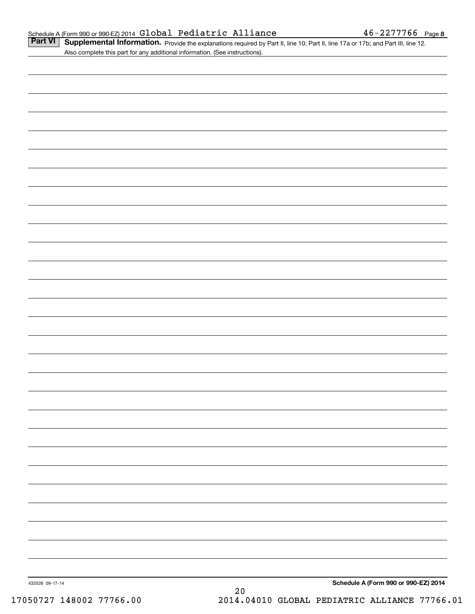Part VI | Supplemental Information. Provide the explanations required by Part II, line 10; Part II, line 17a or 17b; and Part III, line 12. Also complete this part for any additional information. (See instructions).

| 432028 09-17-14 | $20\,$ | Schedule A (Form 990 or 990-EZ) 2014 |
|-----------------|--------|--------------------------------------|
|                 |        |                                      |
|                 |        |                                      |
|                 |        |                                      |
|                 |        |                                      |
|                 |        |                                      |
|                 |        |                                      |
|                 |        |                                      |
|                 |        |                                      |
|                 |        |                                      |
|                 |        |                                      |
|                 |        |                                      |
|                 |        |                                      |
|                 |        |                                      |
|                 |        |                                      |
|                 |        |                                      |
|                 |        |                                      |
|                 |        |                                      |
|                 |        |                                      |
|                 |        |                                      |
|                 |        |                                      |
|                 |        |                                      |
|                 |        |                                      |
|                 |        |                                      |
|                 |        |                                      |
|                 |        |                                      |
|                 |        |                                      |
|                 |        |                                      |
|                 |        |                                      |
|                 |        |                                      |
|                 |        |                                      |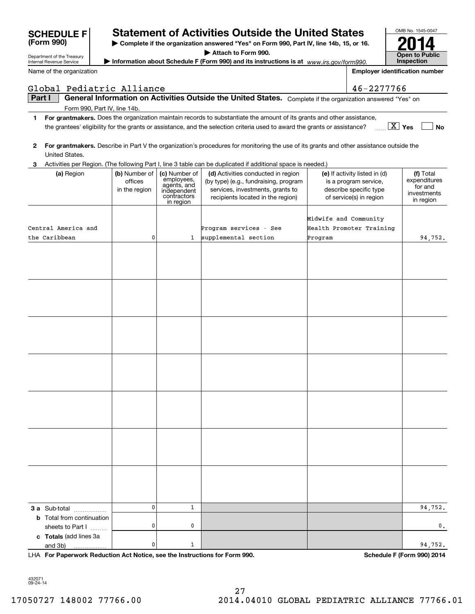| Department of the Treasury           |                                           |                                                                                       | Attach to Form 990.                                                                                                                                  |                       |                                                                                                             | <b>Open to Public</b>                                            |
|--------------------------------------|-------------------------------------------|---------------------------------------------------------------------------------------|------------------------------------------------------------------------------------------------------------------------------------------------------|-----------------------|-------------------------------------------------------------------------------------------------------------|------------------------------------------------------------------|
| Internal Revenue Service             |                                           |                                                                                       | Information about Schedule F (Form 990) and its instructions is at www.irs.gov/form990.                                                              |                       |                                                                                                             | <b>Inspection</b>                                                |
| Name of the organization             |                                           |                                                                                       |                                                                                                                                                      |                       |                                                                                                             | <b>Employer identification number</b>                            |
| Global Pediatric Alliance            |                                           |                                                                                       |                                                                                                                                                      |                       | 46-2277766                                                                                                  |                                                                  |
| Part I                               |                                           |                                                                                       | General Information on Activities Outside the United States. Complete if the organization answered "Yes" on                                          |                       |                                                                                                             |                                                                  |
|                                      | Form 990, Part IV, line 14b.              |                                                                                       |                                                                                                                                                      |                       |                                                                                                             |                                                                  |
| 1.                                   |                                           |                                                                                       | For grantmakers. Does the organization maintain records to substantiate the amount of its grants and other assistance,                               |                       |                                                                                                             |                                                                  |
|                                      |                                           |                                                                                       | the grantees' eligibility for the grants or assistance, and the selection criteria used to award the grants or assistance?                           |                       |                                                                                                             | $\boxed{\text{X}}$ Yes<br>No                                     |
| 2<br>United States.                  |                                           |                                                                                       | For grantmakers. Describe in Part V the organization's procedures for monitoring the use of its grants and other assistance outside the              |                       |                                                                                                             |                                                                  |
| З.                                   |                                           |                                                                                       | Activities per Region. (The following Part I, line 3 table can be duplicated if additional space is needed.)                                         |                       |                                                                                                             |                                                                  |
| (a) Region                           | (b) Number of<br>offices<br>in the region | (c) Number of<br>employees,<br>agents, and<br>independent<br>contractors<br>in region | (d) Activities conducted in region<br>(by type) (e.g., fundraising, program<br>services, investments, grants to<br>recipients located in the region) |                       | (e) If activity listed in (d)<br>is a program service,<br>describe specific type<br>of service(s) in region | (f) Total<br>expenditures<br>for and<br>investments<br>in region |
|                                      |                                           |                                                                                       |                                                                                                                                                      |                       |                                                                                                             |                                                                  |
|                                      |                                           |                                                                                       |                                                                                                                                                      | Midwife and Community |                                                                                                             |                                                                  |
| Central America and<br>the Caribbean | 0                                         | $\mathbf{1}$                                                                          | Program services - See<br>supplemental section                                                                                                       |                       | Health Promoter Training                                                                                    |                                                                  |
|                                      |                                           |                                                                                       |                                                                                                                                                      | Program               |                                                                                                             | 94,752.                                                          |
|                                      |                                           |                                                                                       |                                                                                                                                                      |                       |                                                                                                             |                                                                  |
|                                      |                                           |                                                                                       |                                                                                                                                                      |                       |                                                                                                             |                                                                  |
|                                      |                                           |                                                                                       |                                                                                                                                                      |                       |                                                                                                             |                                                                  |
|                                      |                                           |                                                                                       |                                                                                                                                                      |                       |                                                                                                             |                                                                  |
|                                      |                                           |                                                                                       |                                                                                                                                                      |                       |                                                                                                             |                                                                  |
|                                      |                                           |                                                                                       |                                                                                                                                                      |                       |                                                                                                             |                                                                  |
|                                      |                                           |                                                                                       |                                                                                                                                                      |                       |                                                                                                             |                                                                  |
|                                      |                                           |                                                                                       |                                                                                                                                                      |                       |                                                                                                             |                                                                  |
| 3 a Sub-total                        | 0                                         | $\mathbf{1}$                                                                          |                                                                                                                                                      |                       |                                                                                                             | 94,752.                                                          |
| <b>b</b> Total from continuation     |                                           |                                                                                       |                                                                                                                                                      |                       |                                                                                                             |                                                                  |
| sheets to Part I                     | 0                                         | 0                                                                                     |                                                                                                                                                      |                       |                                                                                                             | 0.                                                               |
| c Totals (add lines 3a               |                                           |                                                                                       |                                                                                                                                                      |                       |                                                                                                             |                                                                  |
| and 3b)                              | 0                                         | 1                                                                                     |                                                                                                                                                      |                       |                                                                                                             | 94,752.                                                          |

**| Complete if the organization answered "Yes" on Form 990, Part IV, line 14b, 15, or 16.**

**Statement of Activities Outside the United States** 

LHA For Paperwork Reduction Act Notice, see the Instructions for Form 990. Schedule F (Form 990) 2014

OMB No. 1545-0047

**2014**

432071 09-24-14

**(Form 990)**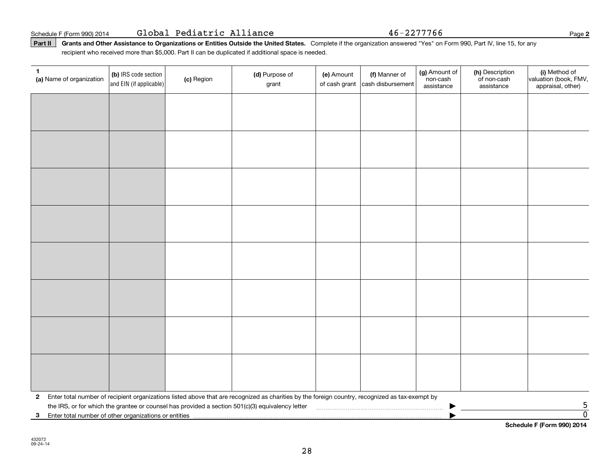Schedule F (Form 990) 2014 Page Global Pediatric Alliance 46-2277766

Part II | Grants and Other Assistance to Organizations or Entities Outside the United States. Complete if the organization answered "Yes" on Form 990, Part IV, line 15, for any recipient who received more than \$5,000. Part II can be duplicated if additional space is needed.

| 1<br>(a) Name of organization                              | (b) IRS code section<br>and EIN (if applicable) | (c) Region | (d) Purpose of<br>grant                                                                                                                         | (e) Amount<br>of cash grant | (f) Manner of<br>cash disbursement | (g) Amount of<br>non-cash<br>assistance | (h) Description<br>of non-cash<br>assistance | (i) Method of<br>valuation (book, FMV,<br>appraisal, other) |
|------------------------------------------------------------|-------------------------------------------------|------------|-------------------------------------------------------------------------------------------------------------------------------------------------|-----------------------------|------------------------------------|-----------------------------------------|----------------------------------------------|-------------------------------------------------------------|
|                                                            |                                                 |            |                                                                                                                                                 |                             |                                    |                                         |                                              |                                                             |
|                                                            |                                                 |            |                                                                                                                                                 |                             |                                    |                                         |                                              |                                                             |
|                                                            |                                                 |            |                                                                                                                                                 |                             |                                    |                                         |                                              |                                                             |
|                                                            |                                                 |            |                                                                                                                                                 |                             |                                    |                                         |                                              |                                                             |
|                                                            |                                                 |            |                                                                                                                                                 |                             |                                    |                                         |                                              |                                                             |
|                                                            |                                                 |            |                                                                                                                                                 |                             |                                    |                                         |                                              |                                                             |
|                                                            |                                                 |            |                                                                                                                                                 |                             |                                    |                                         |                                              |                                                             |
|                                                            |                                                 |            |                                                                                                                                                 |                             |                                    |                                         |                                              |                                                             |
|                                                            |                                                 |            |                                                                                                                                                 |                             |                                    |                                         |                                              |                                                             |
|                                                            |                                                 |            |                                                                                                                                                 |                             |                                    |                                         |                                              |                                                             |
|                                                            |                                                 |            |                                                                                                                                                 |                             |                                    |                                         |                                              |                                                             |
|                                                            |                                                 |            |                                                                                                                                                 |                             |                                    |                                         |                                              |                                                             |
|                                                            |                                                 |            |                                                                                                                                                 |                             |                                    |                                         |                                              |                                                             |
|                                                            |                                                 |            |                                                                                                                                                 |                             |                                    |                                         |                                              |                                                             |
|                                                            |                                                 |            |                                                                                                                                                 |                             |                                    |                                         |                                              |                                                             |
|                                                            |                                                 |            |                                                                                                                                                 |                             |                                    |                                         |                                              |                                                             |
| $\mathbf{2}$                                               |                                                 |            | Enter total number of recipient organizations listed above that are recognized as charities by the foreign country, recognized as tax-exempt by |                             |                                    |                                         |                                              |                                                             |
|                                                            |                                                 |            | the IRS, or for which the grantee or counsel has provided a section 501(c)(3) equivalency letter                                                |                             |                                    |                                         |                                              | $\frac{5}{0}$                                               |
| Enter total number of other organizations or entities<br>3 |                                                 |            |                                                                                                                                                 |                             |                                    |                                         |                                              |                                                             |

**Schedule F (Form 990) 2014**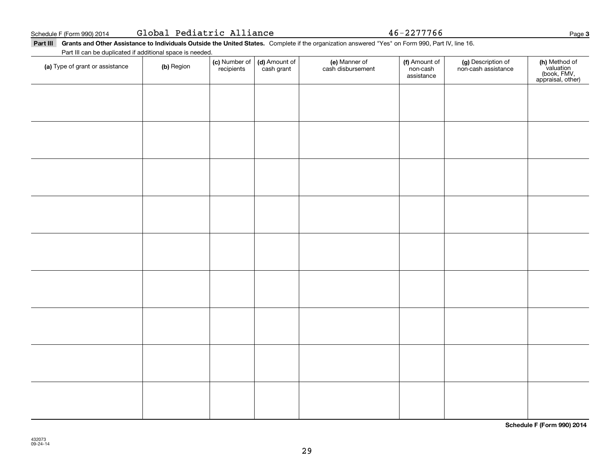|  | Global Pediatric Alliance |  |
|--|---------------------------|--|
|--|---------------------------|--|

Global Pediatric Alliance 46-2277766

Part III Grants and Other Assistance to Individuals Outside the United States. Complete if the organization answered "Yes" on Form 990, Part IV, line 16. Part III can be duplicated if additional space is needed.

| and the bank bibliotherman and the contract ran<br>(a) Type of grant or assistance | (b) Region | (c) Number of<br>recipients | (d) Amount of<br>cash grant | (e) Manner of<br>cash disbursement | (f) Amount of<br>non-cash<br>assistance | (g) Description of<br>non-cash assistance | (h) Method of<br>valuation<br>(book, FMV,<br>appraisal, other) |
|------------------------------------------------------------------------------------|------------|-----------------------------|-----------------------------|------------------------------------|-----------------------------------------|-------------------------------------------|----------------------------------------------------------------|
|                                                                                    |            |                             |                             |                                    |                                         |                                           |                                                                |
|                                                                                    |            |                             |                             |                                    |                                         |                                           |                                                                |
|                                                                                    |            |                             |                             |                                    |                                         |                                           |                                                                |
|                                                                                    |            |                             |                             |                                    |                                         |                                           |                                                                |
|                                                                                    |            |                             |                             |                                    |                                         |                                           |                                                                |
|                                                                                    |            |                             |                             |                                    |                                         |                                           |                                                                |
|                                                                                    |            |                             |                             |                                    |                                         |                                           |                                                                |
|                                                                                    |            |                             |                             |                                    |                                         |                                           |                                                                |
|                                                                                    |            |                             |                             |                                    |                                         |                                           |                                                                |
|                                                                                    |            |                             |                             |                                    |                                         |                                           |                                                                |
|                                                                                    |            |                             |                             |                                    |                                         |                                           |                                                                |
|                                                                                    |            |                             |                             |                                    |                                         |                                           |                                                                |

**Schedule F (Form 990) 2014**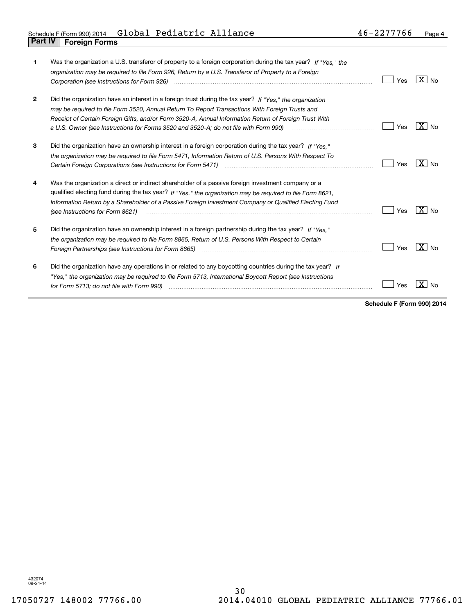| 1            | Was the organization a U.S. transferor of property to a foreign corporation during the tax year? If "Yes," the<br>organization may be required to file Form 926, Return by a U.S. Transferor of Property to a Foreign                                                                                                                                                                                                                                    | Yes | ⊦X I No             |
|--------------|----------------------------------------------------------------------------------------------------------------------------------------------------------------------------------------------------------------------------------------------------------------------------------------------------------------------------------------------------------------------------------------------------------------------------------------------------------|-----|---------------------|
| $\mathbf{2}$ | Did the organization have an interest in a foreign trust during the tax year? If "Yes," the organization<br>may be required to file Form 3520, Annual Return To Report Transactions With Foreign Trusts and<br>Receipt of Certain Foreign Gifts, and/or Form 3520-A, Annual Information Return of Foreign Trust With<br>a U.S. Owner (see Instructions for Forms 3520 and 3520-A; do not file with Form 990) <i>manual community container</i>           | Yes | $X _{N_Q}$          |
| 3            | Did the organization have an ownership interest in a foreign corporation during the tax year? If "Yes."<br>the organization may be required to file Form 5471, Information Return of U.S. Persons With Respect To<br>Certain Foreign Corporations (see Instructions for Form 5471) <i>[100]</i> [100] [100] [100] [100] [100] [100] [100] [100] [100] [100] [100] [100] [100] [100] [100] [100] [100] [100] [100] [100] [100] [100] [100] [100] [100] [1 | Yes | $X \mid N_{0}$      |
| 4            | Was the organization a direct or indirect shareholder of a passive foreign investment company or a<br>qualified electing fund during the tax year? If "Yes," the organization may be required to file Form 8621,<br>Information Return by a Shareholder of a Passive Foreign Investment Company or Qualified Electing Fund<br>(see Instructions for Form 8621)                                                                                           | Yes | $X \mid N_{\Omega}$ |
| 5            | Did the organization have an ownership interest in a foreign partnership during the tax year? If "Yes."<br>the organization may be required to file Form 8865, Return of U.S. Persons With Respect to Certain<br>Foreign Partnerships (see Instructions for Form 8865)                                                                                                                                                                                   | Yes | $X \mid N_{\Omega}$ |
| 6            | Did the organization have any operations in or related to any boycotting countries during the tax year? If<br>"Yes," the organization may be required to file Form 5713, International Boycott Report (see Instructions<br>for Form 5713; do not file with Form 990)                                                                                                                                                                                     | 'es |                     |

**Schedule F (Form 990) 2014**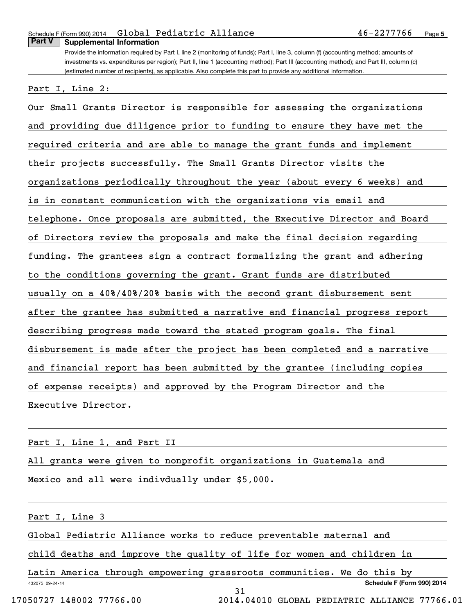### Schedule F (Form 990) 2014 **Global Pediatric Alliance 46-2277766** p<sub>age</sub> **Part V Supplemental Information**

Provide the information required by Part I, line 2 (monitoring of funds); Part I, line 3, column (f) (accounting method; amounts of investments vs. expenditures per region); Part II, line 1 (accounting method); Part III (accounting method); and Part III, column (c) (estimated number of recipients), as applicable. Also complete this part to provide any additional information.

Part I, Line 2:

Our Small Grants Director is responsible for assessing the organizations and providing due diligence prior to funding to ensure they have met the required criteria and are able to manage the grant funds and implement their projects successfully. The Small Grants Director visits the organizations periodically throughout the year (about every 6 weeks) and is in constant communication with the organizations via email and telephone. Once proposals are submitted, the Executive Director and Board of Directors review the proposals and make the final decision regarding funding. The grantees sign a contract formalizing the grant and adhering to the conditions governing the grant. Grant funds are distributed usually on a 40%/40%/20% basis with the second grant disbursement sent after the grantee has submitted a narrative and financial progress report describing progress made toward the stated program goals. The final disbursement is made after the project has been completed and a narrative and financial report has been submitted by the grantee (including copies of expense receipts) and approved by the Program Director and the Executive Director.

Part I, Line 1, and Part II

All grants were given to nonprofit organizations in Guatemala and Mexico and all were indivdually under \$5,000.

Part I, Line 3

Global Pediatric Alliance works to reduce preventable maternal and

child deaths and improve the quality of life for women and children in

432075 09-24-14 **Schedule F (Form 990) 2014** Latin America through empowering grassroots communities. We do this by 31

17050727 148002 77766.00 2014.04010 GLOBAL PEDIATRIC ALLIANCE 77766.01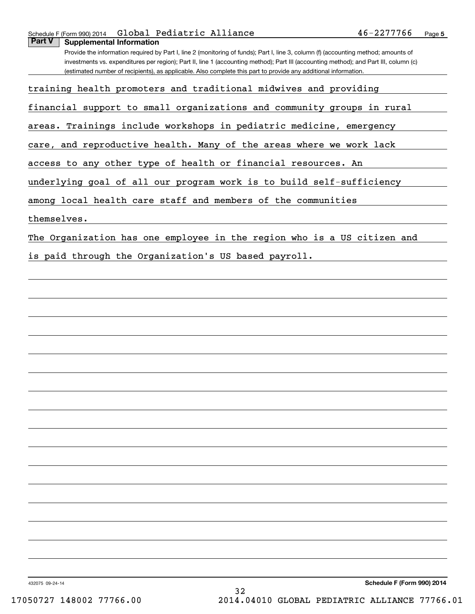### Schedule F (Form 990) 2014 **Global Pediatric Alliance 46-2277766** p<sub>age</sub> **Part V Supplemental Information**

Provide the information required by Part I, line 2 (monitoring of funds); Part I, line 3, column (f) (accounting method; amounts of investments vs. expenditures per region); Part II, line 1 (accounting method); Part III (accounting method); and Part III, column (c) (estimated number of recipients), as applicable. Also complete this part to provide any additional information.

training health promoters and traditional midwives and providing

financial support to small organizations and community groups in rural

areas. Trainings include workshops in pediatric medicine, emergency

care, and reproductive health. Many of the areas where we work lack

access to any other type of health or financial resources. An

underlying goal of all our program work is to build self-sufficiency

among local health care staff and members of the communities

themselves.

The Organization has one employee in the region who is a US citizen and

is paid through the Organization's US based payroll.

432075 09-24-14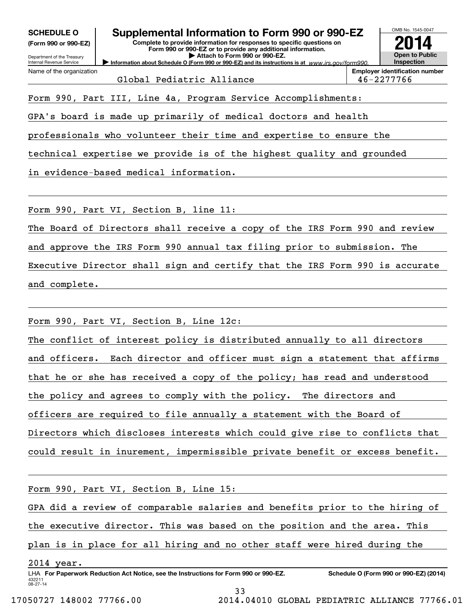**(Form 990 or 990-EZ)**

Department of the Treasury Internal Revenue Service Name of the organization

# **SCHEDULE O Supplemental Information to Form 990 or 990-EZ**

**Information about Schedule O (Form 990 or 990-EZ) and its instructions is at**  $www.irs.gov/form990.$ **Complete to provide information for responses to specific questions on Form 990 or 990-EZ or to provide any additional information. | Attach to Form 990 or 990-EZ.**



Global Pediatric Alliance  $\vert$  46-2277766

Form 990, Part III, Line 4a, Program Service Accomplishments:

GPA's board is made up primarily of medical doctors and health

professionals who volunteer their time and expertise to ensure the

technical expertise we provide is of the highest quality and grounded

in evidence-based medical information.

Form 990, Part VI, Section B, line 11:

The Board of Directors shall receive a copy of the IRS Form 990 and review

and approve the IRS Form 990 annual tax filing prior to submission. The

Executive Director shall sign and certify that the IRS Form 990 is accurate and complete.

Form 990, Part VI, Section B, Line 12c:

The conflict of interest policy is distributed annually to all directors and officers. Each director and officer must sign a statement that affirms that he or she has received a copy of the policy; has read and understood the policy and agrees to comply with the policy. The directors and officers are required to file annually a statement with the Board of Directors which discloses interests which could give rise to conflicts that could result in inurement, impermissible private benefit or excess benefit.

Form 990, Part VI, Section B, Line 15:

GPA did a review of comparable salaries and benefits prior to the hiring of

the executive director. This was based on the position and the area. This

plan is in place for all hiring and no other staff were hired during the

2014 year.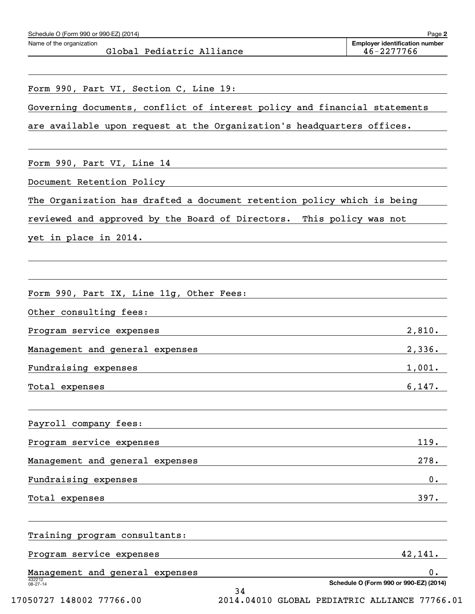| Schedule O (Form 990 or 990-EZ) (2014)<br>Name of the organization        | <b>Employer identification number</b>  |
|---------------------------------------------------------------------------|----------------------------------------|
| Global Pediatric Alliance                                                 | 46-2277766                             |
| Form 990, Part VI, Section C, Line 19:                                    |                                        |
| Governing documents, conflict of interest policy and financial statements |                                        |
| are available upon request at the Organization's headquarters offices.    |                                        |
|                                                                           |                                        |
| Form 990, Part VI, Line 14                                                |                                        |
| Document Retention Policy                                                 |                                        |
| The Organization has drafted a document retention policy which is being   |                                        |
| reviewed and approved by the Board of Directors. This policy was not      |                                        |
| yet in place in 2014.                                                     |                                        |
|                                                                           |                                        |
|                                                                           |                                        |
| Form 990, Part IX, Line 11g, Other Fees:                                  |                                        |
| Other consulting fees:                                                    |                                        |
| Program service expenses                                                  | 2,810.                                 |
| Management and general expenses                                           | 2,336.                                 |
| Fundraising expenses                                                      | 1,001.                                 |
| Total expenses                                                            | 6,147.                                 |
|                                                                           |                                        |
| Payroll company fees:                                                     |                                        |
| Program service expenses                                                  | 119.                                   |
| Management and general expenses                                           | 278.                                   |
| Fundraising expenses                                                      | 0.                                     |
| Total expenses                                                            | 397.                                   |
|                                                                           |                                        |
| Training program consultants:                                             |                                        |
| Program service expenses                                                  | 42,141.                                |
| Management and general expenses                                           | 0.                                     |
| 432212<br>08-27-14<br>34                                                  | Schedule O (Form 990 or 990-EZ) (2014) |

17050727 148002 77766.00 2014.04010 GLOBAL PEDIATRIC ALLIANCE 77766.01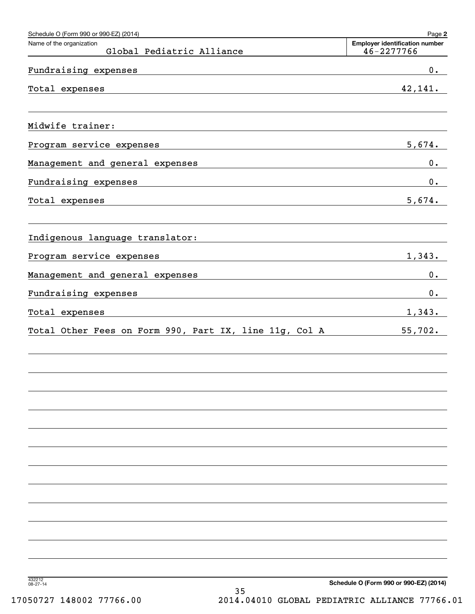| Schedule O (Form 990 or 990-EZ) (2014)<br>Name of the organization<br>Global Pediatric Alliance                                                                                                                                                       | Page 2<br><b>Employer identification number</b><br>46-2277766 |
|-------------------------------------------------------------------------------------------------------------------------------------------------------------------------------------------------------------------------------------------------------|---------------------------------------------------------------|
| Fundraising expenses                                                                                                                                                                                                                                  | $0$ .                                                         |
| the control of the control of the control of the control of the control of the control of<br>Total expenses                                                                                                                                           | 42,141.                                                       |
| Midwife trainer:                                                                                                                                                                                                                                      |                                                               |
| Program service expenses<br><u> 1980 - Andrea Station Barbara, actor a component de la componentación de la componentación de la componentaci</u>                                                                                                     | 5,674.                                                        |
| Management and general expenses<br><u> 1980 - Johann Barn, fransk politik (d. 1980)</u>                                                                                                                                                               | $0$ .                                                         |
| Fundraising expenses<br>the control of the control of the control of the control of the control of the control of the control of the control of the control of the control of the control of the control of the control of the control of the control | $0$ .                                                         |
| Total expenses<br><u> 1989 - Johann Stoff, amerikansk politiker (* 1908)</u>                                                                                                                                                                          | 5,674.                                                        |
| Indigenous language translator:                                                                                                                                                                                                                       |                                                               |
| Program service expenses<br><u> 1980 - Johann Stoff, amerikansk politiker (d. 1980)</u>                                                                                                                                                               | 1,343.                                                        |
| Management and general expenses<br>the control of the control of the control of the control of the control of the control of                                                                                                                          | $0$ .                                                         |
| Fundraising expenses<br>the control of the control of the control of the control of the control of the control of                                                                                                                                     | $0$ .                                                         |
| Total expenses<br>the control of the control of the control of the control of the control of the control of                                                                                                                                           | 1,343.                                                        |
| Total Other Fees on Form 990, Part IX, line 11g, Col A                                                                                                                                                                                                | 55,702.                                                       |
|                                                                                                                                                                                                                                                       |                                                               |
|                                                                                                                                                                                                                                                       |                                                               |
|                                                                                                                                                                                                                                                       |                                                               |
|                                                                                                                                                                                                                                                       |                                                               |
|                                                                                                                                                                                                                                                       |                                                               |
|                                                                                                                                                                                                                                                       |                                                               |
|                                                                                                                                                                                                                                                       |                                                               |
| 432212<br>08-27-14                                                                                                                                                                                                                                    | Schedule O (Form 990 or 990-EZ) (2014)                        |

35